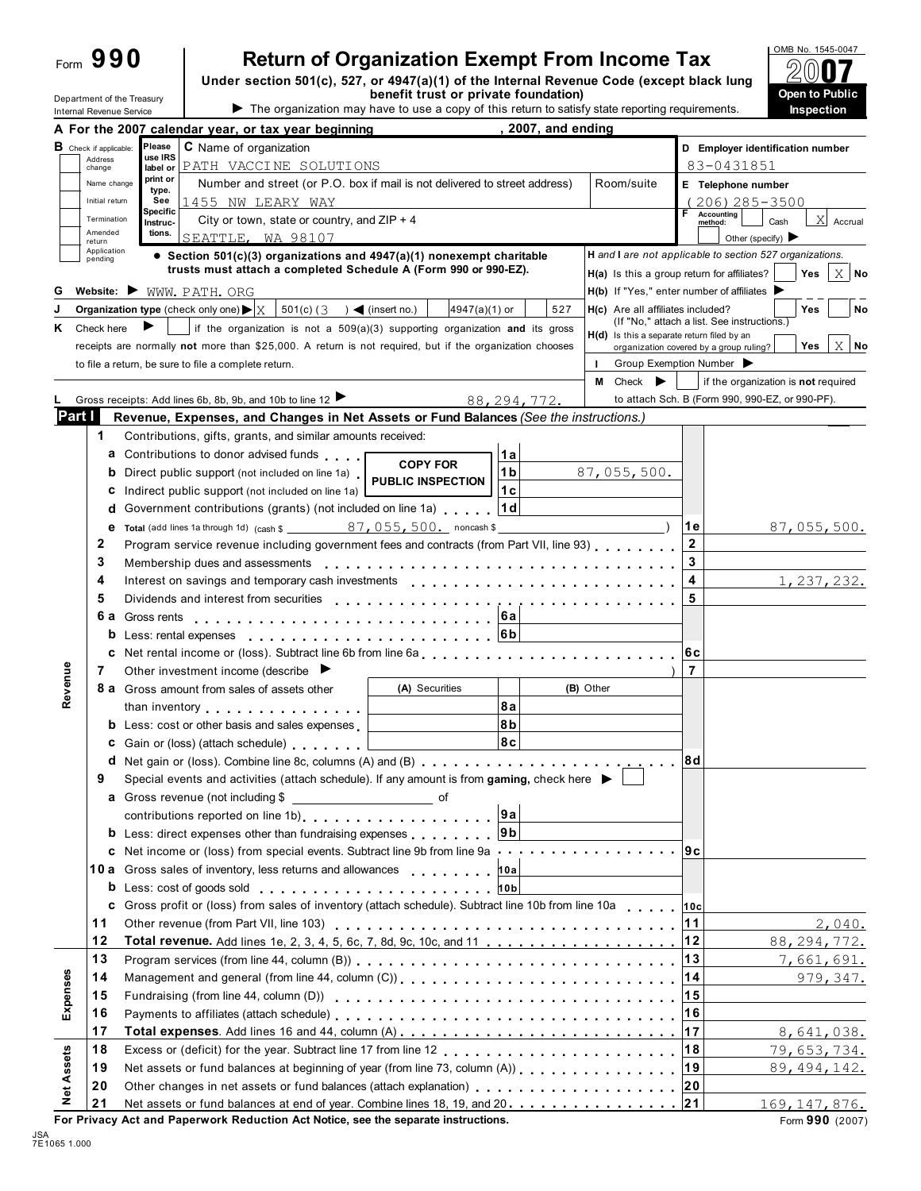Department of the Treasury<br>Internal Revenue Service

# **Return of Organization Exempt From Income Tax**

**Under section 501(c), 527, or 4947(a)(1) of the Internal Revenue Code (except black lung** Department of the Treasury **Copen to Public**<br>
Internal Revenue Service **Copen to Public**<br> **Inspection**<br> **Inspection** 



|                                             | A For the 2007 calendar year, or tax year beginning                                                                                                                                                                            | 2007, and ending     |                                            |                                                                                                           |
|---------------------------------------------|--------------------------------------------------------------------------------------------------------------------------------------------------------------------------------------------------------------------------------|----------------------|--------------------------------------------|-----------------------------------------------------------------------------------------------------------|
| $\mathbf B$ Check if applicable:<br>Address | <b>C</b> Name of organization<br>Please<br>use IRS                                                                                                                                                                             |                      |                                            | D Employer identification number                                                                          |
| change                                      | PATH VACCINE SOLUTIONS<br>label or<br>print or                                                                                                                                                                                 |                      |                                            | 83-0431851                                                                                                |
| Name change                                 | Number and street (or P.O. box if mail is not delivered to street address)<br>type.                                                                                                                                            |                      | Room/suite                                 | E Telephone number                                                                                        |
| Initial return                              | 1455 NW LEARY WAY<br>See<br>Specific                                                                                                                                                                                           |                      |                                            | 206) 285-3500<br><b>Accounting</b>                                                                        |
| Termination<br>Amended                      | City or town, state or country, and $ZIP + 4$<br>Instruc-<br>tions.                                                                                                                                                            |                      |                                            | X<br>Cash<br>Accrual<br>method:                                                                           |
| return<br>Application                       | SEATTLE, WA 98107                                                                                                                                                                                                              |                      |                                            | Other (specify) $\blacktriangleright$                                                                     |
| pending                                     | • Section 501(c)(3) organizations and 4947(a)(1) nonexempt charitable<br>trusts must attach a completed Schedule A (Form 990 or 990-EZ).                                                                                       |                      |                                            | H and I are not applicable to section 527 organizations.                                                  |
| G                                           | Website: WWW. PATH. ORG                                                                                                                                                                                                        |                      |                                            | $X$ No<br>H(a) Is this a group return for affiliates?<br>Yes<br>H(b) If "Yes," enter number of affiliates |
|                                             | Organization type (check only one) $\blacktriangleright$ $\mid$ $\chi$<br>$501(c)$ (3<br>$) \blacktriangleleft ($ insert no.)                                                                                                  | 4947(a)(1) or<br>527 | H(c) Are all affiliates included?          | Yes<br>No                                                                                                 |
| Check here<br>Κ                             | if the organization is not a $509(a)(3)$ supporting organization and its gross                                                                                                                                                 |                      |                                            | (If "No," attach a list. See instructions.                                                                |
|                                             | receipts are normally not more than \$25,000. A return is not required, but if the organization chooses                                                                                                                        |                      | H(d) Is this a separate return filed by an | X<br>No<br>Yes                                                                                            |
|                                             | to file a return, be sure to file a complete return.                                                                                                                                                                           |                      | $\mathbf{L}$                               | organization covered by a group ruling?<br>Group Exemption Number                                         |
|                                             |                                                                                                                                                                                                                                |                      | M<br>Check $\blacktriangleright$           | if the organization is not required                                                                       |
|                                             | Gross receipts: Add lines 6b, 8b, 9b, and 10b to line 12                                                                                                                                                                       | 88, 294, 772.        |                                            | to attach Sch. B (Form 990, 990-EZ, or 990-PF).                                                           |
| Part I                                      | Revenue, Expenses, and Changes in Net Assets or Fund Balances (See the instructions.)                                                                                                                                          |                      |                                            |                                                                                                           |
| 1                                           | Contributions, gifts, grants, and similar amounts received:                                                                                                                                                                    |                      |                                            |                                                                                                           |
|                                             | <b>a</b> Contributions to donor advised funds                                                                                                                                                                                  | 1a                   |                                            |                                                                                                           |
| b                                           | <b>COPY FOR</b><br>Direct public support (not included on line 1a)                                                                                                                                                             | 1 <sub>b</sub>       | 87,055,500.                                |                                                                                                           |
| c                                           | <b>PUBLIC INSPECTION</b><br>Indirect public support (not included on line 1a)                                                                                                                                                  | 1 c                  |                                            |                                                                                                           |
| d                                           | Government contributions (grants) (not included on line 1a)                                                                                                                                                                    | 1 d                  |                                            |                                                                                                           |
| е                                           | Total (add lines 1a through 1d) (cash $\frac{87,055,500}{$ noncash $\frac{1}{2}$                                                                                                                                               |                      |                                            | 1 e<br>87,055,500.                                                                                        |
| 2                                           | Program service revenue including government fees and contracts (from Part VII, line 93)                                                                                                                                       |                      |                                            | $\mathbf 2$                                                                                               |
| 3                                           | Membership dues and assessments                                                                                                                                                                                                |                      |                                            | 3                                                                                                         |
| 4                                           | Interest on savings and temporary cash investments entitled by respectively and the set of the set of the set of the set of the set of the set of the set of the set of the set of the set of the set of the set of the set of |                      |                                            | 4<br>1, 237, 232.                                                                                         |
| 5                                           | Dividends and interest from securities                                                                                                                                                                                         |                      |                                            | 5                                                                                                         |
|                                             | . <i>.</i> .                                                                                                                                                                                                                   | 6a                   |                                            |                                                                                                           |
|                                             | b Less: rental expenses experience and the set of the set of the set of the set of the set of the set of the set of the set of the set of the set of the set of the set of the set of the set of the set of the set of the set |                      |                                            |                                                                                                           |
| c                                           |                                                                                                                                                                                                                                |                      |                                            | 6c                                                                                                        |
| 7                                           | Other investment income (describe $\blacktriangleright$                                                                                                                                                                        |                      |                                            | 7                                                                                                         |
| Revenue                                     | <b>8 a</b> Gross amount from sales of assets other                                                                                                                                                                             | (A) Securities       | (B) Other                                  |                                                                                                           |
|                                             |                                                                                                                                                                                                                                | 8a                   |                                            |                                                                                                           |
|                                             | than inventory<br><b>b</b> Less: cost or other basis and sales expenses                                                                                                                                                        | 8b                   |                                            |                                                                                                           |
|                                             | <b>c</b> Gain or (loss) (attach schedule)                                                                                                                                                                                      | 8c                   |                                            |                                                                                                           |
|                                             |                                                                                                                                                                                                                                |                      |                                            | 8d                                                                                                        |
| 9                                           | Special events and activities (attach schedule). If any amount is from gaming, check here $\blacktriangleright$                                                                                                                |                      |                                            |                                                                                                           |
|                                             |                                                                                                                                                                                                                                |                      |                                            |                                                                                                           |
|                                             | contributions reported on line 1b) 9a                                                                                                                                                                                          |                      |                                            |                                                                                                           |
|                                             | <b>b</b> Less: direct expenses other than fundraising expenses $\begin{bmatrix} 9b \end{bmatrix}$                                                                                                                              |                      |                                            |                                                                                                           |
|                                             | c Net income or (loss) from special events. Subtract line 9b from line 9a 9c                                                                                                                                                   |                      |                                            |                                                                                                           |
|                                             |                                                                                                                                                                                                                                |                      |                                            |                                                                                                           |
|                                             | b Less: cost of goods sold enterprise under the sold of the sold of the sold of the sold of the sold of the sold                                                                                                               |                      |                                            |                                                                                                           |
|                                             | c Gross profit or (loss) from sales of inventory (attach schedule). Subtract line 10b from line 10a 10c                                                                                                                        |                      |                                            |                                                                                                           |
| 11                                          |                                                                                                                                                                                                                                |                      |                                            | 11<br>2,040.                                                                                              |
| 12                                          |                                                                                                                                                                                                                                |                      |                                            | 88, 294, 772.                                                                                             |
| 13                                          |                                                                                                                                                                                                                                |                      |                                            | 13<br>7,661,691.                                                                                          |
| 14                                          | Management and general (from line 44, column (C))                                                                                                                                                                              |                      |                                            | 14<br>979, 347.                                                                                           |
| Expenses<br>15                              |                                                                                                                                                                                                                                |                      |                                            | 15                                                                                                        |
| 16                                          |                                                                                                                                                                                                                                |                      |                                            | 16                                                                                                        |
| 17                                          |                                                                                                                                                                                                                                |                      |                                            | 8,641,038.                                                                                                |
| 18                                          |                                                                                                                                                                                                                                |                      |                                            | 18<br>79,653,734.                                                                                         |
| 19                                          | Net assets or fund balances at beginning of year (from line 73, column (A))                                                                                                                                                    |                      |                                            | 19<br>89, 494, 142.                                                                                       |
| 20                                          |                                                                                                                                                                                                                                |                      |                                            | 20                                                                                                        |
| <b>Net Assets</b><br>21                     | Net assets or fund balances at end of year. Combine lines 18, 19, and 20. 21                                                                                                                                                   |                      |                                            | 169, 147, 876.                                                                                            |
|                                             | For Privacy Act and Paperwork Reduction Act Notice, see the separate instructions.                                                                                                                                             |                      |                                            | Form 990 (2007)                                                                                           |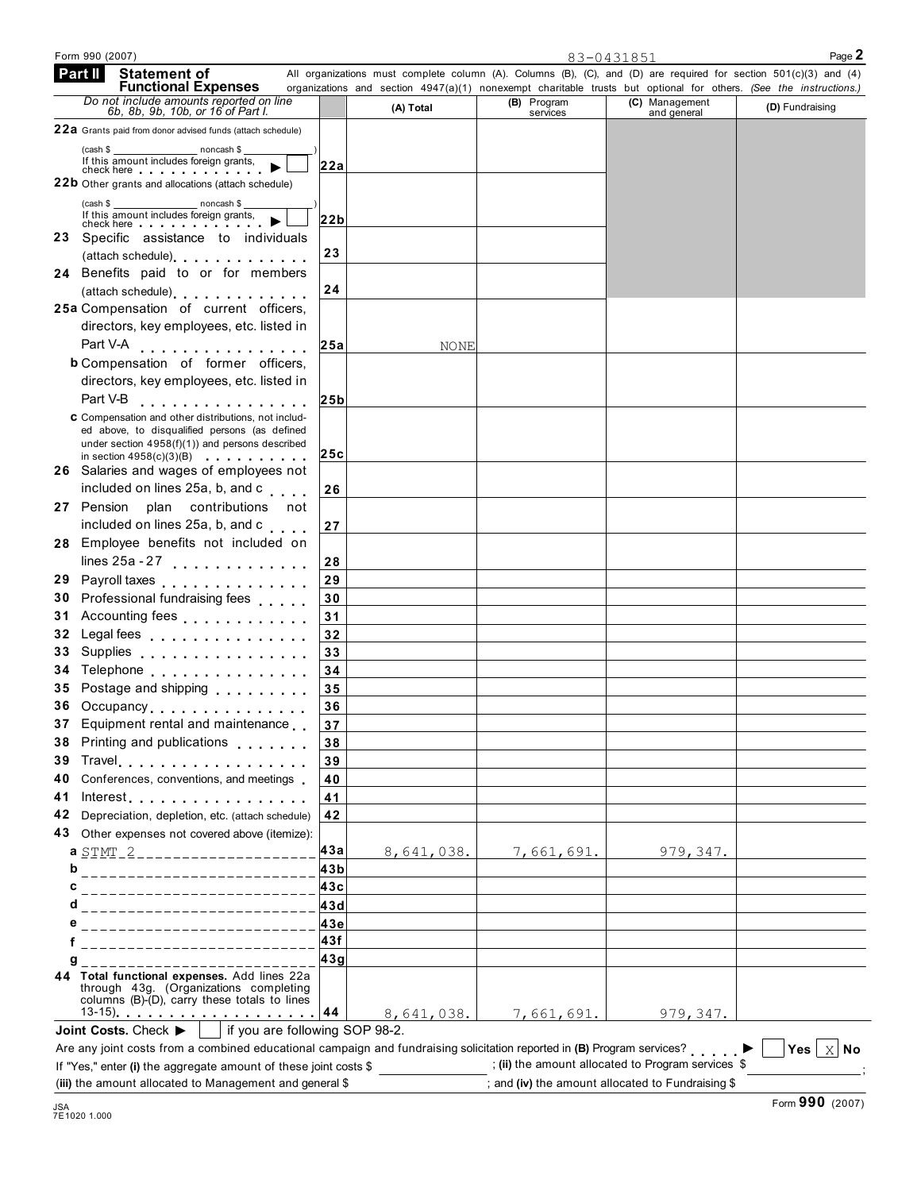|            |                                                                                                                                                                                                                                                                                                   |     |             |             |                | organizations and section 4947(a)(1) nonexempt charitable trusts but optional for others. (See the instructions.) |
|------------|---------------------------------------------------------------------------------------------------------------------------------------------------------------------------------------------------------------------------------------------------------------------------------------------------|-----|-------------|-------------|----------------|-------------------------------------------------------------------------------------------------------------------|
|            | <b>Functional Expenses</b><br>Do not include amounts reported on line<br>6b, 8b, 9b, 10b, or 16 of Part I.                                                                                                                                                                                        |     | (A) Total   | (B) Program | (C) Management | (D) Fundraising                                                                                                   |
|            |                                                                                                                                                                                                                                                                                                   |     |             | services    | and general    |                                                                                                                   |
|            | 22a Grants paid from donor advised funds (attach schedule)                                                                                                                                                                                                                                        |     |             |             |                |                                                                                                                   |
| (cash \$   | noncash \$<br>If this amount includes foreign grants.                                                                                                                                                                                                                                             | 22a |             |             |                |                                                                                                                   |
|            | check here <b>change of the change of the change of the change of the change of the change of the change of the change of the change of the change of the change of the change of the change of the change of the change of the </b><br><b>22b</b> Other grants and allocations (attach schedule) |     |             |             |                |                                                                                                                   |
|            |                                                                                                                                                                                                                                                                                                   |     |             |             |                |                                                                                                                   |
| (cash \$   | noncash \$<br>If this amount includes foreign grants,                                                                                                                                                                                                                                             | 22b |             |             |                |                                                                                                                   |
| 23         | check here with the check here with the check of the check of the check of the check of the check of the check<br>Specific assistance to individuals                                                                                                                                              |     |             |             |                |                                                                                                                   |
|            | (attach schedule) expansion and the set of the set of the set of the set of the set of the set of the set of the set of the set of the set of the set of the set of the set of the set of the set of the set of the set of the                                                                    | 23  |             |             |                |                                                                                                                   |
|            | 24 Benefits paid to or for members                                                                                                                                                                                                                                                                |     |             |             |                |                                                                                                                   |
|            | (attach schedule) expansion of the set of the set of the set of the set of the set of the set of the set of the set of the set of the set of the set of the set of the set of the set of the set of the set of the set of the                                                                     | 24  |             |             |                |                                                                                                                   |
|            | 25a Compensation of current officers,                                                                                                                                                                                                                                                             |     |             |             |                |                                                                                                                   |
|            | directors, key employees, etc. listed in                                                                                                                                                                                                                                                          |     |             |             |                |                                                                                                                   |
|            | Part V-A<br>.                                                                                                                                                                                                                                                                                     | 25a | <b>NONE</b> |             |                |                                                                                                                   |
|            | <b>b</b> Compensation of former officers,                                                                                                                                                                                                                                                         |     |             |             |                |                                                                                                                   |
|            | directors, key employees, etc. listed in                                                                                                                                                                                                                                                          |     |             |             |                |                                                                                                                   |
|            | Part V-B                                                                                                                                                                                                                                                                                          | 25b |             |             |                |                                                                                                                   |
|            | .<br>C Compensation and other distributions, not includ-                                                                                                                                                                                                                                          |     |             |             |                |                                                                                                                   |
|            | ed above, to disqualified persons (as defined                                                                                                                                                                                                                                                     |     |             |             |                |                                                                                                                   |
|            | under section 4958(f)(1)) and persons described                                                                                                                                                                                                                                                   |     |             |             |                |                                                                                                                   |
|            | in section $4958(c)(3)(B)$<br>26 Salaries and wages of employees not                                                                                                                                                                                                                              | 25c |             |             |                |                                                                                                                   |
|            | included on lines 25a, b, and c                                                                                                                                                                                                                                                                   |     |             |             |                |                                                                                                                   |
| 27 Pension | plan contributions not                                                                                                                                                                                                                                                                            | 26  |             |             |                |                                                                                                                   |
|            | included on lines 25a, b, and c                                                                                                                                                                                                                                                                   |     |             |             |                |                                                                                                                   |
|            | 28 Employee benefits not included on                                                                                                                                                                                                                                                              | 27  |             |             |                |                                                                                                                   |
|            |                                                                                                                                                                                                                                                                                                   |     |             |             |                |                                                                                                                   |
|            | lines $25a - 27$                                                                                                                                                                                                                                                                                  | 28  |             |             |                |                                                                                                                   |
|            | 29 Payroll taxes                                                                                                                                                                                                                                                                                  | 29  |             |             |                |                                                                                                                   |
|            | 30 Professional fundraising fees                                                                                                                                                                                                                                                                  | 30  |             |             |                |                                                                                                                   |
|            | 31 Accounting fees                                                                                                                                                                                                                                                                                | 31  |             |             |                |                                                                                                                   |
| 32         | Legal fees entertainment and the set of the set of the set of the set of the set of the set of the set of the                                                                                                                                                                                     | 32  |             |             |                |                                                                                                                   |
| 33         | Supplies Supplies Supplies                                                                                                                                                                                                                                                                        | 33  |             |             |                |                                                                                                                   |
| 34         | Telephone                                                                                                                                                                                                                                                                                         | 34  |             |             |                |                                                                                                                   |
|            | 35 Postage and shipping                                                                                                                                                                                                                                                                           | 35  |             |             |                |                                                                                                                   |
|            | 36 Occupancy                                                                                                                                                                                                                                                                                      | 36  |             |             |                |                                                                                                                   |
|            | 37 Equipment rental and maintenance                                                                                                                                                                                                                                                               | 37  |             |             |                |                                                                                                                   |
|            | 38 Printing and publications                                                                                                                                                                                                                                                                      | 38  |             |             |                |                                                                                                                   |
|            | 39 Travel                                                                                                                                                                                                                                                                                         | 39  |             |             |                |                                                                                                                   |
|            | 40 Conferences, conventions, and meetings                                                                                                                                                                                                                                                         | 40  |             |             |                |                                                                                                                   |
|            | 41 Interest                                                                                                                                                                                                                                                                                       | 41  |             |             |                |                                                                                                                   |
|            | 42 Depreciation, depletion, etc. (attach schedule)                                                                                                                                                                                                                                                | 42  |             |             |                |                                                                                                                   |
|            | 43 Other expenses not covered above (itemize):                                                                                                                                                                                                                                                    |     |             |             |                |                                                                                                                   |
|            | a STMT-2 _____________________                                                                                                                                                                                                                                                                    | 43a | 8,641,038.  | 7,661,691.  | 979,347.       |                                                                                                                   |
| b          | _________________________                                                                                                                                                                                                                                                                         | 43b |             |             |                |                                                                                                                   |
| C          | ____________________________                                                                                                                                                                                                                                                                      | 43c |             |             |                |                                                                                                                   |
| d          | -------------------------                                                                                                                                                                                                                                                                         | 43d |             |             |                |                                                                                                                   |
| е          | _________________________                                                                                                                                                                                                                                                                         | 43e |             |             |                |                                                                                                                   |
|            | _________________________                                                                                                                                                                                                                                                                         | 43f |             |             |                |                                                                                                                   |
| g          |                                                                                                                                                                                                                                                                                                   | 43g |             |             |                |                                                                                                                   |
|            | 44 Total functional expenses. Add lines 22a<br>through 43g. (Organizations completing<br>columns (B)-(D), carry these totals to lines                                                                                                                                                             |     | 8,641,038.  |             |                |                                                                                                                   |
|            |                                                                                                                                                                                                                                                                                                   |     |             | 7,661,691.  | 979, 347.      |                                                                                                                   |

Form 990 (2007) Page **2** 83-0431851

(iii) the amount allocated to Management and general \$  $\qquad \qquad$  ; and (iv) the amount allocated to Fundraising \$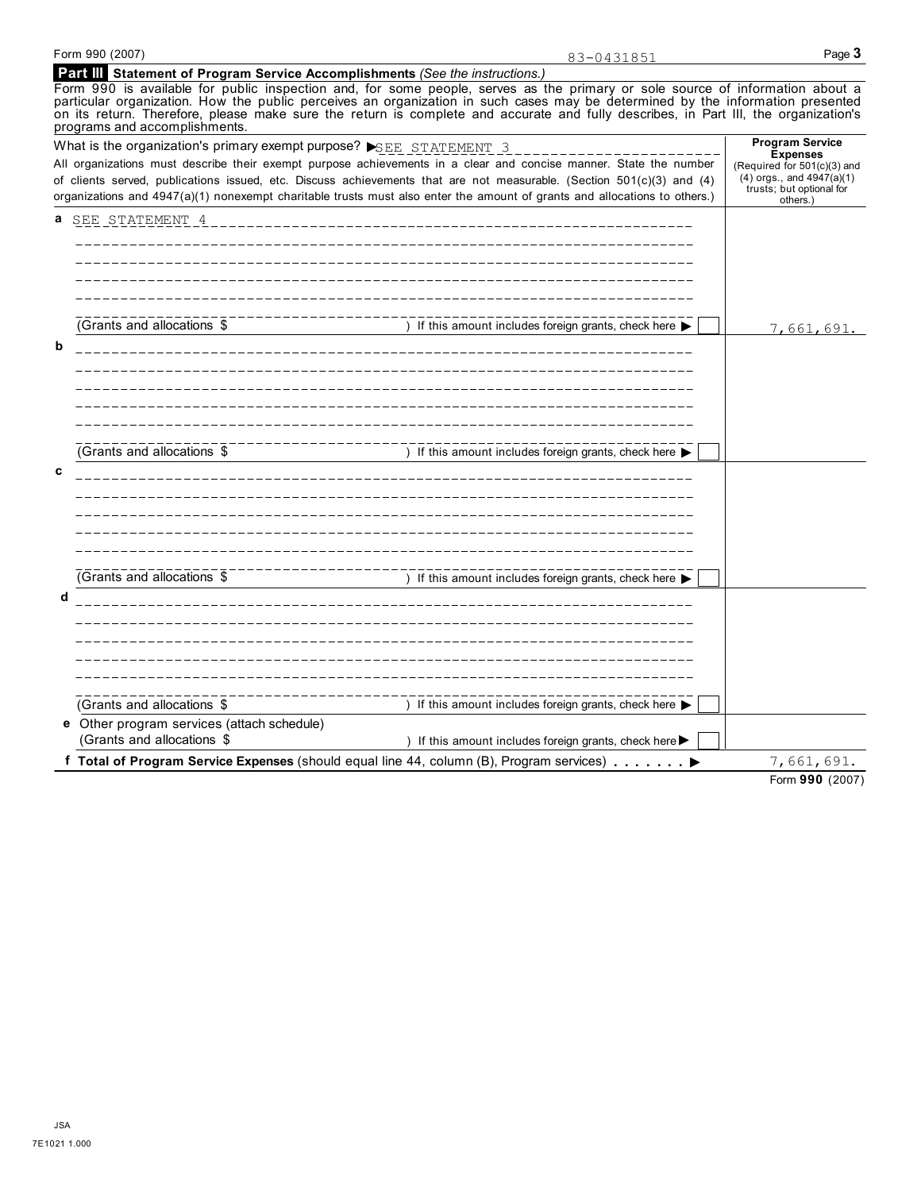|   | Form 990 (2007)                                                               |                                                                                                                                                                                                                                                                                                                                                                                                        |                                                                                                                                                   |
|---|-------------------------------------------------------------------------------|--------------------------------------------------------------------------------------------------------------------------------------------------------------------------------------------------------------------------------------------------------------------------------------------------------------------------------------------------------------------------------------------------------|---------------------------------------------------------------------------------------------------------------------------------------------------|
|   | Part III Statement of Program Service Accomplishments (See the instructions.) | 83-0431851                                                                                                                                                                                                                                                                                                                                                                                             | Page 3                                                                                                                                            |
|   | programs and accomplishments.                                                 | Form 990 is available for public inspection and, for some people, serves as the primary or sole source of information about a<br>particular organization. How the public perceives an organization in such cases may be determined by the information presented<br>on its return. Therefore, please make sure the return is complete and accurate and fully describes, in Part III, the organization's |                                                                                                                                                   |
|   | What is the organization's primary exempt purpose? SEE STATEMENT 3            | All organizations must describe their exempt purpose achievements in a clear and concise manner. State the number<br>of clients served, publications issued, etc. Discuss achievements that are not measurable. (Section 501(c)(3) and (4)<br>organizations and 4947(a)(1) nonexempt charitable trusts must also enter the amount of grants and allocations to others.)                                | <b>Program Service</b><br><b>Expenses</b><br>(Required for 501(c)(3) and<br>$(4)$ orgs., and $4947(a)(1)$<br>trusts; but optional for<br>others.) |
| a | SEE STATEMENT 4                                                               |                                                                                                                                                                                                                                                                                                                                                                                                        |                                                                                                                                                   |
|   |                                                                               |                                                                                                                                                                                                                                                                                                                                                                                                        |                                                                                                                                                   |
|   | (Grants and allocations \$                                                    | ) If this amount includes foreign grants, check here ▶                                                                                                                                                                                                                                                                                                                                                 | 7,661,691.                                                                                                                                        |
| b |                                                                               |                                                                                                                                                                                                                                                                                                                                                                                                        |                                                                                                                                                   |
|   | (Grants and allocations \$                                                    | ) If this amount includes foreign grants, check here                                                                                                                                                                                                                                                                                                                                                   |                                                                                                                                                   |
| C |                                                                               |                                                                                                                                                                                                                                                                                                                                                                                                        |                                                                                                                                                   |
|   | (Grants and allocations \$                                                    | ) If this amount includes foreign grants, check here ▶                                                                                                                                                                                                                                                                                                                                                 |                                                                                                                                                   |
| d |                                                                               |                                                                                                                                                                                                                                                                                                                                                                                                        |                                                                                                                                                   |

| (Grants and allocations \$                 | If this amount includes foreign grants, check here $\blacktriangleright$                                       |            |
|--------------------------------------------|----------------------------------------------------------------------------------------------------------------|------------|
| e Other program services (attach schedule) |                                                                                                                |            |
| (Grants and allocations \$                 | If this amount includes foreign grants, check here $\blacktriangleright$                                       |            |
|                                            | f Total of Program Service Expenses (should equal line 44, column (B), Program services) $\blacktriangleright$ | 7,661,691. |
|                                            |                                                                                                                |            |

Form **990** (2007)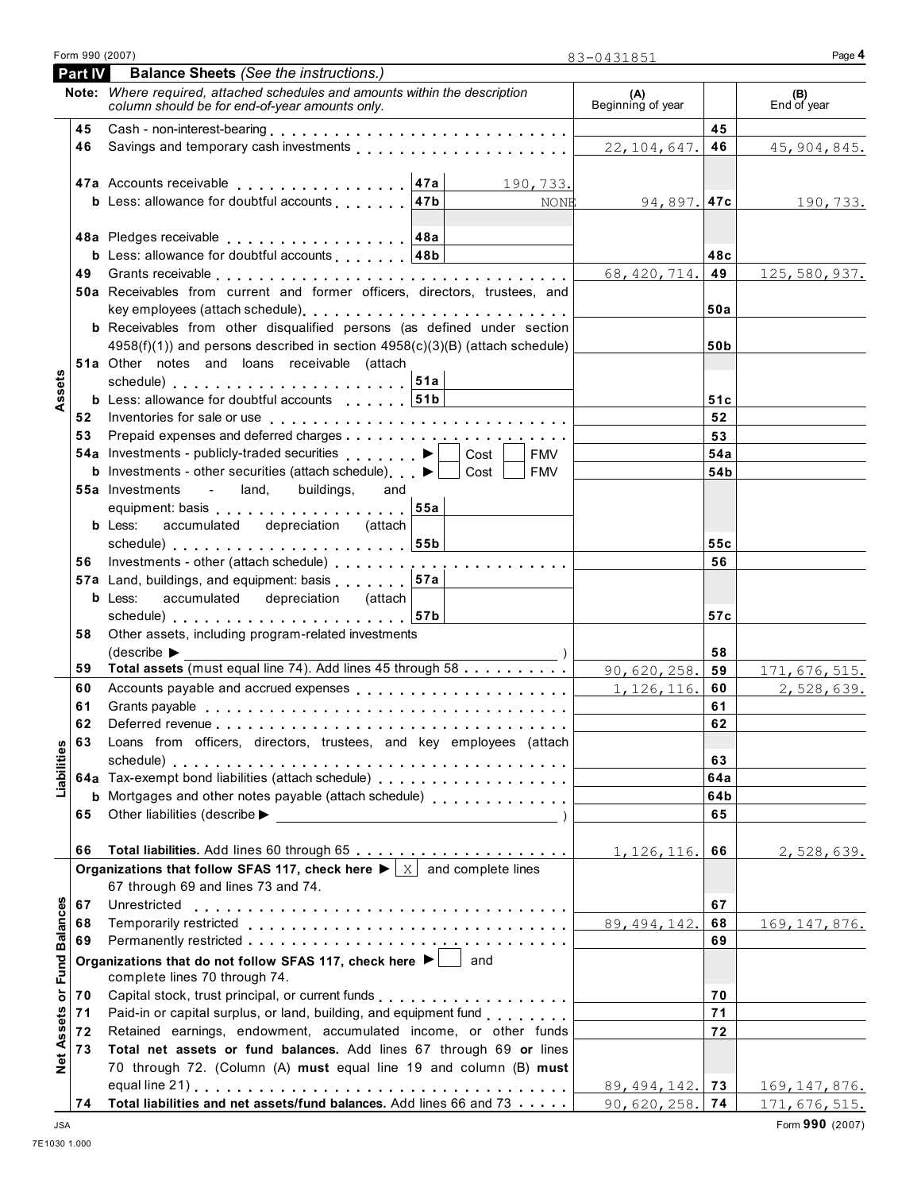| Form 990 (2007) |                                               |
|-----------------|-----------------------------------------------|
| I Part IV I     | <b>Balance Sheets</b> (See the instructions.) |

|                             |          | Note: Where required, attached schedules and amounts within the description<br>column should be for end-of-year amounts only.                                                                                                                                                                                                                                                                                                                                                                                                                                                                                                                                                                                                                                                                                                                                                                                                                                                                                                                                                                                                                                                                                                                                                                                                                                                                                                                                                                                                                                                                                                                                                                                                                                                                                                                                                                                                                                                                                                                                                                                                                                                                                                                                                                                                                                                                               |                                          | (A)<br>Beginning of year |                 | (B)<br>End of year    |
|-----------------------------|----------|-------------------------------------------------------------------------------------------------------------------------------------------------------------------------------------------------------------------------------------------------------------------------------------------------------------------------------------------------------------------------------------------------------------------------------------------------------------------------------------------------------------------------------------------------------------------------------------------------------------------------------------------------------------------------------------------------------------------------------------------------------------------------------------------------------------------------------------------------------------------------------------------------------------------------------------------------------------------------------------------------------------------------------------------------------------------------------------------------------------------------------------------------------------------------------------------------------------------------------------------------------------------------------------------------------------------------------------------------------------------------------------------------------------------------------------------------------------------------------------------------------------------------------------------------------------------------------------------------------------------------------------------------------------------------------------------------------------------------------------------------------------------------------------------------------------------------------------------------------------------------------------------------------------------------------------------------------------------------------------------------------------------------------------------------------------------------------------------------------------------------------------------------------------------------------------------------------------------------------------------------------------------------------------------------------------------------------------------------------------------------------------------------------------|------------------------------------------|--------------------------|-----------------|-----------------------|
|                             | 45       |                                                                                                                                                                                                                                                                                                                                                                                                                                                                                                                                                                                                                                                                                                                                                                                                                                                                                                                                                                                                                                                                                                                                                                                                                                                                                                                                                                                                                                                                                                                                                                                                                                                                                                                                                                                                                                                                                                                                                                                                                                                                                                                                                                                                                                                                                                                                                                                                             | <u> 1980 - Johann Barbara, martxa al</u> |                          | 45              |                       |
|                             | 46       |                                                                                                                                                                                                                                                                                                                                                                                                                                                                                                                                                                                                                                                                                                                                                                                                                                                                                                                                                                                                                                                                                                                                                                                                                                                                                                                                                                                                                                                                                                                                                                                                                                                                                                                                                                                                                                                                                                                                                                                                                                                                                                                                                                                                                                                                                                                                                                                                             |                                          | 22, 104, 647.            | 46              | 45, 904, 845.         |
|                             |          |                                                                                                                                                                                                                                                                                                                                                                                                                                                                                                                                                                                                                                                                                                                                                                                                                                                                                                                                                                                                                                                                                                                                                                                                                                                                                                                                                                                                                                                                                                                                                                                                                                                                                                                                                                                                                                                                                                                                                                                                                                                                                                                                                                                                                                                                                                                                                                                                             |                                          |                          |                 |                       |
|                             |          |                                                                                                                                                                                                                                                                                                                                                                                                                                                                                                                                                                                                                                                                                                                                                                                                                                                                                                                                                                                                                                                                                                                                                                                                                                                                                                                                                                                                                                                                                                                                                                                                                                                                                                                                                                                                                                                                                                                                                                                                                                                                                                                                                                                                                                                                                                                                                                                                             |                                          |                          |                 |                       |
|                             |          | <b>b</b> Less: allowance for doubtful accounts $ 47b $                                                                                                                                                                                                                                                                                                                                                                                                                                                                                                                                                                                                                                                                                                                                                                                                                                                                                                                                                                                                                                                                                                                                                                                                                                                                                                                                                                                                                                                                                                                                                                                                                                                                                                                                                                                                                                                                                                                                                                                                                                                                                                                                                                                                                                                                                                                                                      | NONE                                     | 94,897. <b>47c</b>       |                 | 190,733.              |
|                             |          |                                                                                                                                                                                                                                                                                                                                                                                                                                                                                                                                                                                                                                                                                                                                                                                                                                                                                                                                                                                                                                                                                                                                                                                                                                                                                                                                                                                                                                                                                                                                                                                                                                                                                                                                                                                                                                                                                                                                                                                                                                                                                                                                                                                                                                                                                                                                                                                                             |                                          |                          |                 |                       |
|                             |          |                                                                                                                                                                                                                                                                                                                                                                                                                                                                                                                                                                                                                                                                                                                                                                                                                                                                                                                                                                                                                                                                                                                                                                                                                                                                                                                                                                                                                                                                                                                                                                                                                                                                                                                                                                                                                                                                                                                                                                                                                                                                                                                                                                                                                                                                                                                                                                                                             |                                          |                          |                 |                       |
|                             |          |                                                                                                                                                                                                                                                                                                                                                                                                                                                                                                                                                                                                                                                                                                                                                                                                                                                                                                                                                                                                                                                                                                                                                                                                                                                                                                                                                                                                                                                                                                                                                                                                                                                                                                                                                                                                                                                                                                                                                                                                                                                                                                                                                                                                                                                                                                                                                                                                             |                                          |                          | 48c             |                       |
|                             |          |                                                                                                                                                                                                                                                                                                                                                                                                                                                                                                                                                                                                                                                                                                                                                                                                                                                                                                                                                                                                                                                                                                                                                                                                                                                                                                                                                                                                                                                                                                                                                                                                                                                                                                                                                                                                                                                                                                                                                                                                                                                                                                                                                                                                                                                                                                                                                                                                             |                                          |                          |                 | 125,580,937.          |
|                             |          |                                                                                                                                                                                                                                                                                                                                                                                                                                                                                                                                                                                                                                                                                                                                                                                                                                                                                                                                                                                                                                                                                                                                                                                                                                                                                                                                                                                                                                                                                                                                                                                                                                                                                                                                                                                                                                                                                                                                                                                                                                                                                                                                                                                                                                                                                                                                                                                                             |                                          |                          |                 |                       |
|                             |          |                                                                                                                                                                                                                                                                                                                                                                                                                                                                                                                                                                                                                                                                                                                                                                                                                                                                                                                                                                                                                                                                                                                                                                                                                                                                                                                                                                                                                                                                                                                                                                                                                                                                                                                                                                                                                                                                                                                                                                                                                                                                                                                                                                                                                                                                                                                                                                                                             |                                          |                          | 50a             |                       |
|                             |          |                                                                                                                                                                                                                                                                                                                                                                                                                                                                                                                                                                                                                                                                                                                                                                                                                                                                                                                                                                                                                                                                                                                                                                                                                                                                                                                                                                                                                                                                                                                                                                                                                                                                                                                                                                                                                                                                                                                                                                                                                                                                                                                                                                                                                                                                                                                                                                                                             |                                          |                          |                 |                       |
|                             |          |                                                                                                                                                                                                                                                                                                                                                                                                                                                                                                                                                                                                                                                                                                                                                                                                                                                                                                                                                                                                                                                                                                                                                                                                                                                                                                                                                                                                                                                                                                                                                                                                                                                                                                                                                                                                                                                                                                                                                                                                                                                                                                                                                                                                                                                                                                                                                                                                             |                                          |                          | 50 <sub>b</sub> |                       |
|                             |          | 51a Other notes and loans receivable (attach                                                                                                                                                                                                                                                                                                                                                                                                                                                                                                                                                                                                                                                                                                                                                                                                                                                                                                                                                                                                                                                                                                                                                                                                                                                                                                                                                                                                                                                                                                                                                                                                                                                                                                                                                                                                                                                                                                                                                                                                                                                                                                                                                                                                                                                                                                                                                                |                                          |                          |                 |                       |
| Assets                      |          |                                                                                                                                                                                                                                                                                                                                                                                                                                                                                                                                                                                                                                                                                                                                                                                                                                                                                                                                                                                                                                                                                                                                                                                                                                                                                                                                                                                                                                                                                                                                                                                                                                                                                                                                                                                                                                                                                                                                                                                                                                                                                                                                                                                                                                                                                                                                                                                                             |                                          |                          |                 |                       |
|                             |          |                                                                                                                                                                                                                                                                                                                                                                                                                                                                                                                                                                                                                                                                                                                                                                                                                                                                                                                                                                                                                                                                                                                                                                                                                                                                                                                                                                                                                                                                                                                                                                                                                                                                                                                                                                                                                                                                                                                                                                                                                                                                                                                                                                                                                                                                                                                                                                                                             |                                          |                          | 51c             |                       |
|                             |          |                                                                                                                                                                                                                                                                                                                                                                                                                                                                                                                                                                                                                                                                                                                                                                                                                                                                                                                                                                                                                                                                                                                                                                                                                                                                                                                                                                                                                                                                                                                                                                                                                                                                                                                                                                                                                                                                                                                                                                                                                                                                                                                                                                                                                                                                                                                                                                                                             |                                          |                          | 52              |                       |
|                             | 53       |                                                                                                                                                                                                                                                                                                                                                                                                                                                                                                                                                                                                                                                                                                                                                                                                                                                                                                                                                                                                                                                                                                                                                                                                                                                                                                                                                                                                                                                                                                                                                                                                                                                                                                                                                                                                                                                                                                                                                                                                                                                                                                                                                                                                                                                                                                                                                                                                             |                                          |                          | 53              |                       |
|                             |          |                                                                                                                                                                                                                                                                                                                                                                                                                                                                                                                                                                                                                                                                                                                                                                                                                                                                                                                                                                                                                                                                                                                                                                                                                                                                                                                                                                                                                                                                                                                                                                                                                                                                                                                                                                                                                                                                                                                                                                                                                                                                                                                                                                                                                                                                                                                                                                                                             | FMV                                      |                          | 54a             |                       |
|                             |          |                                                                                                                                                                                                                                                                                                                                                                                                                                                                                                                                                                                                                                                                                                                                                                                                                                                                                                                                                                                                                                                                                                                                                                                                                                                                                                                                                                                                                                                                                                                                                                                                                                                                                                                                                                                                                                                                                                                                                                                                                                                                                                                                                                                                                                                                                                                                                                                                             | Cost<br>FMV                              |                          | 54 <sub>b</sub> |                       |
|                             |          | <b>55a</b> Investments<br>- land, buildings,<br>and                                                                                                                                                                                                                                                                                                                                                                                                                                                                                                                                                                                                                                                                                                                                                                                                                                                                                                                                                                                                                                                                                                                                                                                                                                                                                                                                                                                                                                                                                                                                                                                                                                                                                                                                                                                                                                                                                                                                                                                                                                                                                                                                                                                                                                                                                                                                                         |                                          |                          |                 |                       |
|                             |          |                                                                                                                                                                                                                                                                                                                                                                                                                                                                                                                                                                                                                                                                                                                                                                                                                                                                                                                                                                                                                                                                                                                                                                                                                                                                                                                                                                                                                                                                                                                                                                                                                                                                                                                                                                                                                                                                                                                                                                                                                                                                                                                                                                                                                                                                                                                                                                                                             |                                          |                          |                 |                       |
|                             |          | <b>b</b> Less:                                                                                                                                                                                                                                                                                                                                                                                                                                                                                                                                                                                                                                                                                                                                                                                                                                                                                                                                                                                                                                                                                                                                                                                                                                                                                                                                                                                                                                                                                                                                                                                                                                                                                                                                                                                                                                                                                                                                                                                                                                                                                                                                                                                                                                                                                                                                                                                              |                                          |                          |                 |                       |
|                             |          |                                                                                                                                                                                                                                                                                                                                                                                                                                                                                                                                                                                                                                                                                                                                                                                                                                                                                                                                                                                                                                                                                                                                                                                                                                                                                                                                                                                                                                                                                                                                                                                                                                                                                                                                                                                                                                                                                                                                                                                                                                                                                                                                                                                                                                                                                                                                                                                                             |                                          |                          |                 |                       |
|                             |          |                                                                                                                                                                                                                                                                                                                                                                                                                                                                                                                                                                                                                                                                                                                                                                                                                                                                                                                                                                                                                                                                                                                                                                                                                                                                                                                                                                                                                                                                                                                                                                                                                                                                                                                                                                                                                                                                                                                                                                                                                                                                                                                                                                                                                                                                                                                                                                                                             |                                          |                          |                 |                       |
|                             |          |                                                                                                                                                                                                                                                                                                                                                                                                                                                                                                                                                                                                                                                                                                                                                                                                                                                                                                                                                                                                                                                                                                                                                                                                                                                                                                                                                                                                                                                                                                                                                                                                                                                                                                                                                                                                                                                                                                                                                                                                                                                                                                                                                                                                                                                                                                                                                                                                             |                                          |                          |                 |                       |
|                             |          | <b>b</b> Less:                                                                                                                                                                                                                                                                                                                                                                                                                                                                                                                                                                                                                                                                                                                                                                                                                                                                                                                                                                                                                                                                                                                                                                                                                                                                                                                                                                                                                                                                                                                                                                                                                                                                                                                                                                                                                                                                                                                                                                                                                                                                                                                                                                                                                                                                                                                                                                                              |                                          |                          |                 |                       |
|                             |          |                                                                                                                                                                                                                                                                                                                                                                                                                                                                                                                                                                                                                                                                                                                                                                                                                                                                                                                                                                                                                                                                                                                                                                                                                                                                                                                                                                                                                                                                                                                                                                                                                                                                                                                                                                                                                                                                                                                                                                                                                                                                                                                                                                                                                                                                                                                                                                                                             |                                          |                          |                 |                       |
|                             | 58       |                                                                                                                                                                                                                                                                                                                                                                                                                                                                                                                                                                                                                                                                                                                                                                                                                                                                                                                                                                                                                                                                                                                                                                                                                                                                                                                                                                                                                                                                                                                                                                                                                                                                                                                                                                                                                                                                                                                                                                                                                                                                                                                                                                                                                                                                                                                                                                                                             |                                          |                          |                 |                       |
|                             |          |                                                                                                                                                                                                                                                                                                                                                                                                                                                                                                                                                                                                                                                                                                                                                                                                                                                                                                                                                                                                                                                                                                                                                                                                                                                                                                                                                                                                                                                                                                                                                                                                                                                                                                                                                                                                                                                                                                                                                                                                                                                                                                                                                                                                                                                                                                                                                                                                             |                                          |                          |                 |                       |
|                             | 59       |                                                                                                                                                                                                                                                                                                                                                                                                                                                                                                                                                                                                                                                                                                                                                                                                                                                                                                                                                                                                                                                                                                                                                                                                                                                                                                                                                                                                                                                                                                                                                                                                                                                                                                                                                                                                                                                                                                                                                                                                                                                                                                                                                                                                                                                                                                                                                                                                             |                                          |                          |                 | 171, 676, 515.        |
|                             | 60       |                                                                                                                                                                                                                                                                                                                                                                                                                                                                                                                                                                                                                                                                                                                                                                                                                                                                                                                                                                                                                                                                                                                                                                                                                                                                                                                                                                                                                                                                                                                                                                                                                                                                                                                                                                                                                                                                                                                                                                                                                                                                                                                                                                                                                                                                                                                                                                                                             |                                          |                          |                 | 2,528,639.            |
|                             | 61<br>62 |                                                                                                                                                                                                                                                                                                                                                                                                                                                                                                                                                                                                                                                                                                                                                                                                                                                                                                                                                                                                                                                                                                                                                                                                                                                                                                                                                                                                                                                                                                                                                                                                                                                                                                                                                                                                                                                                                                                                                                                                                                                                                                                                                                                                                                                                                                                                                                                                             |                                          |                          |                 |                       |
|                             | 63       |                                                                                                                                                                                                                                                                                                                                                                                                                                                                                                                                                                                                                                                                                                                                                                                                                                                                                                                                                                                                                                                                                                                                                                                                                                                                                                                                                                                                                                                                                                                                                                                                                                                                                                                                                                                                                                                                                                                                                                                                                                                                                                                                                                                                                                                                                                                                                                                                             |                                          |                          |                 |                       |
| ties                        |          |                                                                                                                                                                                                                                                                                                                                                                                                                                                                                                                                                                                                                                                                                                                                                                                                                                                                                                                                                                                                                                                                                                                                                                                                                                                                                                                                                                                                                                                                                                                                                                                                                                                                                                                                                                                                                                                                                                                                                                                                                                                                                                                                                                                                                                                                                                                                                                                                             |                                          |                          |                 |                       |
|                             |          |                                                                                                                                                                                                                                                                                                                                                                                                                                                                                                                                                                                                                                                                                                                                                                                                                                                                                                                                                                                                                                                                                                                                                                                                                                                                                                                                                                                                                                                                                                                                                                                                                                                                                                                                                                                                                                                                                                                                                                                                                                                                                                                                                                                                                                                                                                                                                                                                             |                                          |                          |                 |                       |
| Liabill                     |          |                                                                                                                                                                                                                                                                                                                                                                                                                                                                                                                                                                                                                                                                                                                                                                                                                                                                                                                                                                                                                                                                                                                                                                                                                                                                                                                                                                                                                                                                                                                                                                                                                                                                                                                                                                                                                                                                                                                                                                                                                                                                                                                                                                                                                                                                                                                                                                                                             |                                          |                          |                 |                       |
|                             | 65       |                                                                                                                                                                                                                                                                                                                                                                                                                                                                                                                                                                                                                                                                                                                                                                                                                                                                                                                                                                                                                                                                                                                                                                                                                                                                                                                                                                                                                                                                                                                                                                                                                                                                                                                                                                                                                                                                                                                                                                                                                                                                                                                                                                                                                                                                                                                                                                                                             |                                          |                          |                 |                       |
|                             |          |                                                                                                                                                                                                                                                                                                                                                                                                                                                                                                                                                                                                                                                                                                                                                                                                                                                                                                                                                                                                                                                                                                                                                                                                                                                                                                                                                                                                                                                                                                                                                                                                                                                                                                                                                                                                                                                                                                                                                                                                                                                                                                                                                                                                                                                                                                                                                                                                             |                                          |                          |                 |                       |
|                             | 66       | 48a Pledges receivable 48a<br><b>b</b> Less: allowance for doubtful accounts 48b<br>68, 420, 714.   49<br>50a Receivables from current and former officers, directors, trustees, and<br><b>b</b> Receivables from other disqualified persons (as defined under section<br>4958(f)(1)) and persons described in section 4958(c)(3)(B) (attach schedule)<br><b>b</b> Less: allowance for doubtful accounts   51b<br>Prepaid expenses and deferred charges<br>54a Investments - publicly-traded securities $\begin{array}{c} \bullet \end{array}$   Cost  <br><b>b</b> Investments - other securities (attach schedule) $\blacktriangleright$<br>equipment: basis expansion of the set of the set of the set of the set of the set of the set of the set of the<br>accumulated depreciation (attach<br>schedule) schedule 35b<br>55c<br>56<br>57a Land, buildings, and equipment: basis   57a<br>accumulated depreciation (attach)<br>57c<br>Other assets, including program-related investments<br>$\left($ describe $\blacktriangleright$<br>58<br>Total assets (must equal line 74). Add lines 45 through 58<br>90,620,258.<br>59<br>Accounts payable and accrued expenses entitled as a series of the series and accrued expenses<br>1, 126, 116.<br>60<br>61<br>62<br>Loans from officers, directors, trustees, and key employees (attach<br>63<br>schedule)<br>64a<br><b>b</b> Mortgages and other notes payable (attach schedule) <b>compared to a state of Mortgages</b> and other notes payable (attach schedule)<br>64b<br>Other liabilities (describe $\blacktriangleright$<br>65<br><u> 1980 - John Stein, amerikansk politiker (</u><br>1, 126, 116.<br>66<br>Organizations that follow SFAS 117, check here $\blacktriangleright$ $\mid$ $\text{X}$ and complete lines<br>67 through 69 and lines 73 and 74.<br>67<br>89, 494, 142.<br>68<br>69<br>Organizations that do not follow SFAS 117, check here ▶ □<br>and<br>Capital stock, trust principal, or current funds<br>70<br>Paid-in or capital surplus, or land, building, and equipment fund<br>71<br>Retained earnings, endowment, accumulated income, or other funds<br>72<br>Total net assets or fund balances. Add lines 67 through 69 or lines<br>70 through 72. (Column (A) must equal line 19 and column (B) must<br>89, 494, 142.<br>73<br>Total liabilities and net assets/fund balances. Add lines 66 and 73<br>$90,620,258.$ 74 | 2,528,639.                               |                          |                 |                       |
|                             |          |                                                                                                                                                                                                                                                                                                                                                                                                                                                                                                                                                                                                                                                                                                                                                                                                                                                                                                                                                                                                                                                                                                                                                                                                                                                                                                                                                                                                                                                                                                                                                                                                                                                                                                                                                                                                                                                                                                                                                                                                                                                                                                                                                                                                                                                                                                                                                                                                             |                                          |                          |                 |                       |
|                             |          |                                                                                                                                                                                                                                                                                                                                                                                                                                                                                                                                                                                                                                                                                                                                                                                                                                                                                                                                                                                                                                                                                                                                                                                                                                                                                                                                                                                                                                                                                                                                                                                                                                                                                                                                                                                                                                                                                                                                                                                                                                                                                                                                                                                                                                                                                                                                                                                                             |                                          |                          |                 |                       |
|                             | 67       | Unrestricted                                                                                                                                                                                                                                                                                                                                                                                                                                                                                                                                                                                                                                                                                                                                                                                                                                                                                                                                                                                                                                                                                                                                                                                                                                                                                                                                                                                                                                                                                                                                                                                                                                                                                                                                                                                                                                                                                                                                                                                                                                                                                                                                                                                                                                                                                                                                                                                                |                                          |                          |                 |                       |
|                             | 68       |                                                                                                                                                                                                                                                                                                                                                                                                                                                                                                                                                                                                                                                                                                                                                                                                                                                                                                                                                                                                                                                                                                                                                                                                                                                                                                                                                                                                                                                                                                                                                                                                                                                                                                                                                                                                                                                                                                                                                                                                                                                                                                                                                                                                                                                                                                                                                                                                             |                                          |                          |                 | 169, 147, 876.        |
| Net Assets or Fund Balances | 69       |                                                                                                                                                                                                                                                                                                                                                                                                                                                                                                                                                                                                                                                                                                                                                                                                                                                                                                                                                                                                                                                                                                                                                                                                                                                                                                                                                                                                                                                                                                                                                                                                                                                                                                                                                                                                                                                                                                                                                                                                                                                                                                                                                                                                                                                                                                                                                                                                             |                                          |                          |                 |                       |
|                             |          |                                                                                                                                                                                                                                                                                                                                                                                                                                                                                                                                                                                                                                                                                                                                                                                                                                                                                                                                                                                                                                                                                                                                                                                                                                                                                                                                                                                                                                                                                                                                                                                                                                                                                                                                                                                                                                                                                                                                                                                                                                                                                                                                                                                                                                                                                                                                                                                                             |                                          |                          |                 |                       |
|                             |          | complete lines 70 through 74.                                                                                                                                                                                                                                                                                                                                                                                                                                                                                                                                                                                                                                                                                                                                                                                                                                                                                                                                                                                                                                                                                                                                                                                                                                                                                                                                                                                                                                                                                                                                                                                                                                                                                                                                                                                                                                                                                                                                                                                                                                                                                                                                                                                                                                                                                                                                                                               |                                          |                          |                 |                       |
|                             | 70       |                                                                                                                                                                                                                                                                                                                                                                                                                                                                                                                                                                                                                                                                                                                                                                                                                                                                                                                                                                                                                                                                                                                                                                                                                                                                                                                                                                                                                                                                                                                                                                                                                                                                                                                                                                                                                                                                                                                                                                                                                                                                                                                                                                                                                                                                                                                                                                                                             |                                          |                          |                 |                       |
|                             | 71       |                                                                                                                                                                                                                                                                                                                                                                                                                                                                                                                                                                                                                                                                                                                                                                                                                                                                                                                                                                                                                                                                                                                                                                                                                                                                                                                                                                                                                                                                                                                                                                                                                                                                                                                                                                                                                                                                                                                                                                                                                                                                                                                                                                                                                                                                                                                                                                                                             |                                          |                          |                 |                       |
|                             | 72       |                                                                                                                                                                                                                                                                                                                                                                                                                                                                                                                                                                                                                                                                                                                                                                                                                                                                                                                                                                                                                                                                                                                                                                                                                                                                                                                                                                                                                                                                                                                                                                                                                                                                                                                                                                                                                                                                                                                                                                                                                                                                                                                                                                                                                                                                                                                                                                                                             |                                          |                          |                 |                       |
|                             | 73       |                                                                                                                                                                                                                                                                                                                                                                                                                                                                                                                                                                                                                                                                                                                                                                                                                                                                                                                                                                                                                                                                                                                                                                                                                                                                                                                                                                                                                                                                                                                                                                                                                                                                                                                                                                                                                                                                                                                                                                                                                                                                                                                                                                                                                                                                                                                                                                                                             |                                          |                          |                 |                       |
|                             |          |                                                                                                                                                                                                                                                                                                                                                                                                                                                                                                                                                                                                                                                                                                                                                                                                                                                                                                                                                                                                                                                                                                                                                                                                                                                                                                                                                                                                                                                                                                                                                                                                                                                                                                                                                                                                                                                                                                                                                                                                                                                                                                                                                                                                                                                                                                                                                                                                             |                                          |                          |                 |                       |
|                             |          |                                                                                                                                                                                                                                                                                                                                                                                                                                                                                                                                                                                                                                                                                                                                                                                                                                                                                                                                                                                                                                                                                                                                                                                                                                                                                                                                                                                                                                                                                                                                                                                                                                                                                                                                                                                                                                                                                                                                                                                                                                                                                                                                                                                                                                                                                                                                                                                                             |                                          |                          |                 | <u>169, 147, 876.</u> |
|                             | 74       |                                                                                                                                                                                                                                                                                                                                                                                                                                                                                                                                                                                                                                                                                                                                                                                                                                                                                                                                                                                                                                                                                                                                                                                                                                                                                                                                                                                                                                                                                                                                                                                                                                                                                                                                                                                                                                                                                                                                                                                                                                                                                                                                                                                                                                                                                                                                                                                                             |                                          |                          |                 | 171, 676, 515.        |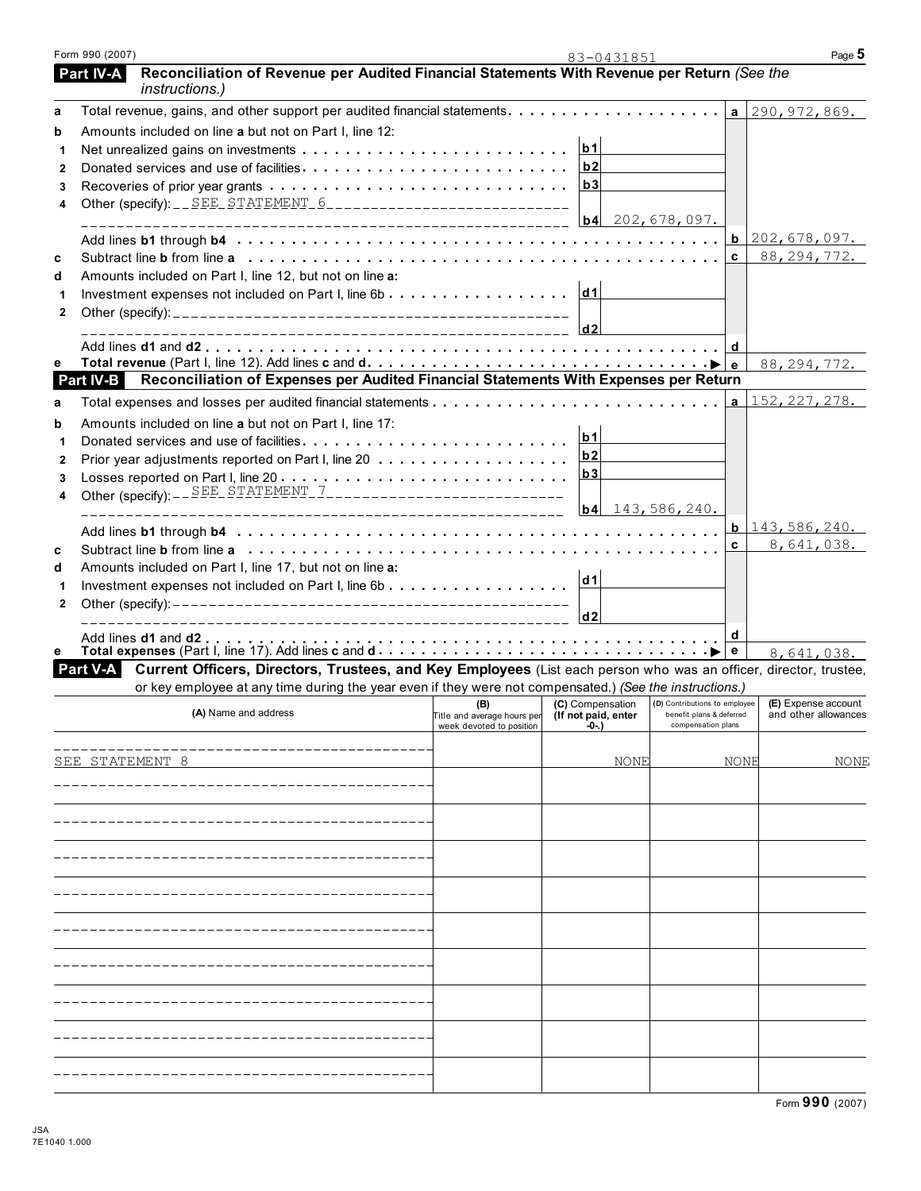| Form 990 (2007)  |                                                                                                                      |                                                 | 83-0431851       |                               |              | Page 5                     |
|------------------|----------------------------------------------------------------------------------------------------------------------|-------------------------------------------------|------------------|-------------------------------|--------------|----------------------------|
| <b>Part IV-A</b> | Reconciliation of Revenue per Audited Financial Statements With Revenue per Return (See the<br><i>instructions.)</i> |                                                 |                  |                               |              |                            |
| a                |                                                                                                                      |                                                 |                  |                               |              | $a$ 290, 972, 869.         |
| b                | Amounts included on line a but not on Part I, line 12:                                                               |                                                 |                  |                               |              |                            |
|                  |                                                                                                                      |                                                 | b1               |                               |              |                            |
| $\mathbf{2}$     |                                                                                                                      |                                                 | b2               |                               |              |                            |
| 3                |                                                                                                                      |                                                 | b3               |                               |              |                            |
| 4                |                                                                                                                      |                                                 |                  |                               |              |                            |
|                  |                                                                                                                      |                                                 |                  | $b4$ 202, 678, 097.           |              |                            |
|                  |                                                                                                                      |                                                 |                  |                               |              | $b$ 202,678,097.           |
| c                |                                                                                                                      |                                                 |                  |                               | C            | 88, 294, 772.              |
| d                | Amounts included on Part I, line 12, but not on line a:                                                              |                                                 |                  |                               |              |                            |
|                  | Investment expenses not included on Part I, line 6b                                                                  |                                                 | dd1              |                               |              |                            |
| 2                |                                                                                                                      |                                                 |                  |                               |              |                            |
|                  |                                                                                                                      |                                                 | d2               |                               |              |                            |
| е                |                                                                                                                      |                                                 |                  |                               | d            |                            |
| Part IV-B        | Reconciliation of Expenses per Audited Financial Statements With Expenses per Return                                 |                                                 |                  |                               |              | 88, 294, 772.              |
|                  |                                                                                                                      |                                                 |                  |                               |              | 152, 227, 278.             |
| a                |                                                                                                                      |                                                 |                  |                               | a            |                            |
| b                | Amounts included on line a but not on Part I, line 17:                                                               |                                                 | b1               |                               |              |                            |
| 1                |                                                                                                                      |                                                 | b2               |                               |              |                            |
| 2                |                                                                                                                      |                                                 | b3               |                               |              |                            |
| 3                | Other (specify): $-$ SEE STATEMENT 7 _______________________________                                                 |                                                 |                  |                               |              |                            |
| 4                |                                                                                                                      |                                                 | b4               | 143,586,240.                  |              |                            |
|                  |                                                                                                                      |                                                 |                  |                               |              | <b>b</b> $143, 586, 240$ . |
|                  |                                                                                                                      |                                                 |                  |                               | $\mathbf{c}$ | 8,641,038.                 |
| C<br>d           | Amounts included on Part I, line 17, but not on line a:                                                              |                                                 |                  |                               |              |                            |
| 1                |                                                                                                                      |                                                 | d1               |                               |              |                            |
| 2                |                                                                                                                      |                                                 |                  |                               |              |                            |
|                  |                                                                                                                      |                                                 | d2               |                               |              |                            |
|                  |                                                                                                                      |                                                 |                  |                               | d            |                            |
| е                |                                                                                                                      |                                                 |                  |                               | e            | 8,641,038.                 |
| Part V-A         | Current Officers, Directors, Trustees, and Key Employees (List each person who was an officer, director, trustee,    |                                                 |                  |                               |              |                            |
|                  | or key employee at any time during the year even if they were not compensated.) (See the instructions.)              |                                                 | (C) Compensation | (D) Contributions to employee |              | (E) Expense account        |
|                  | (A) Name and address                                                                                                 | Title and average hours per (If not paid, enter |                  | benefit plans & deferred      |              | and other allowances       |
|                  |                                                                                                                      | week devoted to position                        | -0-.)            | compensation plans            |              |                            |
|                  |                                                                                                                      |                                                 |                  |                               |              |                            |
|                  | SEE STATEMENT 8                                                                                                      |                                                 | NONE             |                               | NONE         | NONE                       |
|                  |                                                                                                                      |                                                 |                  |                               |              |                            |
|                  |                                                                                                                      |                                                 |                  |                               |              |                            |
|                  |                                                                                                                      |                                                 |                  |                               |              |                            |
|                  |                                                                                                                      |                                                 |                  |                               |              |                            |
|                  |                                                                                                                      |                                                 |                  |                               |              |                            |
|                  |                                                                                                                      |                                                 |                  |                               |              |                            |
|                  |                                                                                                                      |                                                 |                  |                               |              |                            |
|                  |                                                                                                                      |                                                 |                  |                               |              |                            |
|                  |                                                                                                                      |                                                 |                  |                               |              |                            |
|                  |                                                                                                                      |                                                 |                  |                               |              |                            |
|                  |                                                                                                                      |                                                 |                  |                               |              |                            |
|                  |                                                                                                                      |                                                 |                  |                               |              |                            |
|                  |                                                                                                                      |                                                 |                  |                               |              |                            |
|                  |                                                                                                                      |                                                 |                  |                               |              |                            |
|                  |                                                                                                                      |                                                 |                  |                               |              |                            |
|                  |                                                                                                                      |                                                 |                  |                               |              |                            |
|                  |                                                                                                                      |                                                 |                  |                               |              |                            |
|                  |                                                                                                                      |                                                 |                  |                               |              |                            |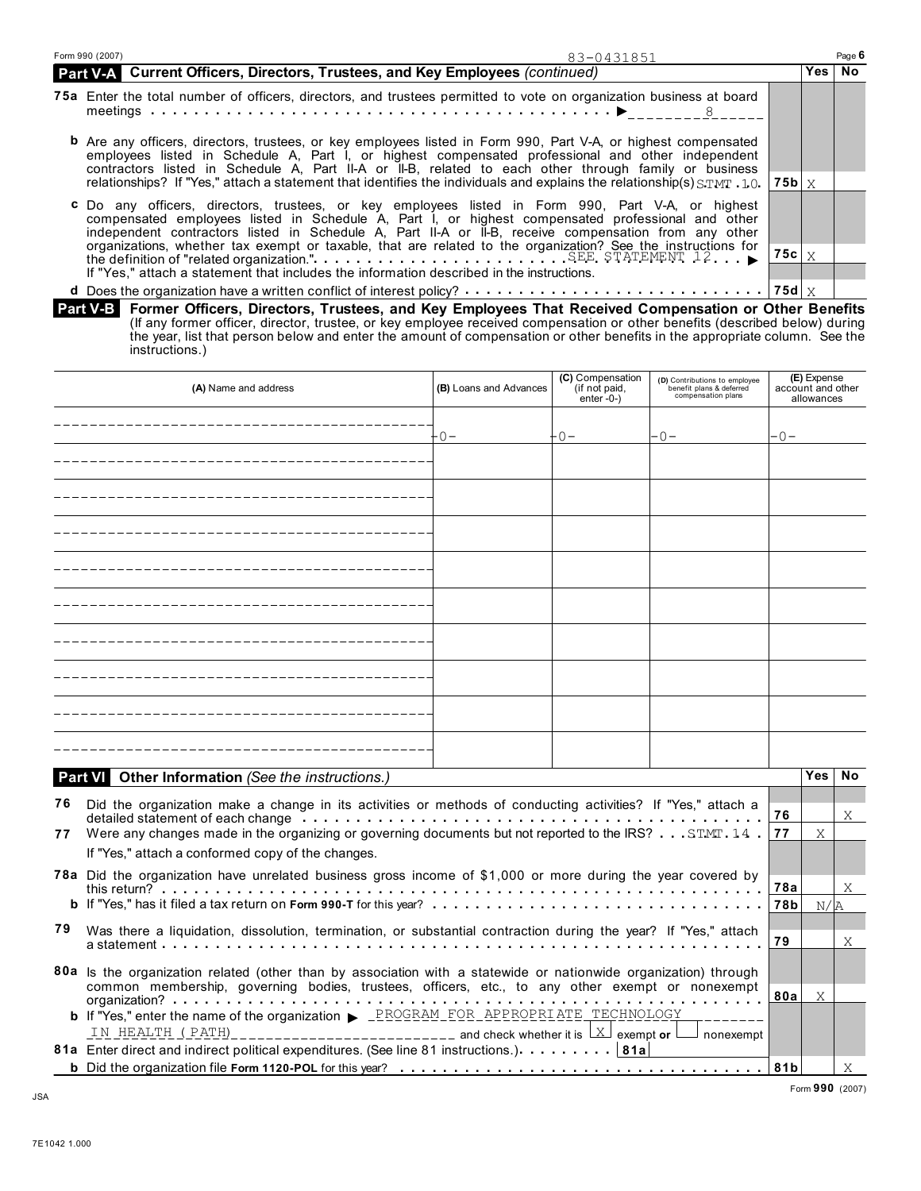| Form 990 (2007)<br>83-0431851                                                                                                                                                                                                                                                                                                                                                                                                                                                                                                                                                                     |                     |      | Page 6 |
|---------------------------------------------------------------------------------------------------------------------------------------------------------------------------------------------------------------------------------------------------------------------------------------------------------------------------------------------------------------------------------------------------------------------------------------------------------------------------------------------------------------------------------------------------------------------------------------------------|---------------------|------|--------|
| Part V-A Current Officers, Directors, Trustees, and Key Employees (continued)                                                                                                                                                                                                                                                                                                                                                                                                                                                                                                                     |                     | Yes⊺ | No     |
| 75a Enter the total number of officers, directors, and trustees permitted to vote on organization business at board                                                                                                                                                                                                                                                                                                                                                                                                                                                                               |                     |      |        |
| <b>b</b> Are any officers, directors, trustees, or key employees listed in Form 990, Part V-A, or highest compensated<br>employees listed in Schedule A, Part I, or highest compensated professional and other independent<br>contractors listed in Schedule A, Part II-A or II-B, related to each other through family or business<br>relationships? If "Yes," attach a statement that identifies the individuals and explains the relationship(s) $STMT - 1.0$ , 75b $\vert X$                                                                                                                  |                     |      |        |
| <b>c</b> Do any officers, directors, trustees, or key employees listed in Form 990, Part V-A, or highest<br>compensated employees listed in Schedule A, Part I, or highest compensated professional and other<br>independent contractors listed in Schedule A, Part II-A or II-B, receive compensation from any other<br>organizations, whether tax exempt or taxable, that are related to the organization? See the instructions for the definition of "related organization."<br>SEE STATEMENT 12.<br>If "Yes," attach a statement that includes the information described in the instructions. | 75c $\mid$ $\times$ |      |        |
| $\mathbf{A} \mathbf{B} \mathbf{C} = \mathbf{A} \mathbf{B} \mathbf{B} \mathbf{A} \mathbf{B} \mathbf{C} \mathbf{A} \mathbf{C} \mathbf{A} \mathbf{A} \mathbf{A} \mathbf{A} \mathbf{A} \mathbf{A} \mathbf{A} \mathbf{A} \mathbf{A} \mathbf{A} \mathbf{A} \mathbf{A} \mathbf{A} \mathbf{A} \mathbf{A} \mathbf{A} \mathbf{A} \mathbf{A} \mathbf{A} \mathbf{A} \mathbf{A} \mathbf{A} \mathbf{A} \mathbf{A} \mathbf{A} \mathbf$                                                                                                                                                                           |                     |      |        |

**Former Officers, Directors, Trustees, and Key Employees That Received Compensation or Other Benefits** (If any former officer, director, trustee, or key employee received compensation or other benefits (described below) during the year, list that person below and enter the amount of compensation or other benefits in the appropriate column. See the instructions.)  **Part V-B** 

|    | (A) Name and address                                                                                                                                                                                                                                                                                                                           | (B) Loans and Advances | (C) Compensation<br>(if not paid,<br>enter $-0$ - $)$ | (D) Contributions to employee<br>benefit plans & deferred<br>compensation plans |       | (E) Expense<br>account and other<br>allowances |    |
|----|------------------------------------------------------------------------------------------------------------------------------------------------------------------------------------------------------------------------------------------------------------------------------------------------------------------------------------------------|------------------------|-------------------------------------------------------|---------------------------------------------------------------------------------|-------|------------------------------------------------|----|
|    |                                                                                                                                                                                                                                                                                                                                                | $-0-$                  | $-0-$                                                 | $-0-$                                                                           | $-0-$ |                                                |    |
|    |                                                                                                                                                                                                                                                                                                                                                |                        |                                                       |                                                                                 |       |                                                |    |
|    |                                                                                                                                                                                                                                                                                                                                                |                        |                                                       |                                                                                 |       |                                                |    |
|    |                                                                                                                                                                                                                                                                                                                                                |                        |                                                       |                                                                                 |       |                                                |    |
|    |                                                                                                                                                                                                                                                                                                                                                |                        |                                                       |                                                                                 |       |                                                |    |
|    |                                                                                                                                                                                                                                                                                                                                                |                        |                                                       |                                                                                 |       |                                                |    |
|    |                                                                                                                                                                                                                                                                                                                                                |                        |                                                       |                                                                                 |       |                                                |    |
|    |                                                                                                                                                                                                                                                                                                                                                |                        |                                                       |                                                                                 |       |                                                |    |
|    |                                                                                                                                                                                                                                                                                                                                                |                        |                                                       |                                                                                 |       |                                                |    |
|    |                                                                                                                                                                                                                                                                                                                                                |                        |                                                       |                                                                                 |       |                                                |    |
|    | <b>Part V</b> Other Information (See the instructions.)                                                                                                                                                                                                                                                                                        |                        |                                                       |                                                                                 |       | Yes I                                          | No |
| 76 | Did the organization make a change in its activities or methods of conducting activities? If "Yes," attach a<br>detailed statement of each change enterpretation of the contract of the contract of each change of the contract of the contract of the contract of the contract of the contract of the contract of the contract of the contrac |                        |                                                       |                                                                                 | 76    |                                                | X  |
| 77 | Were any changes made in the organizing or governing documents but not reported to the IRS? STMT 14.<br>If "Yes," attach a conformed copy of the changes.                                                                                                                                                                                      |                        |                                                       |                                                                                 | 77    | X                                              |    |
|    | 78a Did the organization have unrelated business gross income of \$1,000 or more during the year covered by                                                                                                                                                                                                                                    |                        |                                                       |                                                                                 | 78a   |                                                | X  |
|    |                                                                                                                                                                                                                                                                                                                                                |                        |                                                       |                                                                                 | 78b   | N/R                                            |    |
|    | 79 Was there a liquidation, dissolution, termination, or substantial contraction during the year? If "Yes," attach                                                                                                                                                                                                                             |                        |                                                       |                                                                                 | 79    |                                                | Χ  |
|    | 80a Is the organization related (other than by association with a statewide or nationwide organization) through<br>common membership, governing bodies, trustees, officers, etc., to any other exempt or nonexempt                                                                                                                             |                        |                                                       |                                                                                 | 80a   | X                                              |    |
|    | <b>b</b> If "Yes," enter the name of the organization > _PROGRAM_FOR_APPROPRIATE_TECHNOLOGY                                                                                                                                                                                                                                                    |                        |                                                       |                                                                                 |       |                                                |    |
|    | TN HEALTH (PATH)__________________________ and check whether it is $\Box$ exempt or $\Box$<br>81a Enter direct and indirect political expenditures. (See line 81 instructions.) 81a                                                                                                                                                            |                        |                                                       | nonexempt                                                                       |       |                                                |    |
|    | <b>b</b> Did the organization file Form 1120-POL for this year? $\ldots$ , $\ldots$ , $\ldots$ , $\ldots$ , $\ldots$ , $\ldots$ , $\ldots$ , $\ldots$ , $\ldots$ , $\ldots$                                                                                                                                                                    |                        |                                                       |                                                                                 | 81b   |                                                | X  |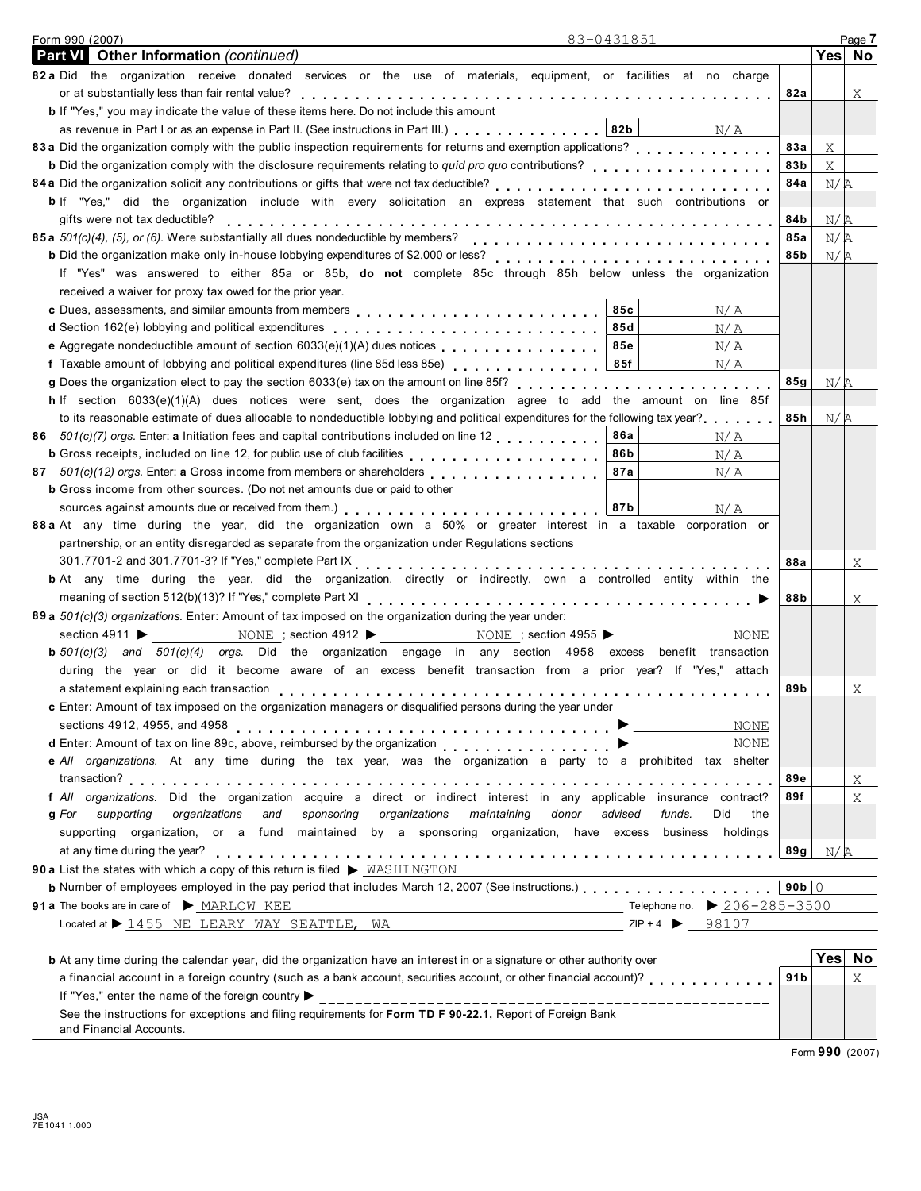| 83-0431851<br>Form 990 (2007)                                                                                                                                                                                                               |                 |        | Page 7 |
|---------------------------------------------------------------------------------------------------------------------------------------------------------------------------------------------------------------------------------------------|-----------------|--------|--------|
| <b>Part VI</b> Other Information (continued)                                                                                                                                                                                                |                 | Yes No |        |
| 82 a Did the organization receive donated services or the use of materials, equipment, or facilities at no charge                                                                                                                           |                 |        |        |
| or at substantially less than fair rental value?                                                                                                                                                                                            | 82a             |        | Χ      |
| b If "Yes," you may indicate the value of these items here. Do not include this amount                                                                                                                                                      |                 |        |        |
| as revenue in Part I or as an expense in Part II. (See instructions in Part III.) 82b   N/A                                                                                                                                                 |                 |        |        |
| 83 a Did the organization comply with the public inspection requirements for returns and exemption applications?                                                                                                                            | 83а             | X      |        |
| <b>b</b> Did the organization comply with the disclosure requirements relating to quid pro quo contributions?                                                                                                                               | 83b             | X      |        |
| 84 a Did the organization solicit any contributions or gifts that were not tax deductible?<br>and the content of the content of the content of the content of the content of the contributions of the the t                                 | 84a             | N/R    |        |
| b If "Yes," did the organization include with every solicitation an express statement that such contributions or                                                                                                                            |                 |        |        |
| gifts were not tax deductible?                                                                                                                                                                                                              | 84 b            |        |        |
| 85a 501(c)(4), (5), or (6). Were substantially all dues nondeductible by members?                                                                                                                                                           | 85a             | N/A    |        |
|                                                                                                                                                                                                                                             | 85b             | N/R    |        |
|                                                                                                                                                                                                                                             |                 | N/R    |        |
| If "Yes" was answered to either 85a or 85b, do not complete 85c through 85h below unless the organization                                                                                                                                   |                 |        |        |
| received a waiver for proxy tax owed for the prior year.                                                                                                                                                                                    |                 |        |        |
| 85c<br>N/A                                                                                                                                                                                                                                  |                 |        |        |
| 85d<br>N/A                                                                                                                                                                                                                                  |                 |        |        |
| e Aggregate nondeductible amount of section 6033(e)(1)(A) dues notices<br>85e<br>N/A                                                                                                                                                        |                 |        |        |
| f Taxable amount of lobbying and political expenditures (line 85d less 85e)<br>85f<br>N/A                                                                                                                                                   |                 |        |        |
|                                                                                                                                                                                                                                             | 85g             | N/A    |        |
| h If section 6033(e)(1)(A) dues notices were sent, does the organization agree to add the amount on line 85f                                                                                                                                |                 |        |        |
| to its reasonable estimate of dues allocable to nondeductible lobbying and political expenditures for the following tax year?                                                                                                               | 85h             | N/R    |        |
| <b>86a</b><br>86 501(c)(7) orgs. Enter: a Initiation fees and capital contributions included on line 12<br>N/A                                                                                                                              |                 |        |        |
| 86b<br>N/A                                                                                                                                                                                                                                  |                 |        |        |
| 87 501(c)(12) orgs. Enter: a Gross income from members or shareholders<br>87a<br>N/A                                                                                                                                                        |                 |        |        |
| <b>b</b> Gross income from other sources. (Do not net amounts due or paid to other                                                                                                                                                          |                 |        |        |
| sources against amounts due or received from them.) <b>According to the set of the set of the set of the set of the set of the set of the set of set of set of set of set of set of set of set of set of set of set of set of se</b><br>N/A |                 |        |        |
| 88 a At any time during the year, did the organization own a 50% or greater interest in a taxable corporation or                                                                                                                            |                 |        |        |
| partnership, or an entity disregarded as separate from the organization under Regulations sections                                                                                                                                          |                 |        |        |
|                                                                                                                                                                                                                                             | 88a             |        | X      |
| <b>b</b> At any time during the year, did the organization, directly or indirectly, own a controlled entity within the                                                                                                                      |                 |        |        |
|                                                                                                                                                                                                                                             | 88b             |        | Χ      |
| 89 a 501(c)(3) organizations. Enter: Amount of tax imposed on the organization during the year under:                                                                                                                                       |                 |        |        |
| NONE ; section 4912 $\triangleright$ NONE ; section 4955 $\triangleright$<br>section 4911 $\blacktriangleright$<br>NONE                                                                                                                     |                 |        |        |
| <b>b</b> $501(c)(3)$ and $501(c)(4)$ orgs. Did the organization engage in any section 4958 excess benefit transaction                                                                                                                       |                 |        |        |
| during the year or did it become aware of an excess benefit transaction from a prior year? If "Yes," attach                                                                                                                                 |                 |        |        |
|                                                                                                                                                                                                                                             | 89b             |        | Χ      |
|                                                                                                                                                                                                                                             |                 |        |        |
| c Enter: Amount of tax imposed on the organization managers or disqualified persons during the year under                                                                                                                                   |                 |        |        |
| NONE<br>sections 4912, 4955, and 4958 $\ldots \ldots \ldots \ldots \ldots \ldots \ldots \ldots \ldots \ldots \ldots$                                                                                                                        |                 |        |        |
| NONE                                                                                                                                                                                                                                        |                 |        |        |
| e All organizations. At any time during the tax year, was the organization a party to a prohibited tax shelter                                                                                                                              |                 |        |        |
|                                                                                                                                                                                                                                             | 89e             |        | Χ      |
| f All organizations. Did the organization acquire a direct or indirect interest in any applicable insurance contract?                                                                                                                       | 89f             |        | Χ      |
| supporting<br>sponsoring<br>organizations<br>maintaining<br>advised<br>g For<br>organizations<br>and<br>donor<br>funds.<br>Did<br>the                                                                                                       |                 |        |        |
| supporting organization, or a fund maintained by a sponsoring organization, have excess business holdings                                                                                                                                   |                 |        |        |
|                                                                                                                                                                                                                                             | 89g             | N/A    |        |
| 90 a List the states with which a copy of this return is filed > WASHINGTON                                                                                                                                                                 |                 |        |        |
| <b>b</b> Number of employees employed in the pay period that includes March 12, 2007 (See instructions.)                                                                                                                                    | 90b $\vert$ 0   |        |        |
| 91 a The books are in care of MARLOW KEE                                                                                                                                                                                                    |                 |        |        |
| $ZIP + 4$ 98107<br>Located at $\triangleright$ 1455 NE LEARY WAY SEATTLE, WA                                                                                                                                                                |                 |        |        |
|                                                                                                                                                                                                                                             |                 |        |        |
| <b>b</b> At any time during the calendar year, did the organization have an interest in or a signature or other authority over                                                                                                              |                 | Yes No |        |
| a financial account in a foreign country (such as a bank account, securities account, or other financial account)?                                                                                                                          | 91 <sub>b</sub> |        | Χ      |
|                                                                                                                                                                                                                                             |                 |        |        |
| See the instructions for exceptions and filing requirements for Form TD F 90-22.1, Report of Foreign Bank                                                                                                                                   |                 |        |        |
| and Financial Accounts.                                                                                                                                                                                                                     |                 |        |        |

Form **990** (2007)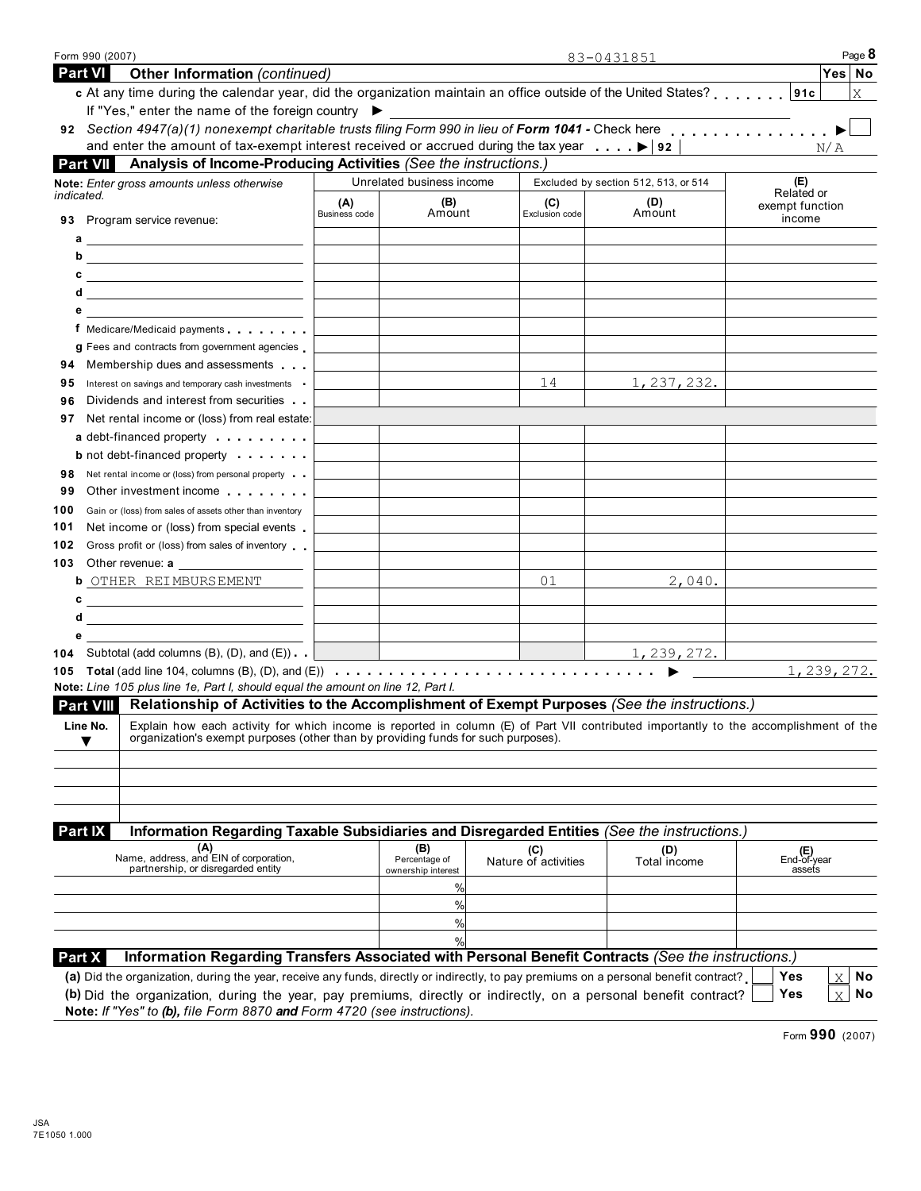| <b>Part VI</b><br>Other Information (continued)                                                                                                                                                                                                                                                                                              |                          |                                     |                             | 83-0431851                           |              |                                     | Yes   No                        |
|----------------------------------------------------------------------------------------------------------------------------------------------------------------------------------------------------------------------------------------------------------------------------------------------------------------------------------------------|--------------------------|-------------------------------------|-----------------------------|--------------------------------------|--------------|-------------------------------------|---------------------------------|
| c At any time during the calendar year, did the organization maintain an office outside of the United States?                                                                                                                                                                                                                                |                          |                                     |                             |                                      |              |                                     | X                               |
| If "Yes," enter the name of the foreign country ▶                                                                                                                                                                                                                                                                                            |                          |                                     |                             |                                      |              |                                     |                                 |
| 92 Section 4947(a)(1) nonexempt charitable trusts filing Form 990 in lieu of Form 1041 - Check here                                                                                                                                                                                                                                          |                          |                                     |                             |                                      |              |                                     |                                 |
| and enter the amount of tax-exempt interest received or accrued during the tax year $\ldots$ , $\blacktriangleright$ 92<br>Analysis of Income-Producing Activities (See the instructions.)<br><b>Part VII</b>                                                                                                                                |                          |                                     |                             |                                      |              |                                     | N/A                             |
| Note: Enter gross amounts unless otherwise                                                                                                                                                                                                                                                                                                   |                          | Unrelated business income           |                             | Excluded by section 512, 513, or 514 |              | (E)                                 |                                 |
| indicated.                                                                                                                                                                                                                                                                                                                                   | (A)                      | (B)                                 | (C)                         | (D)                                  |              | Related or                          |                                 |
| 93 Program service revenue:                                                                                                                                                                                                                                                                                                                  | Business code            | Amount                              | Exclusion code              | Amount                               |              | exempt function<br>income           |                                 |
| $a \overline{\phantom{a}}$                                                                                                                                                                                                                                                                                                                   |                          |                                     |                             |                                      |              |                                     |                                 |
| b $\qquad \qquad$ $\qquad$ $\qquad$ $\qquad$ $\qquad$ $\qquad$ $\qquad$ $\qquad$ $\qquad$ $\qquad$ $\qquad$ $\qquad$ $\qquad$ $\qquad$ $\qquad$ $\qquad$ $\qquad$ $\qquad$ $\qquad$ $\qquad$ $\qquad$ $\qquad$ $\qquad$ $\qquad$ $\qquad$ $\qquad$ $\qquad$ $\qquad$ $\qquad$ $\qquad$ $\qquad$ $\qquad$ $\qquad$ $\qquad$ $\qquad$ $\qquad$ |                          |                                     |                             |                                      |              |                                     |                                 |
| $c \overline{\phantom{a}}$                                                                                                                                                                                                                                                                                                                   |                          |                                     |                             |                                      |              |                                     |                                 |
| $d \overline{\phantom{a} \phantom{a} \phantom{a}}$                                                                                                                                                                                                                                                                                           |                          |                                     |                             |                                      |              |                                     |                                 |
| $\mathbf{e}$                                                                                                                                                                                                                                                                                                                                 |                          |                                     |                             |                                      |              |                                     |                                 |
| f Medicare/Medicaid payments                                                                                                                                                                                                                                                                                                                 |                          |                                     |                             |                                      |              |                                     |                                 |
| g Fees and contracts from government agencies.                                                                                                                                                                                                                                                                                               |                          |                                     |                             |                                      |              |                                     |                                 |
| Membership dues and assessments<br>94<br>Interest on savings and temporary cash investments<br>95                                                                                                                                                                                                                                            |                          |                                     | 14                          |                                      | 1, 237, 232. |                                     |                                 |
| Dividends and interest from securities<br>96                                                                                                                                                                                                                                                                                                 |                          |                                     |                             |                                      |              |                                     |                                 |
| Net rental income or (loss) from real estate:<br>97                                                                                                                                                                                                                                                                                          |                          |                                     |                             |                                      |              |                                     |                                 |
| a debt-financed property entering the set of the set of the set of the set of the set of the set of the set of the set of the set of the set of the set of the set of the set of the set of the set of the set of the set of t                                                                                                               |                          |                                     |                             |                                      |              |                                     |                                 |
| <b>b</b> not debt-financed property                                                                                                                                                                                                                                                                                                          |                          |                                     |                             |                                      |              |                                     |                                 |
| Net rental income or (loss) from personal property<br>98                                                                                                                                                                                                                                                                                     |                          |                                     |                             |                                      |              |                                     |                                 |
| Other investment income<br>99                                                                                                                                                                                                                                                                                                                |                          |                                     |                             |                                      |              |                                     |                                 |
| 100<br>Gain or (loss) from sales of assets other than inventory                                                                                                                                                                                                                                                                              |                          |                                     |                             |                                      |              |                                     |                                 |
| Net income or (loss) from special events<br>101                                                                                                                                                                                                                                                                                              |                          |                                     |                             |                                      |              |                                     |                                 |
| Gross profit or (loss) from sales of inventory<br>102                                                                                                                                                                                                                                                                                        |                          |                                     |                             |                                      |              |                                     |                                 |
| Other revenue: a<br>103                                                                                                                                                                                                                                                                                                                      |                          |                                     |                             |                                      |              |                                     |                                 |
| <b>b</b> OTHER REIMBURSEMENT                                                                                                                                                                                                                                                                                                                 |                          |                                     | 01                          |                                      | 2,040.       |                                     |                                 |
| $c \overline{\phantom{a}}$<br>d                                                                                                                                                                                                                                                                                                              |                          |                                     |                             |                                      |              |                                     |                                 |
| <u> 1989 - Johann Stoff, fransk politik (d. 1989)</u><br>е                                                                                                                                                                                                                                                                                   |                          |                                     |                             |                                      |              |                                     |                                 |
| <b>104</b> Subtotal (add columns $(B)$ , $(D)$ , and $(E)$ )                                                                                                                                                                                                                                                                                 | <b>Contract Contract</b> |                                     |                             |                                      | 1, 239, 272. |                                     |                                 |
| 105 Total (add line 104, columns (B), (D), and (E)) $\cdots$ $\cdots$ $\cdots$ $\cdots$ $\cdots$ $\cdots$ $\cdots$ $\cdots$ $\cdots$ $\cdots$                                                                                                                                                                                                |                          |                                     |                             |                                      |              |                                     | 1, 239, 272.                    |
| Note: Line 105 plus line 1e, Part I, should equal the amount on line 12, Part I.                                                                                                                                                                                                                                                             |                          |                                     |                             |                                      |              |                                     |                                 |
| Part VIII Relationship of Activities to the Accomplishment of Exempt Purposes (See the instructions.)                                                                                                                                                                                                                                        |                          |                                     |                             |                                      |              |                                     |                                 |
| Line No.<br>Explain how each activity for which income is reported in column (E) of Part VII contributed importantly to the accomplishment of the                                                                                                                                                                                            |                          |                                     |                             |                                      |              |                                     |                                 |
| organization's exempt purposes (other than by providing funds for such purposes).                                                                                                                                                                                                                                                            |                          |                                     |                             |                                      |              |                                     |                                 |
|                                                                                                                                                                                                                                                                                                                                              |                          |                                     |                             |                                      |              |                                     |                                 |
|                                                                                                                                                                                                                                                                                                                                              |                          |                                     |                             |                                      |              |                                     |                                 |
|                                                                                                                                                                                                                                                                                                                                              |                          |                                     |                             |                                      |              |                                     |                                 |
| Information Regarding Taxable Subsidiaries and Disregarded Entities (See the instructions.)<br><b>Part IX</b>                                                                                                                                                                                                                                |                          |                                     |                             |                                      |              |                                     |                                 |
| (A)<br>Name, address, and EIN of corporation,                                                                                                                                                                                                                                                                                                |                          | (B)                                 | (C)<br>Nature of activities | (D)                                  |              |                                     |                                 |
| partnership, or disregarded entity                                                                                                                                                                                                                                                                                                           |                          | Percentage of<br>ownership interest |                             | Total income                         |              | <b>(E)</b><br>End-of-year<br>assefs |                                 |
|                                                                                                                                                                                                                                                                                                                                              |                          | %                                   |                             |                                      |              |                                     |                                 |
|                                                                                                                                                                                                                                                                                                                                              |                          | %                                   |                             |                                      |              |                                     |                                 |
|                                                                                                                                                                                                                                                                                                                                              |                          | %                                   |                             |                                      |              |                                     |                                 |
|                                                                                                                                                                                                                                                                                                                                              |                          | %                                   |                             |                                      |              |                                     |                                 |
| Information Regarding Transfers Associated with Personal Benefit Contracts (See the instructions.)<br>Part X                                                                                                                                                                                                                                 |                          |                                     |                             |                                      |              |                                     |                                 |
| (a) Did the organization, during the year, receive any funds, directly or indirectly, to pay premiums on a personal benefit contract?                                                                                                                                                                                                        |                          |                                     |                             |                                      |              | Yes                                 | No<br>$\boldsymbol{\mathrm{X}}$ |
| (b) Did the organization, during the year, pay premiums, directly or indirectly, on a personal benefit contract?                                                                                                                                                                                                                             |                          |                                     |                             |                                      |              | Yes                                 | No<br>X                         |

Form **990** (2007)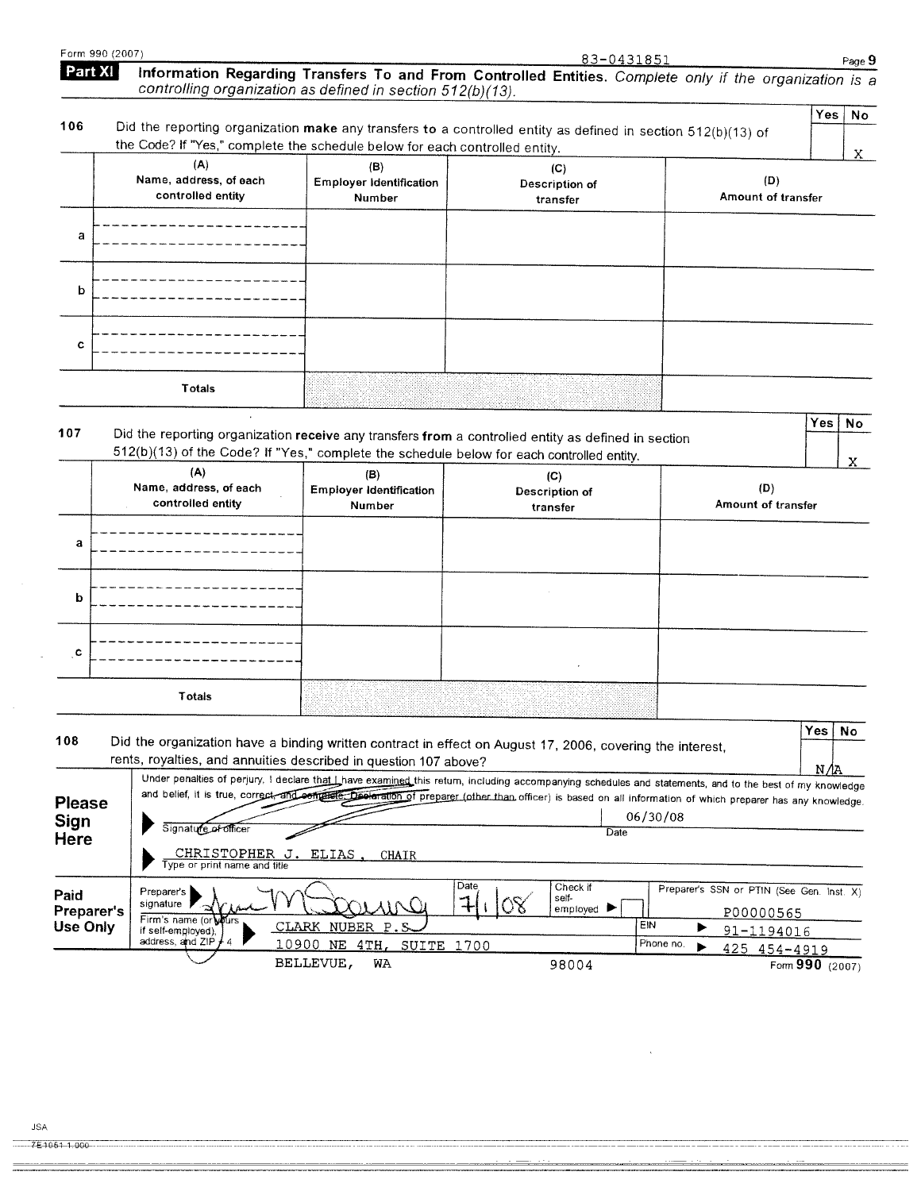| Form 990 (2007)                                                        |                                                      |                                                                             | <u>83-0431851</u>                                                                                                                                                                                                                                                                                                      |                                                        | Page 9                  |
|------------------------------------------------------------------------|------------------------------------------------------|-----------------------------------------------------------------------------|------------------------------------------------------------------------------------------------------------------------------------------------------------------------------------------------------------------------------------------------------------------------------------------------------------------------|--------------------------------------------------------|-------------------------|
| Part XI                                                                |                                                      | controlling organization as defined in section 512(b)(13).                  | Information Regarding Transfers To and From Controlled Entities. Complete only if the organization is a                                                                                                                                                                                                                |                                                        |                         |
| 106                                                                    |                                                      | the Code? If "Yes," complete the schedule below for each controlled entity. | Did the reporting organization make any transfers to a controlled entity as defined in section 512(b)(13) of                                                                                                                                                                                                           |                                                        | Yes<br>No.<br>X.        |
|                                                                        | (A)<br>Name, address, of each<br>controlled entity   | (B)<br><b>Employer Identification</b><br>Number                             | (C)<br>Description of<br>transfer                                                                                                                                                                                                                                                                                      | (D)<br>Amount of transfer                              |                         |
| а                                                                      |                                                      |                                                                             |                                                                                                                                                                                                                                                                                                                        |                                                        |                         |
| b                                                                      |                                                      |                                                                             |                                                                                                                                                                                                                                                                                                                        |                                                        |                         |
| c                                                                      |                                                      |                                                                             |                                                                                                                                                                                                                                                                                                                        |                                                        |                         |
|                                                                        | <b>Totals</b>                                        |                                                                             |                                                                                                                                                                                                                                                                                                                        |                                                        |                         |
| 107                                                                    |                                                      |                                                                             | Did the reporting organization receive any transfers from a controlled entity as defined in section<br>512(b)(13) of the Code? If "Yes," complete the schedule below for each controlled entity.                                                                                                                       |                                                        | <b>Yes</b><br>No.<br>X. |
|                                                                        | (A)<br>Name, address, of each<br>controlled entity   | (B)<br><b>Employer Identification</b><br>Number                             | (C)<br>Description of<br>transfer                                                                                                                                                                                                                                                                                      | (D)<br>Amount of transfer                              |                         |
| а                                                                      |                                                      |                                                                             |                                                                                                                                                                                                                                                                                                                        |                                                        |                         |
| b                                                                      |                                                      |                                                                             |                                                                                                                                                                                                                                                                                                                        |                                                        |                         |
| ္၀                                                                     |                                                      |                                                                             |                                                                                                                                                                                                                                                                                                                        |                                                        |                         |
|                                                                        | Totals                                               |                                                                             |                                                                                                                                                                                                                                                                                                                        |                                                        |                         |
|                                                                        |                                                      |                                                                             |                                                                                                                                                                                                                                                                                                                        |                                                        | Yes<br>No               |
|                                                                        |                                                      | rents, royalties, and annuities described in question 107 above?            | Did the organization have a binding written contract in effect on August 17, 2006, covering the interest,                                                                                                                                                                                                              |                                                        |                         |
|                                                                        | Signature of officer                                 |                                                                             | Under penalties of perjury, I declare that Lhave examined this return, including accompanying schedules and statements, and to the best of my knowledge<br>and belief, it is true, correct, and compared to prepared (other than officer) is based on all information of which preparer has any knowledge.<br>06/30/08 |                                                        | N /la                   |
|                                                                        | CHRISTOPHER J. ELIAS<br>Type or print name and title | CHAIR                                                                       | Date                                                                                                                                                                                                                                                                                                                   |                                                        |                         |
|                                                                        | Preparer's<br>signature<br>Firm's name (or wours     |                                                                             | Date<br>Check if<br>self-<br>7<br>$\propto$<br>employed P                                                                                                                                                                                                                                                              | Preparer's SSN or PTIN (See Gen. Inst. X)<br>P00000565 |                         |
| 108<br><b>Please</b><br>Sign<br>Here<br>Paid<br>Preparer's<br>Use Only | if self-employed),<br>address, and ZIP               | CLARK NUBER<br>P.S<br>10900 NE 4TH.<br>SUITE 1700                           | EIN                                                                                                                                                                                                                                                                                                                    | 91-1194016<br>Phone no.<br>425 454-4919                |                         |

**JSA** 

.<br>International completed and the completed international control of the complete of the complete of the complete of the complete of the complete of the complete of the complete of the complete of the complete of the compl

 $\lambda$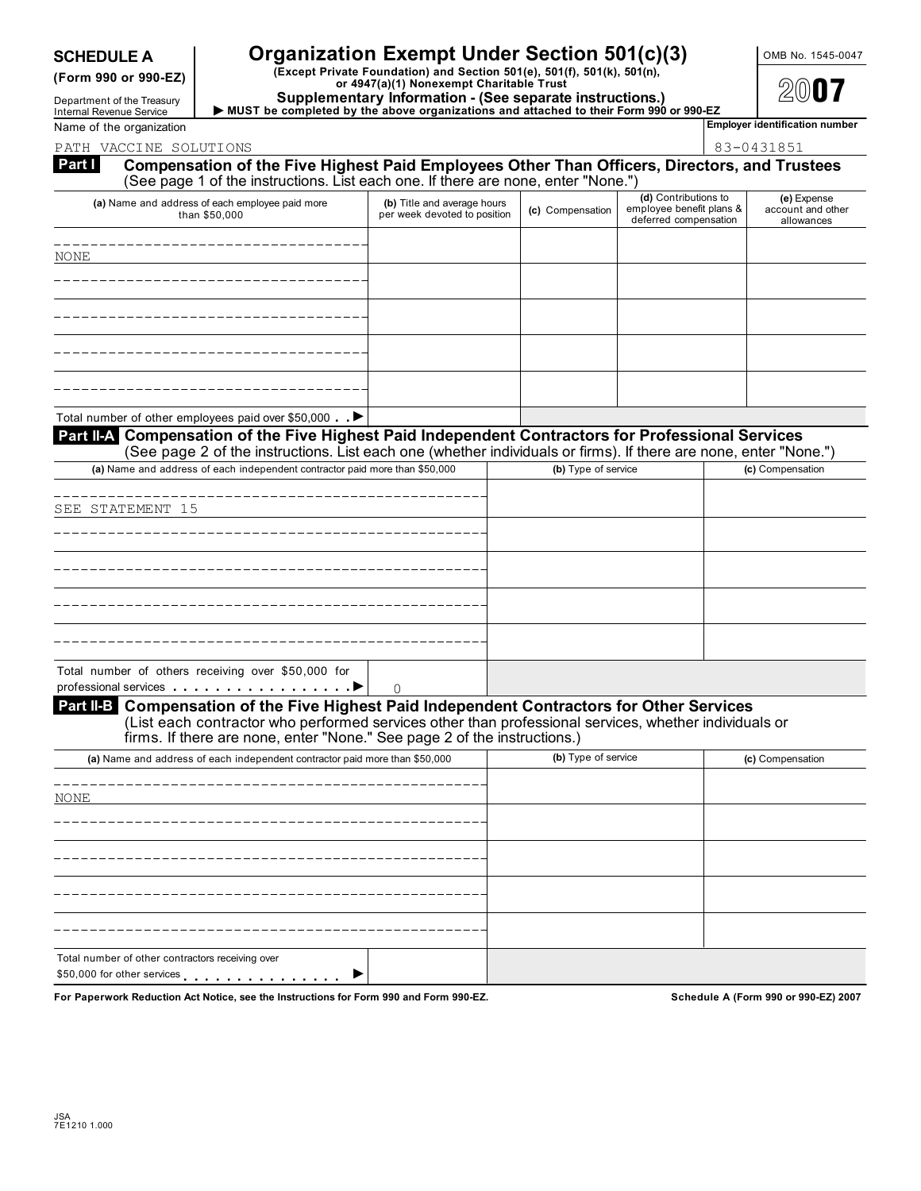# **SCHEDULE A Companization Exempt Under Section 501(c)(3)** OMB No. 1545-0047

(Form 990 or 990-EZ) (Except Private Foundation) and Section 501(e), 501(f), 501(k), 501(n),<br>or 4947(a)(1) Nonexempt Charitable Trust<br>Department of the Treasury (Supplementary Information - (See separate instructions.)

**Department of the Treasury and Supplementary Information - (See separate instructions.)**<br>Internal Revenue Service ▶ MUST be completed by the above organizations and attached to their Form 990 or 990-EZ<br>Name of the orga

PATH VACCINE SOLUTIONS

| 83-0431851 |
|------------|
|            |

| Part I<br>Compensation of the Five Highest Paid Employees Other Than Officers, Directors, and Trustees<br>(See page 1 of the instructions. List each one. If there are none, enter "None.") |                                                             |                     |                                                                           |                                                |
|---------------------------------------------------------------------------------------------------------------------------------------------------------------------------------------------|-------------------------------------------------------------|---------------------|---------------------------------------------------------------------------|------------------------------------------------|
| (a) Name and address of each employee paid more<br>than \$50,000                                                                                                                            | (b) Title and average hours<br>per week devoted to position | (c) Compensation    | (d) Contributions to<br>employee benefit plans &<br>deferred compensation | (e) Expense<br>account and other<br>allowances |
| NONE                                                                                                                                                                                        |                                                             |                     |                                                                           |                                                |
|                                                                                                                                                                                             |                                                             |                     |                                                                           |                                                |
|                                                                                                                                                                                             |                                                             |                     |                                                                           |                                                |
|                                                                                                                                                                                             |                                                             |                     |                                                                           |                                                |
|                                                                                                                                                                                             |                                                             |                     |                                                                           |                                                |
| Total number of other employees paid over \$50,000 . ▶<br>Part II-A Compensation of the Five Highest Paid Independent Contractors for Professional Services                                 |                                                             |                     |                                                                           |                                                |
| (See page 2 of the instructions. List each one (whether individuals or firms). If there are none, enter "None.")                                                                            |                                                             |                     |                                                                           |                                                |
| (a) Name and address of each independent contractor paid more than \$50,000                                                                                                                 |                                                             | (b) Type of service |                                                                           | (c) Compensation                               |
| SEE STATEMENT 15                                                                                                                                                                            |                                                             |                     |                                                                           |                                                |
|                                                                                                                                                                                             |                                                             |                     |                                                                           |                                                |
|                                                                                                                                                                                             |                                                             |                     |                                                                           |                                                |
|                                                                                                                                                                                             |                                                             |                     |                                                                           |                                                |
|                                                                                                                                                                                             |                                                             |                     |                                                                           |                                                |
| Total number of others receiving over \$50,000 for                                                                                                                                          |                                                             |                     |                                                                           |                                                |
| Part II-B Compensation of the Five Highest Paid Independent Contractors for Other Services                                                                                                  | $\Omega$                                                    |                     |                                                                           |                                                |
| (List each contractor who performed services other than professional services, whether individuals or<br>firms. If there are none, enter "None." See page 2 of the instructions.)           |                                                             |                     |                                                                           |                                                |
| (a) Name and address of each independent contractor paid more than \$50,000                                                                                                                 |                                                             | (b) Type of service |                                                                           | (c) Compensation                               |
| NONE                                                                                                                                                                                        |                                                             |                     |                                                                           |                                                |
|                                                                                                                                                                                             |                                                             |                     |                                                                           |                                                |
|                                                                                                                                                                                             |                                                             |                     |                                                                           |                                                |
|                                                                                                                                                                                             |                                                             |                     |                                                                           |                                                |
|                                                                                                                                                                                             |                                                             |                     |                                                                           |                                                |
|                                                                                                                                                                                             |                                                             |                     |                                                                           |                                                |
| Total number of other contractors receiving over<br>\$50,000 for other services $\qquad \qquad \cdots \qquad \qquad$                                                                        |                                                             |                     |                                                                           |                                                |

**For Paperwork Reduction Act Notice, see the Instructions for Form 990 and Form 990-EZ. Schedule A (Form 990 or 990-EZ) 2007**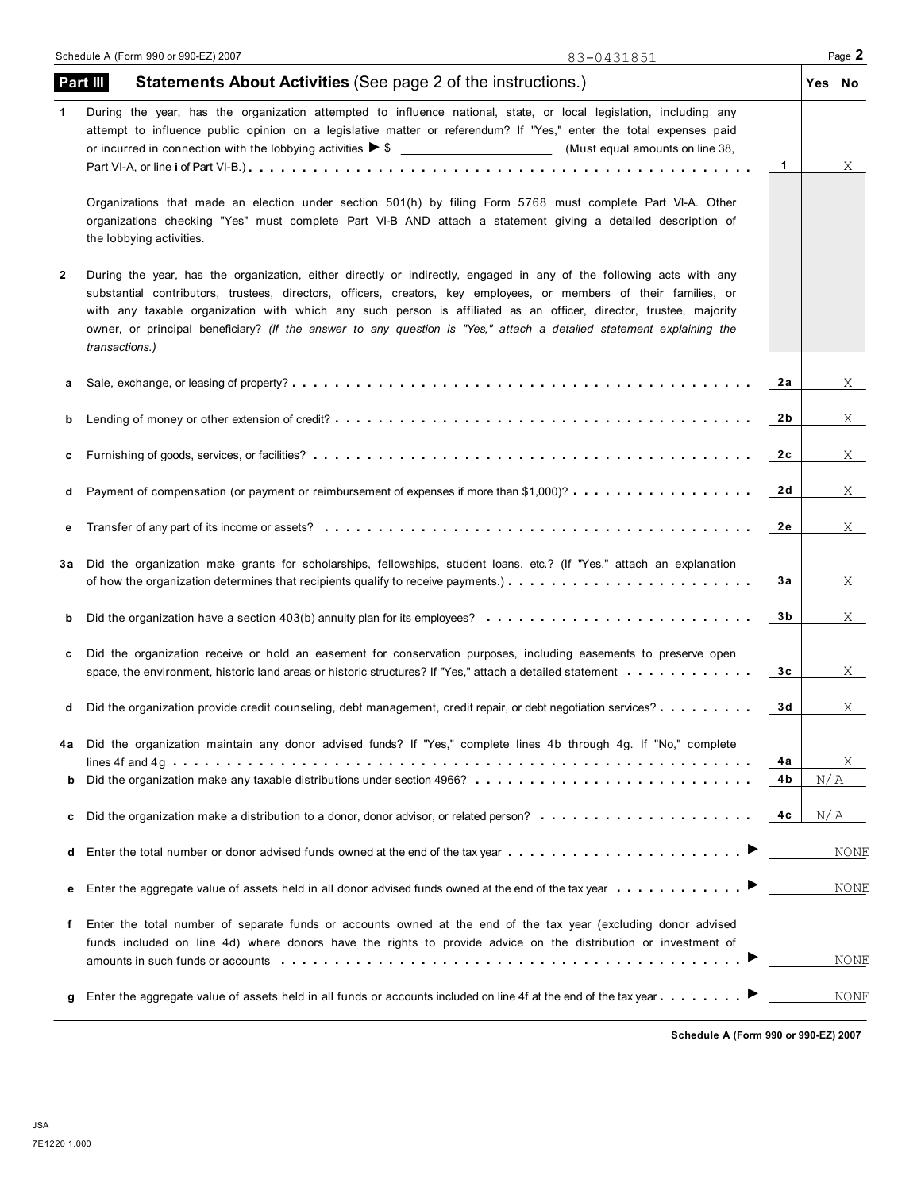|    | Part III<br><b>Statements About Activities (See page 2 of the instructions.)</b>                                                                                                                                                                                                                                                                                                                                                                                                                         | Yes | No          |
|----|----------------------------------------------------------------------------------------------------------------------------------------------------------------------------------------------------------------------------------------------------------------------------------------------------------------------------------------------------------------------------------------------------------------------------------------------------------------------------------------------------------|-----|-------------|
| 1  | During the year, has the organization attempted to influence national, state, or local legislation, including any<br>attempt to influence public opinion on a legislative matter or referendum? If "Yes," enter the total expenses paid<br>1                                                                                                                                                                                                                                                             |     | Χ           |
|    | Organizations that made an election under section 501(h) by filing Form 5768 must complete Part VI-A. Other<br>organizations checking "Yes" must complete Part VI-B AND attach a statement giving a detailed description of<br>the lobbying activities.                                                                                                                                                                                                                                                  |     |             |
| 2  | During the year, has the organization, either directly or indirectly, engaged in any of the following acts with any<br>substantial contributors, trustees, directors, officers, creators, key employees, or members of their families, or<br>with any taxable organization with which any such person is affiliated as an officer, director, trustee, majority<br>owner, or principal beneficiary? (If the answer to any question is "Yes," attach a detailed statement explaining the<br>transactions.) |     |             |
|    | 2a                                                                                                                                                                                                                                                                                                                                                                                                                                                                                                       |     | X           |
|    | 2b                                                                                                                                                                                                                                                                                                                                                                                                                                                                                                       |     | X           |
|    | 2c                                                                                                                                                                                                                                                                                                                                                                                                                                                                                                       |     | X           |
|    | 2 d<br>Payment of compensation (or payment or reimbursement of expenses if more than \$1,000)?                                                                                                                                                                                                                                                                                                                                                                                                           |     | X           |
|    | 2е                                                                                                                                                                                                                                                                                                                                                                                                                                                                                                       |     | X           |
| За | Did the organization make grants for scholarships, fellowships, student loans, etc.? (If "Yes," attach an explanation<br>Зa<br>of how the organization determines that recipients qualify to receive payments.) $\ldots$ , $\ldots$ , $\ldots$ , $\ldots$ , $\ldots$ , $\ldots$                                                                                                                                                                                                                          |     | X           |
|    | 3b<br>Did the organization have a section 403(b) annuity plan for its employees? $\ldots \ldots \ldots \ldots \ldots \ldots \ldots \ldots$                                                                                                                                                                                                                                                                                                                                                               |     | X           |
|    | Did the organization receive or hold an easement for conservation purposes, including easements to preserve open<br>3c<br>space, the environment, historic land areas or historic structures? If "Yes," attach a detailed statement entranced by $\cdots$                                                                                                                                                                                                                                                |     | X           |
|    | 3 d<br>Did the organization provide credit counseling, debt management, credit repair, or debt negotiation services?                                                                                                                                                                                                                                                                                                                                                                                     |     | $X_{-}$     |
|    | Did the organization maintain any donor advised funds? If "Yes," complete lines 4b through 4g. If "No," complete<br>4a                                                                                                                                                                                                                                                                                                                                                                                   |     | X           |
| b  | Did the organization make any taxable distributions under section 4966?<br>4b                                                                                                                                                                                                                                                                                                                                                                                                                            | N/R |             |
| c  | 4 C                                                                                                                                                                                                                                                                                                                                                                                                                                                                                                      | N/A |             |
| d  | Enter the total number or donor advised funds owned at the end of the tax year enters in the state of the tax year                                                                                                                                                                                                                                                                                                                                                                                       |     | <b>NONE</b> |
| е  | Enter the aggregate value of assets held in all donor advised funds owned at the end of the tax year                                                                                                                                                                                                                                                                                                                                                                                                     |     | <b>NONE</b> |
| f  | Enter the total number of separate funds or accounts owned at the end of the tax year (excluding donor advised<br>funds included on line 4d) where donors have the rights to provide advice on the distribution or investment of                                                                                                                                                                                                                                                                         |     | NONE        |
|    |                                                                                                                                                                                                                                                                                                                                                                                                                                                                                                          |     | NONE        |

**Schedule A (Form 990 or 990-EZ) 2007**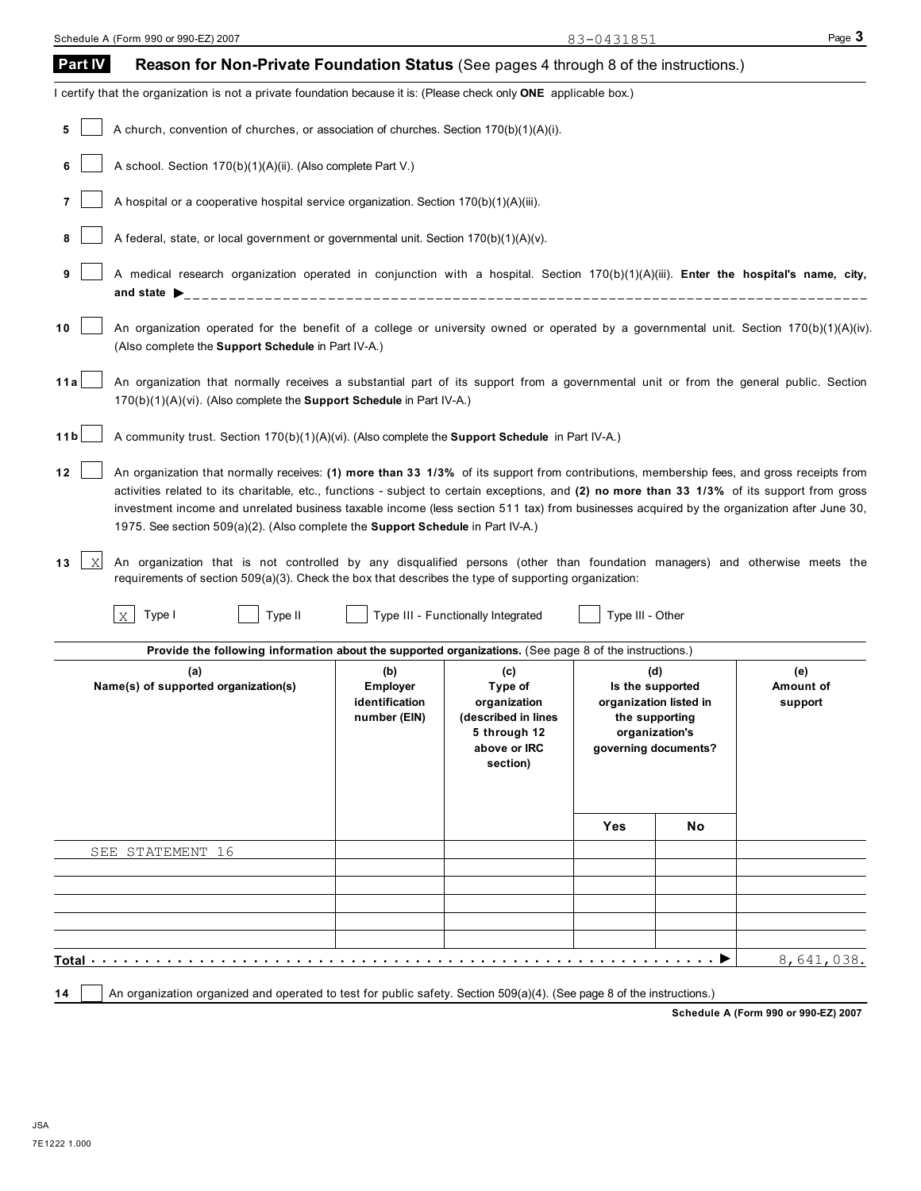| <b>Part IV</b>           | Reason for Non-Private Foundation Status (See pages 4 through 8 of the instructions.)                                                                                                                                                                                                                                                                                                                                                                                                                                                                                                                                                                                                                                                                                     |                                                          |                                                                                                   |                  |                                                                                                               |                             |
|--------------------------|---------------------------------------------------------------------------------------------------------------------------------------------------------------------------------------------------------------------------------------------------------------------------------------------------------------------------------------------------------------------------------------------------------------------------------------------------------------------------------------------------------------------------------------------------------------------------------------------------------------------------------------------------------------------------------------------------------------------------------------------------------------------------|----------------------------------------------------------|---------------------------------------------------------------------------------------------------|------------------|---------------------------------------------------------------------------------------------------------------|-----------------------------|
|                          | I certify that the organization is not a private foundation because it is: (Please check only ONE applicable box.)                                                                                                                                                                                                                                                                                                                                                                                                                                                                                                                                                                                                                                                        |                                                          |                                                                                                   |                  |                                                                                                               |                             |
| 5                        | A church, convention of churches, or association of churches. Section 170(b)(1)(A)(i).                                                                                                                                                                                                                                                                                                                                                                                                                                                                                                                                                                                                                                                                                    |                                                          |                                                                                                   |                  |                                                                                                               |                             |
| 6                        | A school. Section 170(b)(1)(A)(ii). (Also complete Part V.)                                                                                                                                                                                                                                                                                                                                                                                                                                                                                                                                                                                                                                                                                                               |                                                          |                                                                                                   |                  |                                                                                                               |                             |
| 7                        | A hospital or a cooperative hospital service organization. Section 170(b)(1)(A)(iii).                                                                                                                                                                                                                                                                                                                                                                                                                                                                                                                                                                                                                                                                                     |                                                          |                                                                                                   |                  |                                                                                                               |                             |
| 8                        | A federal, state, or local government or governmental unit. Section 170(b)(1)(A)(v).                                                                                                                                                                                                                                                                                                                                                                                                                                                                                                                                                                                                                                                                                      |                                                          |                                                                                                   |                  |                                                                                                               |                             |
| 9                        | A medical research organization operated in conjunction with a hospital. Section 170(b)(1)(A)(iii). Enter the hospital's name, city,<br>and state $\triangleright$                                                                                                                                                                                                                                                                                                                                                                                                                                                                                                                                                                                                        |                                                          |                                                                                                   |                  |                                                                                                               |                             |
| 10                       | An organization operated for the benefit of a college or university owned or operated by a governmental unit. Section 170(b)(1)(A)(iv).<br>(Also complete the Support Schedule in Part IV-A.)                                                                                                                                                                                                                                                                                                                                                                                                                                                                                                                                                                             |                                                          |                                                                                                   |                  |                                                                                                               |                             |
| 11a                      | An organization that normally receives a substantial part of its support from a governmental unit or from the general public. Section<br>170(b)(1)(A)(vi). (Also complete the Support Schedule in Part IV-A.)                                                                                                                                                                                                                                                                                                                                                                                                                                                                                                                                                             |                                                          |                                                                                                   |                  |                                                                                                               |                             |
| 11 <sub>b</sub>          | A community trust. Section 170(b)(1)(A)(vi). (Also complete the Support Schedule in Part IV-A.)                                                                                                                                                                                                                                                                                                                                                                                                                                                                                                                                                                                                                                                                           |                                                          |                                                                                                   |                  |                                                                                                               |                             |
| 12<br>$\mathbf{X}$<br>13 | An organization that normally receives: (1) more than 33 1/3% of its support from contributions, membership fees, and gross receipts from<br>activities related to its charitable, etc., functions - subject to certain exceptions, and (2) no more than 33 1/3% of its support from gross<br>investment income and unrelated business taxable income (less section 511 tax) from businesses acquired by the organization after June 30,<br>1975. See section 509(a)(2). (Also complete the <b>Support Schedule</b> in Part IV-A.)<br>An organization that is not controlled by any disqualified persons (other than foundation managers) and otherwise meets the<br>requirements of section 509(a)(3). Check the box that describes the type of supporting organization: |                                                          |                                                                                                   |                  |                                                                                                               |                             |
|                          | Type I<br>$\overline{X}$<br>Type II                                                                                                                                                                                                                                                                                                                                                                                                                                                                                                                                                                                                                                                                                                                                       |                                                          | Type III - Functionally Integrated                                                                | Type III - Other |                                                                                                               |                             |
|                          | Provide the following information about the supported organizations. (See page 8 of the instructions.)                                                                                                                                                                                                                                                                                                                                                                                                                                                                                                                                                                                                                                                                    |                                                          |                                                                                                   |                  |                                                                                                               |                             |
|                          | (a)<br>Name(s) of supported organization(s)                                                                                                                                                                                                                                                                                                                                                                                                                                                                                                                                                                                                                                                                                                                               | (b)<br><b>Employer</b><br>identification<br>number (EIN) | (c)<br>Type of<br>organization<br>(described in lines<br>5 through 12<br>above or IRC<br>section) |                  | (d)<br>Is the supported<br>organization listed in<br>the supporting<br>organization's<br>governing documents? | (e)<br>Amount of<br>support |
|                          |                                                                                                                                                                                                                                                                                                                                                                                                                                                                                                                                                                                                                                                                                                                                                                           |                                                          |                                                                                                   | Yes              | No.                                                                                                           |                             |
|                          | SEE STATEMENT 16                                                                                                                                                                                                                                                                                                                                                                                                                                                                                                                                                                                                                                                                                                                                                          |                                                          |                                                                                                   |                  |                                                                                                               |                             |
|                          |                                                                                                                                                                                                                                                                                                                                                                                                                                                                                                                                                                                                                                                                                                                                                                           |                                                          |                                                                                                   |                  |                                                                                                               |                             |
|                          |                                                                                                                                                                                                                                                                                                                                                                                                                                                                                                                                                                                                                                                                                                                                                                           |                                                          |                                                                                                   |                  |                                                                                                               |                             |
|                          |                                                                                                                                                                                                                                                                                                                                                                                                                                                                                                                                                                                                                                                                                                                                                                           |                                                          |                                                                                                   |                  |                                                                                                               |                             |
|                          | Total                                                                                                                                                                                                                                                                                                                                                                                                                                                                                                                                                                                                                                                                                                                                                                     |                                                          |                                                                                                   |                  |                                                                                                               | 8,641,038.                  |
|                          | An organization organized and operated to test for public safety. Section 509(a)(4). (See page 8 of the instructions.)                                                                                                                                                                                                                                                                                                                                                                                                                                                                                                                                                                                                                                                    |                                                          |                                                                                                   |                  |                                                                                                               |                             |

**Schedule A (Form 990 or 990-EZ) 2007**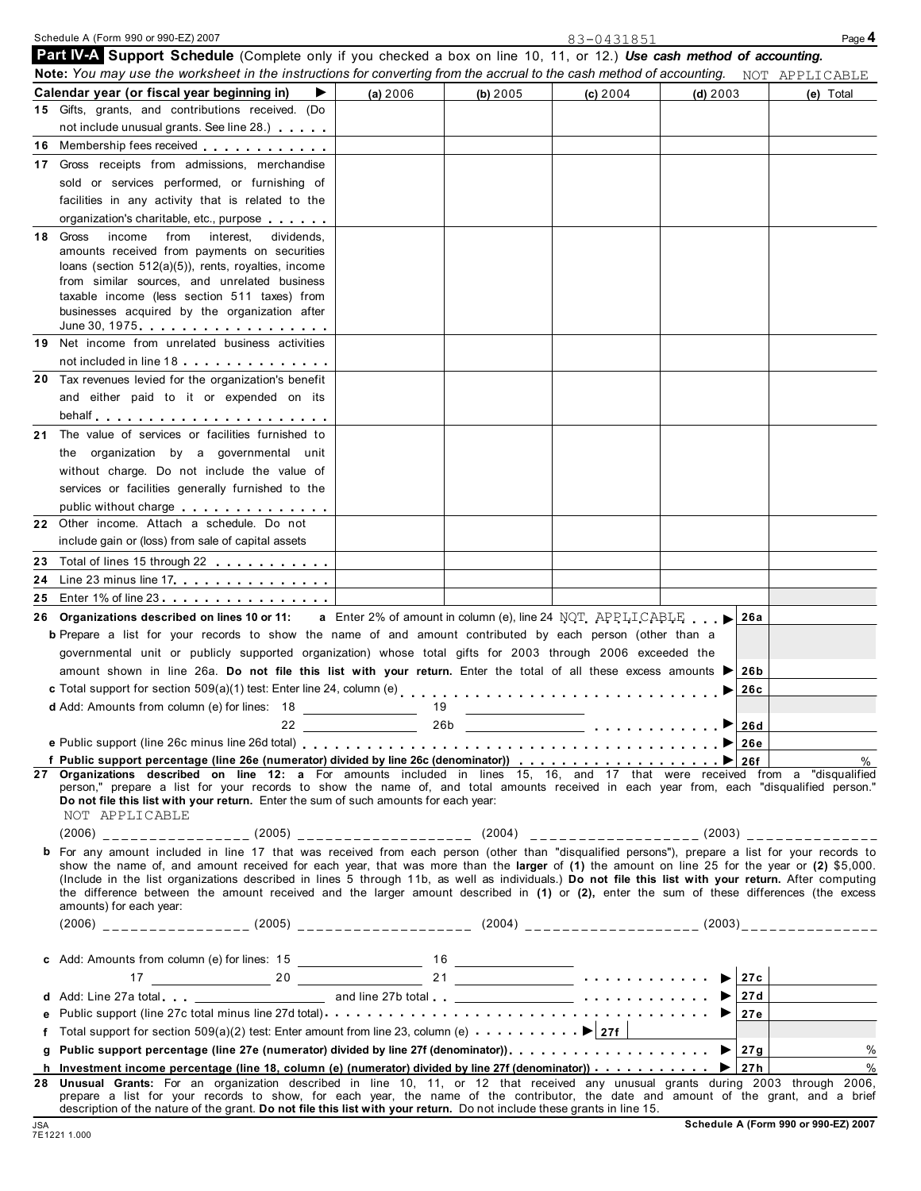|    | Schedule A (Form 990 or 990-EZ) 2007                                                                                                                                                                                                                          |                                                                                  |                                   | 83-0431851 |            | Page 4         |
|----|---------------------------------------------------------------------------------------------------------------------------------------------------------------------------------------------------------------------------------------------------------------|----------------------------------------------------------------------------------|-----------------------------------|------------|------------|----------------|
|    | Part IV-A Support Schedule (Complete only if you checked a box on line 10, 11, or 12.) Use cash method of accounting.                                                                                                                                         |                                                                                  |                                   |            |            |                |
|    | Note: You may use the worksheet in the instructions for converting from the accrual to the cash method of accounting.                                                                                                                                         |                                                                                  |                                   |            |            | NOT APPLICABLE |
|    | Calendar year (or fiscal year beginning in)                                                                                                                                                                                                                   | (a) 2006                                                                         | (b) 2005                          | (c) 2004   | $(d)$ 2003 | (e) Total      |
|    | 15 Gifts, grants, and contributions received. (Do<br>not include unusual grants. See line 28.)                                                                                                                                                                |                                                                                  |                                   |            |            |                |
|    | 16 Membership fees received <b>the contract of the set of the set of the set of the set of the set of the set of the set of the set of the set of the set of the set of the set of the set of the set of the set of the set of t</b>                          |                                                                                  |                                   |            |            |                |
|    | 17 Gross receipts from admissions, merchandise                                                                                                                                                                                                                |                                                                                  |                                   |            |            |                |
|    | sold or services performed, or furnishing of                                                                                                                                                                                                                  |                                                                                  |                                   |            |            |                |
|    | facilities in any activity that is related to the                                                                                                                                                                                                             |                                                                                  |                                   |            |            |                |
|    | organization's charitable, etc., purpose                                                                                                                                                                                                                      |                                                                                  |                                   |            |            |                |
|    | from interest,<br>income<br>18 Gross<br>dividends.                                                                                                                                                                                                            |                                                                                  |                                   |            |            |                |
|    | amounts received from payments on securities                                                                                                                                                                                                                  |                                                                                  |                                   |            |            |                |
|    | loans (section 512(a)(5)), rents, royalties, income<br>from similar sources, and unrelated business                                                                                                                                                           |                                                                                  |                                   |            |            |                |
|    | taxable income (less section 511 taxes) from                                                                                                                                                                                                                  |                                                                                  |                                   |            |            |                |
|    | businesses acquired by the organization after                                                                                                                                                                                                                 |                                                                                  |                                   |            |            |                |
|    | June 30, 1975 $\ldots$ $\ldots$ $\ldots$ $\ldots$ $\ldots$                                                                                                                                                                                                    |                                                                                  |                                   |            |            |                |
|    | 19 Net income from unrelated business activities                                                                                                                                                                                                              |                                                                                  |                                   |            |            |                |
|    | not included in line 18 and a series of the series of the series of the series of the series of the series of                                                                                                                                                 |                                                                                  |                                   |            |            |                |
|    | <b>20</b> Tax revenues levied for the organization's benefit                                                                                                                                                                                                  |                                                                                  |                                   |            |            |                |
|    | and either paid to it or expended on its                                                                                                                                                                                                                      |                                                                                  |                                   |            |            |                |
|    |                                                                                                                                                                                                                                                               |                                                                                  |                                   |            |            |                |
| 21 | The value of services or facilities furnished to                                                                                                                                                                                                              |                                                                                  |                                   |            |            |                |
|    | the organization by a governmental unit                                                                                                                                                                                                                       |                                                                                  |                                   |            |            |                |
|    | without charge. Do not include the value of                                                                                                                                                                                                                   |                                                                                  |                                   |            |            |                |
|    | services or facilities generally furnished to the                                                                                                                                                                                                             |                                                                                  |                                   |            |            |                |
|    | public without charge expansion of the set of the set of the set of the set of the set of the set of the set o                                                                                                                                                |                                                                                  |                                   |            |            |                |
|    | 22 Other income. Attach a schedule. Do not                                                                                                                                                                                                                    |                                                                                  |                                   |            |            |                |
|    | include gain or (loss) from sale of capital assets                                                                                                                                                                                                            |                                                                                  |                                   |            |            |                |
| 23 | Total of lines 15 through 22                                                                                                                                                                                                                                  |                                                                                  |                                   |            |            |                |
| 24 | Line 23 minus line $17$ , $17$ , $17$ , $17$ , $17$ , $17$ , $17$ , $17$                                                                                                                                                                                      |                                                                                  |                                   |            |            |                |
| 25 | Enter 1% of line 23.                                                                                                                                                                                                                                          |                                                                                  |                                   |            |            |                |
|    | 26 Organizations described on lines 10 or 11:                                                                                                                                                                                                                 | <b>a</b> Enter 2% of amount in column (e), line 24 NOT APPLICABLE $\blacksquare$ |                                   |            | 26a        |                |
|    | <b>b</b> Prepare a list for your records to show the name of and amount contributed by each person (other than a                                                                                                                                              |                                                                                  |                                   |            |            |                |
|    | governmental unit or publicly supported organization) whose total gifts for 2003 through 2006 exceeded the                                                                                                                                                    |                                                                                  |                                   |            |            |                |
|    | amount shown in line 26a. Do not file this list with your return. Enter the total of all these excess amounts                                                                                                                                                 |                                                                                  |                                   |            | 26 b       |                |
|    |                                                                                                                                                                                                                                                               |                                                                                  |                                   |            | 26c<br>▶   |                |
|    | d Add: Amounts from column (e) for lines: 18                                                                                                                                                                                                                  | 19                                                                               | <u> Albanya (Albanya Albanya)</u> |            |            |                |
|    | 22                                                                                                                                                                                                                                                            |                                                                                  |                                   |            |            |                |
|    |                                                                                                                                                                                                                                                               |                                                                                  |                                   |            |            | %              |
|    | 27 Organizations described on line 12: a For amounts included in lines 15, 16, and 17 that were received from a "disqualified                                                                                                                                 |                                                                                  |                                   |            |            |                |
|    | person," prepare a list for your records to show the name of, and total amounts received in each year from, each "disqualified person."<br>Do not file this list with your return. Enter the sum of such amounts for each year:<br>NOT APPLICABLE             |                                                                                  |                                   |            |            |                |
|    |                                                                                                                                                                                                                                                               |                                                                                  |                                   |            |            |                |
|    | b For any amount included in line 17 that was received from each person (other than "disqualified persons"), prepare a list for your records to                                                                                                               |                                                                                  |                                   |            |            |                |
|    | show the name of, and amount received for each year, that was more than the larger of (1) the amount on line 25 for the year or (2) \$5,000.                                                                                                                  |                                                                                  |                                   |            |            |                |
|    | (Include in the list organizations described in lines 5 through 11b, as well as individuals.) Do not file this list with your return. After computing                                                                                                         |                                                                                  |                                   |            |            |                |
|    | the difference between the amount received and the larger amount described in (1) or (2), enter the sum of these differences (the excess<br>amounts) for each year:                                                                                           |                                                                                  |                                   |            |            |                |
|    |                                                                                                                                                                                                                                                               |                                                                                  |                                   |            |            |                |
|    |                                                                                                                                                                                                                                                               |                                                                                  |                                   |            |            |                |
|    |                                                                                                                                                                                                                                                               |                                                                                  |                                   |            |            |                |
|    |                                                                                                                                                                                                                                                               |                                                                                  |                                   |            |            |                |
|    | d Add: Line 27a total (eq. 127d) and line 27b total (eq. 120) and line 27b total (eq. 127d)                                                                                                                                                                   |                                                                                  |                                   |            |            |                |
| е  |                                                                                                                                                                                                                                                               |                                                                                  |                                   |            |            |                |
| f  | Total support for section 509(a)(2) test: Enter amount from line 23, column (e) $\cdots \cdots \cdots$ $\blacktriangleright$ 27f                                                                                                                              |                                                                                  |                                   |            |            |                |
| g  |                                                                                                                                                                                                                                                               |                                                                                  |                                   |            |            | $\%$           |
|    | h Investment income percentage (line 18, column (e) (numerator) divided by line 27f (denominator)) $\ldots \ldots \ldots$ $\blacktriangleright$ 27h                                                                                                           |                                                                                  |                                   |            |            | $\frac{0}{0}$  |
|    | 28 Unusual Grants: For an organization described in line 10, 11, or 12 that received any unusual grants during 2003 through 2006,                                                                                                                             |                                                                                  |                                   |            |            |                |
|    | prepare a list for your records to show, for each year, the name of the contributor, the date and amount of the grant, and a brief<br>description of the nature of the grant. Do not file this list with your return. Do not include these grants in line 15. |                                                                                  |                                   |            |            |                |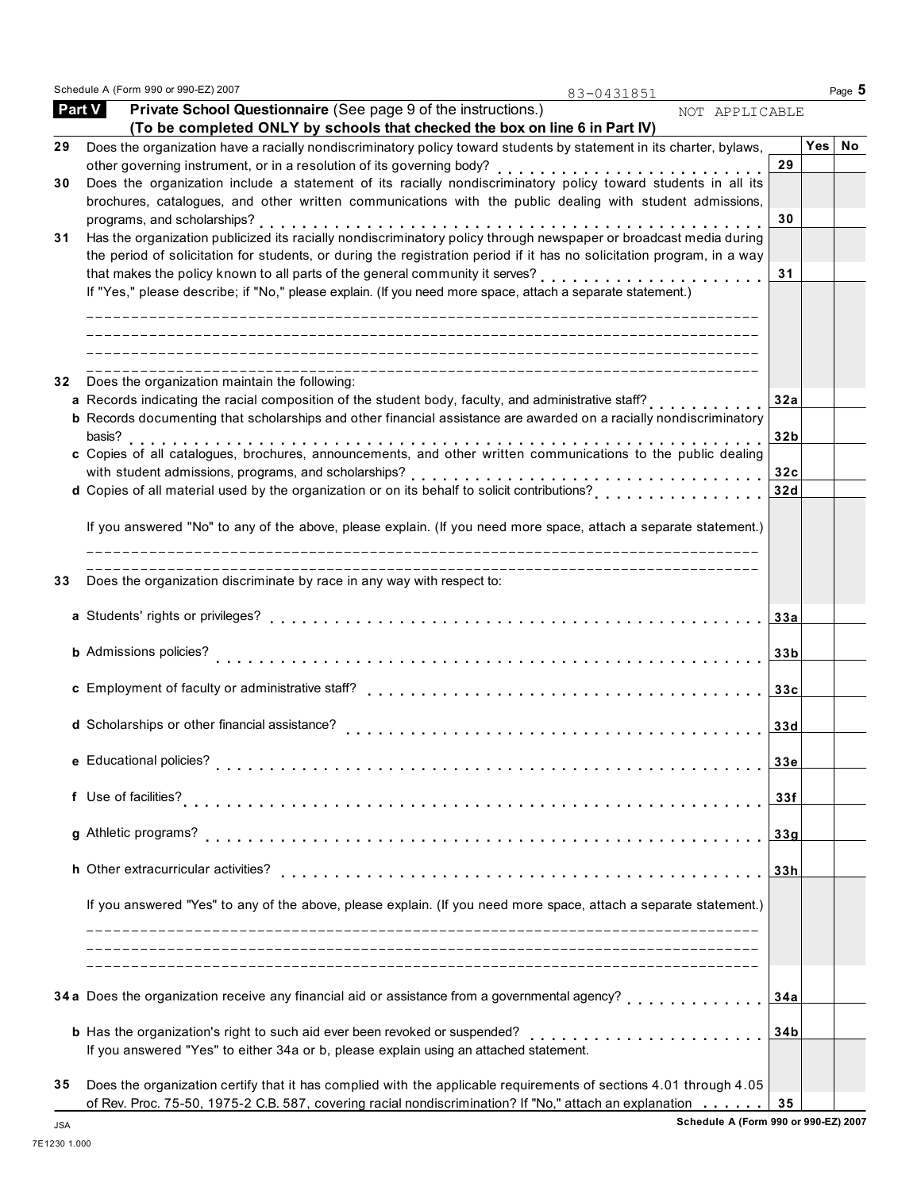Schedule A (Form 990 or 990-EZ) 2007 **Page 5 Page 1** 

83-0431851

|    | Private School Questionnaire (See page 9 of the instructions.)<br><b>Part V</b><br>NOT APPLICABLE<br>(To be completed ONLY by schools that checked the box on line 6 in Part IV)                                                 |                 |     |    |
|----|----------------------------------------------------------------------------------------------------------------------------------------------------------------------------------------------------------------------------------|-----------------|-----|----|
| 29 | Does the organization have a racially nondiscriminatory policy toward students by statement in its charter, bylaws,                                                                                                              |                 | Yes | No |
|    |                                                                                                                                                                                                                                  | 29              |     |    |
| 30 | Does the organization include a statement of its racially nondiscriminatory policy toward students in all its                                                                                                                    |                 |     |    |
|    | brochures, catalogues, and other written communications with the public dealing with student admissions,                                                                                                                         |                 |     |    |
|    | programs, and scholarships?                                                                                                                                                                                                      | 30              |     |    |
| 31 | Has the organization publicized its racially nondiscriminatory policy through newspaper or broadcast media during                                                                                                                |                 |     |    |
|    | the period of solicitation for students, or during the registration period if it has no solicitation program, in a way                                                                                                           |                 |     |    |
|    | that makes the policy known to all parts of the general community it serves?                                                                                                                                                     | 31              |     |    |
|    | If "Yes," please describe; if "No," please explain. (If you need more space, attach a separate statement.)                                                                                                                       |                 |     |    |
|    |                                                                                                                                                                                                                                  |                 |     |    |
|    |                                                                                                                                                                                                                                  |                 |     |    |
| 32 | Does the organization maintain the following:                                                                                                                                                                                    |                 |     |    |
|    | a Records indicating the racial composition of the student body, faculty, and administrative staff?<br><b>b</b> Records documenting that scholarships and other financial assistance are awarded on a racially nondiscriminatory | 32a             |     |    |
|    | basis?                                                                                                                                                                                                                           | 32 <sub>b</sub> |     |    |
|    | c Copies of all catalogues, brochures, announcements, and other written communications to the public dealing                                                                                                                     |                 |     |    |
|    | with student admissions, programs, and scholarships?                                                                                                                                                                             | 32c             |     |    |
|    |                                                                                                                                                                                                                                  | 32d             |     |    |
|    |                                                                                                                                                                                                                                  |                 |     |    |
|    | If you answered "No" to any of the above, please explain. (If you need more space, attach a separate statement.)                                                                                                                 |                 |     |    |
| 33 | ________________________<br>Does the organization discriminate by race in any way with respect to:                                                                                                                               |                 |     |    |
|    |                                                                                                                                                                                                                                  |                 |     |    |
|    |                                                                                                                                                                                                                                  | 33a             |     |    |
|    |                                                                                                                                                                                                                                  |                 |     |    |
|    | <b>b</b> Admissions policies?                                                                                                                                                                                                    | 33 <sub>b</sub> |     |    |
|    |                                                                                                                                                                                                                                  |                 |     |    |
|    | c Employment of faculty or administrative staff?                                                                                                                                                                                 | 33c             |     |    |
|    |                                                                                                                                                                                                                                  |                 |     |    |
|    | d Scholarships or other financial assistance?                                                                                                                                                                                    | 33d             |     |    |
|    | e Educational policies?                                                                                                                                                                                                          | 33e             |     |    |
|    |                                                                                                                                                                                                                                  |                 |     |    |
|    | f Use of facilities?                                                                                                                                                                                                             | 33f             |     |    |
|    |                                                                                                                                                                                                                                  |                 |     |    |
|    | g Athletic programs?                                                                                                                                                                                                             | 33g             |     |    |
|    | h Other extracurricular activities?                                                                                                                                                                                              | 33h             |     |    |
|    |                                                                                                                                                                                                                                  |                 |     |    |
|    | If you answered "Yes" to any of the above, please explain. (If you need more space, attach a separate statement.)                                                                                                                |                 |     |    |
|    |                                                                                                                                                                                                                                  |                 |     |    |
|    | 34 a Does the organization receive any financial aid or assistance from a governmental agency?<br>di di di di di di di di di di di d                                                                                             | 34a             |     |    |
|    |                                                                                                                                                                                                                                  |                 |     |    |
|    |                                                                                                                                                                                                                                  | 34b             |     |    |
|    | If you answered "Yes" to either 34a or b, please explain using an attached statement.                                                                                                                                            |                 |     |    |
| 35 | Does the organization certify that it has complied with the applicable requirements of sections 4.01 through 4.05                                                                                                                |                 |     |    |
|    | of Rev. Proc. 75-50, 1975-2 C.B. 587, covering racial nondiscrimination? If "No," attach an explanation                                                                                                                          | 35              |     |    |

**Schedule A (Form 990 or 990-EZ) 2007** JSA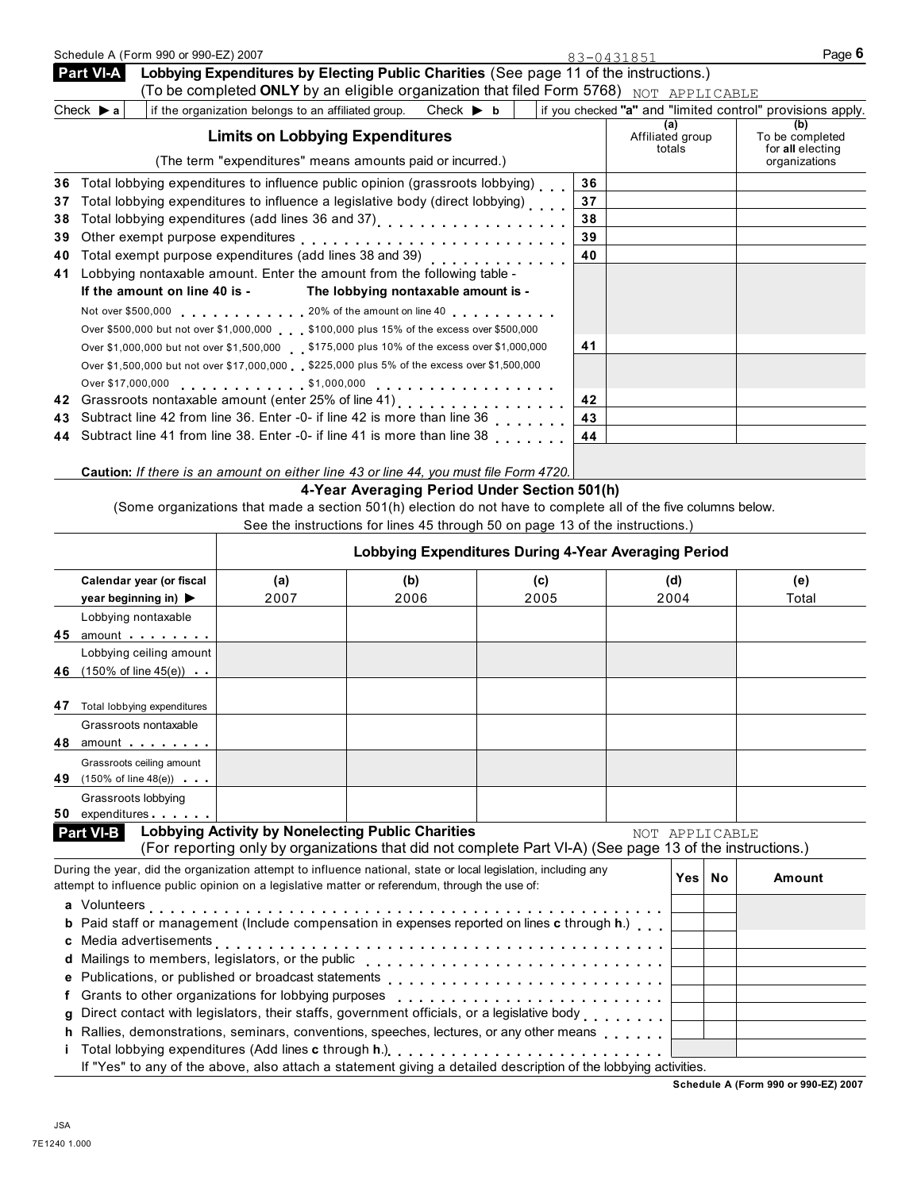| Schedule A (Form 990 or 990-EZ) 2007                                                                                                                                                                                           |                                                                                                                                                                                                                                |                                                                               |      | 83-0431851                                                 | Page 6                                     |
|--------------------------------------------------------------------------------------------------------------------------------------------------------------------------------------------------------------------------------|--------------------------------------------------------------------------------------------------------------------------------------------------------------------------------------------------------------------------------|-------------------------------------------------------------------------------|------|------------------------------------------------------------|--------------------------------------------|
| <b>Part VI-A</b>                                                                                                                                                                                                               | Lobbying Expenditures by Electing Public Charities (See page 11 of the instructions.)                                                                                                                                          |                                                                               |      |                                                            |                                            |
|                                                                                                                                                                                                                                | (To be completed ONLY by an eligible organization that filed Form 5768) NOT APPLICABLE                                                                                                                                         |                                                                               |      |                                                            |                                            |
| Check $\triangleright$ a                                                                                                                                                                                                       | if the organization belongs to an affiliated group.                                                                                                                                                                            | Check $\blacktriangleright$ b                                                 |      | if you checked "a" and "limited control" provisions apply. |                                            |
|                                                                                                                                                                                                                                | <b>Limits on Lobbying Expenditures</b>                                                                                                                                                                                         |                                                                               |      | (a)<br>Affiliated group<br>totals                          | (b)<br>To be completed<br>for all electing |
|                                                                                                                                                                                                                                | (The term "expenditures" means amounts paid or incurred.)                                                                                                                                                                      |                                                                               |      |                                                            | organizations                              |
| 36                                                                                                                                                                                                                             | Total lobbying expenditures to influence public opinion (grassroots lobbying)                                                                                                                                                  |                                                                               |      | 36                                                         |                                            |
| 37                                                                                                                                                                                                                             | Total lobbying expenditures to influence a legislative body (direct lobbying)                                                                                                                                                  |                                                                               |      | 37                                                         |                                            |
| 38                                                                                                                                                                                                                             |                                                                                                                                                                                                                                |                                                                               |      | 38                                                         |                                            |
| 39                                                                                                                                                                                                                             |                                                                                                                                                                                                                                |                                                                               |      | 39                                                         |                                            |
| 40                                                                                                                                                                                                                             |                                                                                                                                                                                                                                |                                                                               |      | 40                                                         |                                            |
| 41                                                                                                                                                                                                                             | Lobbying nontaxable amount. Enter the amount from the following table -                                                                                                                                                        |                                                                               |      |                                                            |                                            |
| If the amount on line 40 is -                                                                                                                                                                                                  |                                                                                                                                                                                                                                | The lobbying nontaxable amount is -                                           |      |                                                            |                                            |
|                                                                                                                                                                                                                                | Not over \$500,000 contact the amount on line 40 contact the 40 contact to 40 contact the 40 contact to 40 contact the 40 contact to 40 contact the 40 contact to 40 contact the 40 contact to 40 contact the 40 contact to 40 |                                                                               |      |                                                            |                                            |
|                                                                                                                                                                                                                                | Over \$500,000 but not over \$1,000,000 \$100,000 plus 15% of the excess over \$500,000                                                                                                                                        |                                                                               |      |                                                            |                                            |
|                                                                                                                                                                                                                                | Over \$1,000,000 but not over \$1,500,000 \$175,000 plus 10% of the excess over \$1,000,000                                                                                                                                    |                                                                               |      | 41                                                         |                                            |
|                                                                                                                                                                                                                                | Over \$1,500,000 but not over \$17,000,000 \$225,000 plus 5% of the excess over \$1,500,000                                                                                                                                    |                                                                               |      |                                                            |                                            |
|                                                                                                                                                                                                                                |                                                                                                                                                                                                                                |                                                                               |      |                                                            |                                            |
| 42                                                                                                                                                                                                                             |                                                                                                                                                                                                                                |                                                                               |      | 42                                                         |                                            |
| 43                                                                                                                                                                                                                             | Subtract line 42 from line 36. Enter -0- if line 42 is more than line 36                                                                                                                                                       |                                                                               | .    | 43                                                         |                                            |
| 44                                                                                                                                                                                                                             | Subtract line 41 from line 38. Enter -0- if line 41 is more than line 38                                                                                                                                                       |                                                                               |      | 44                                                         |                                            |
|                                                                                                                                                                                                                                | Caution: If there is an amount on either line 43 or line 44, you must file Form 4720.                                                                                                                                          |                                                                               |      |                                                            |                                            |
|                                                                                                                                                                                                                                |                                                                                                                                                                                                                                | 4-Year Averaging Period Under Section 501(h)                                  |      |                                                            |                                            |
|                                                                                                                                                                                                                                | (Some organizations that made a section 501(h) election do not have to complete all of the five columns below.                                                                                                                 |                                                                               |      |                                                            |                                            |
|                                                                                                                                                                                                                                |                                                                                                                                                                                                                                | See the instructions for lines 45 through 50 on page 13 of the instructions.) |      |                                                            |                                            |
|                                                                                                                                                                                                                                |                                                                                                                                                                                                                                |                                                                               |      | Lobbying Expenditures During 4-Year Averaging Period       |                                            |
| Calendar year (or fiscal                                                                                                                                                                                                       | (a)                                                                                                                                                                                                                            | (b)                                                                           | (c)  | (d)                                                        | (e)                                        |
| year beginning in) ▶                                                                                                                                                                                                           | 2007                                                                                                                                                                                                                           | 2006                                                                          | 2005 | 2004                                                       | Total                                      |
| Lobbying nontaxable                                                                                                                                                                                                            |                                                                                                                                                                                                                                |                                                                               |      |                                                            |                                            |
| 45 amount and the set of the set of the set of the set of the set of the set of the set of the set of the set of the set of the set of the set of the set of the set of the set of the set of the set of the set of the set of |                                                                                                                                                                                                                                |                                                                               |      |                                                            |                                            |
| Lobbying ceiling amount                                                                                                                                                                                                        |                                                                                                                                                                                                                                |                                                                               |      |                                                            |                                            |
| 46 (150% of line 45(e))                                                                                                                                                                                                        |                                                                                                                                                                                                                                |                                                                               |      |                                                            |                                            |
|                                                                                                                                                                                                                                |                                                                                                                                                                                                                                |                                                                               |      |                                                            |                                            |
| 47 Total lobbying expenditures                                                                                                                                                                                                 |                                                                                                                                                                                                                                |                                                                               |      |                                                            |                                            |
| Grassroots nontaxable                                                                                                                                                                                                          |                                                                                                                                                                                                                                |                                                                               |      |                                                            |                                            |
| 48 amount                                                                                                                                                                                                                      |                                                                                                                                                                                                                                |                                                                               |      |                                                            |                                            |
| Grassroots ceiling amount                                                                                                                                                                                                      |                                                                                                                                                                                                                                |                                                                               |      |                                                            |                                            |
| 49 $(150\% \text{ of line } 48(e))$                                                                                                                                                                                            |                                                                                                                                                                                                                                |                                                                               |      |                                                            |                                            |
| Grassroots lobbying                                                                                                                                                                                                            |                                                                                                                                                                                                                                |                                                                               |      |                                                            |                                            |
| expenditures<br>50                                                                                                                                                                                                             | <b>Lobbying Activity by Nonelecting Public Charities</b>                                                                                                                                                                       |                                                                               |      |                                                            |                                            |
| <b>Part VI-B</b>                                                                                                                                                                                                               | (For reporting only by organizations that did not complete Part VI-A) (See page 13 of the instructions.)                                                                                                                       |                                                                               |      | NOT APPLICABLE                                             |                                            |
|                                                                                                                                                                                                                                | During the year, did the organization attempt to influence national, state or local legislation, including any                                                                                                                 |                                                                               |      |                                                            |                                            |

| During the year, did the organization attempt to influence national, state or local legislation, including any<br>attempt to influence public opinion on a legislative matter or referendum, through the use of: |                                                                                                                 |  | No.<br>Yes⊺ | Amount |
|------------------------------------------------------------------------------------------------------------------------------------------------------------------------------------------------------------------|-----------------------------------------------------------------------------------------------------------------|--|-------------|--------|
|                                                                                                                                                                                                                  |                                                                                                                 |  |             |        |
|                                                                                                                                                                                                                  |                                                                                                                 |  |             |        |
|                                                                                                                                                                                                                  | <b>b</b> Paid staff or management (Include compensation in expenses reported on lines c through h.)             |  |             |        |
|                                                                                                                                                                                                                  |                                                                                                                 |  |             |        |
|                                                                                                                                                                                                                  | d Mailings to members, legislators, or the public                                                               |  |             |        |
|                                                                                                                                                                                                                  |                                                                                                                 |  |             |        |
|                                                                                                                                                                                                                  | f Grants to other organizations for lobbying purposes                                                           |  |             |        |
|                                                                                                                                                                                                                  | g Direct contact with legislators, their staffs, government officials, or a legislative body                    |  |             |        |
|                                                                                                                                                                                                                  | h Rallies, demonstrations, seminars, conventions, speeches, lectures, or any other means                        |  |             |        |
|                                                                                                                                                                                                                  | i Total lobbying expenditures (Add lines c through h.) [1] [1] Total Louis Louis Louis Louis Louis Louis Louis  |  |             |        |
|                                                                                                                                                                                                                  | If "Yes" to any of the above, also attach a statement giving a detailed description of the lobbying activities. |  |             |        |

**Schedule A (Form 990 or 990-EZ) 2007**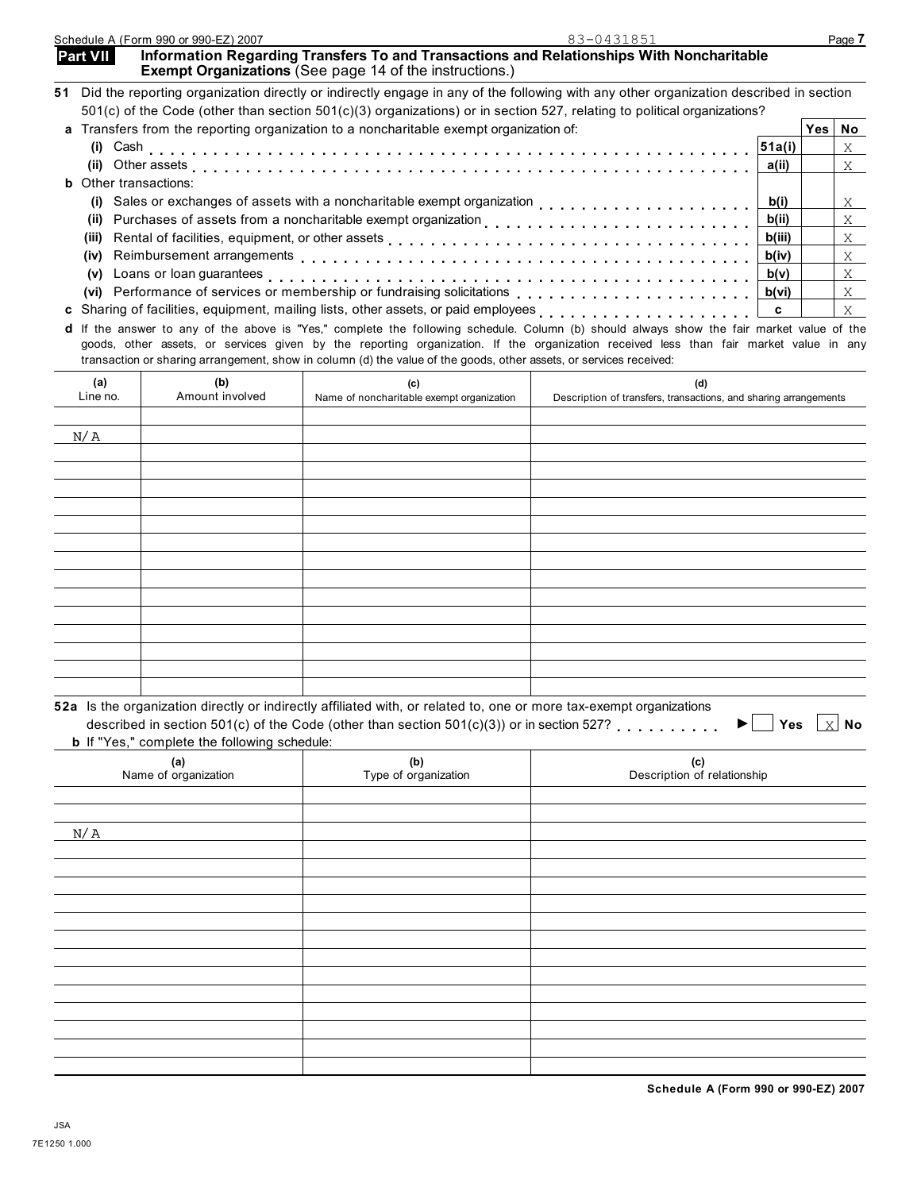| b If "Yes," complete the following schedule: | 52a Is the organization directly or indirectly affiliated with, or related to, one or more tax-exempt organizations<br>described in section 501(c) of the Code (other than section 501(c)(3)) or in section 527? | $\mathbb{X}$ No<br>Yes<br>▶          |
|----------------------------------------------|------------------------------------------------------------------------------------------------------------------------------------------------------------------------------------------------------------------|--------------------------------------|
| (a)<br>Name of organization                  | (b)<br>Type of organization                                                                                                                                                                                      | (c)<br>Description of relationship   |
| N/A                                          |                                                                                                                                                                                                                  |                                      |
|                                              |                                                                                                                                                                                                                  |                                      |
|                                              |                                                                                                                                                                                                                  |                                      |
|                                              |                                                                                                                                                                                                                  |                                      |
|                                              |                                                                                                                                                                                                                  |                                      |
|                                              |                                                                                                                                                                                                                  |                                      |
|                                              |                                                                                                                                                                                                                  |                                      |
|                                              |                                                                                                                                                                                                                  | Schedule A (Form 990 or 990-EZ) 2007 |
| <b>JSA</b>                                   |                                                                                                                                                                                                                  |                                      |
| 7E1250 1.000                                 |                                                                                                                                                                                                                  |                                      |
|                                              |                                                                                                                                                                                                                  |                                      |

| <b>Exempt Organizations</b> (See page 14 of the instructions.)                                                                           |        |      |              |
|------------------------------------------------------------------------------------------------------------------------------------------|--------|------|--------------|
| 51 Did the reporting organization directly or indirectly engage in any of the following with any other organization described in section |        |      |              |
| 501(c) of the Code (other than section 501(c)(3) organizations) or in section 527, relating to political organizations?                  |        |      |              |
| a Transfers from the reporting organization to a noncharitable exempt organization of:                                                   |        | Yes⊺ | No           |
|                                                                                                                                          |        |      | X            |
|                                                                                                                                          | a(ii)  |      | X            |
| <b>b</b> Other transactions:                                                                                                             |        |      |              |
| Sales or exchanges of assets with a noncharitable exempt organization $\ldots \ldots \ldots \ldots$<br>(i)                               | b(i)   |      | X            |
| Purchases of assets from a noncharitable exempt organization entity entity enterstanding production of the b(ii)<br>(ii)                 |        |      | $\mathsf{X}$ |
| (iii)                                                                                                                                    | b(iii) |      | X            |
| (iv)                                                                                                                                     | b(iv)  |      | X            |
| Loans or loan guarantees $\ldots \ldots \ldots \ldots \ldots \ldots \ldots \ldots \ldots \ldots \ldots \ldots$<br>(v)                    | b(v)   |      | $\mathbf{X}$ |
|                                                                                                                                          | b(vi)  |      | X            |
| c Sharing of facilities, equipment, mailing lists, other assets, or paid employees                                                       | c      |      |              |

**Part VII** Information Regarding Transfers To and Transactions and Relationships With Noncharitable

| d If the answer to any of the above is "Yes," complete the following schedule. Column (b) should always show the fair market value of the |
|-------------------------------------------------------------------------------------------------------------------------------------------|
| goods, other assets, or services given by the reporting organization. If the organization received less than fair market value in any     |
| transaction or sharing arrangement, show in column (d) the value of the goods, other assets, or services received:                        |

Line no. Amount involved Name of noncharitable exempt organization Bescription of transfers, transactions, and sharing arrangements

|                                                     | 52a Is the organization directly or indirectly affiliated with, or related to, one or more tax-exempt organizations<br>described in section 501(c) of the Code (other than section 501(c)(3)) or in section 527? | $\times$ No<br>Yes I |  |  |  |  |  |  |
|-----------------------------------------------------|------------------------------------------------------------------------------------------------------------------------------------------------------------------------------------------------------------------|----------------------|--|--|--|--|--|--|
| <b>b</b> If "Yes." complete the following schedule: |                                                                                                                                                                                                                  |                      |  |  |  |  |  |  |

| <u> 1980 - An t-Alban Alban Ann an t-Alban Ann an t-Alban Ann an t-Alban Ann an t-Alban Ann an t-Alban Ann an t-A</u> |        |
|-----------------------------------------------------------------------------------------------------------------------|--------|
|                                                                                                                       |        |
| <u> La Carlo de la Carlo de la Carlo de la Carlo de la Carlo de la Carlo de la Carlo de la Carlo de la Carlo de l</u> |        |
|                                                                                                                       | ______ |

**(a) (b) (c) (d)**

N/A

|                                                                                              | יש גווט טוקטווובמגוסה מווסטנון טו וווטווסטנון מהווומנטט וווגה, טו וטומנטט נט, טווט טו וווטוס נמא טאטווואַנ טוקמ |  |  |  |  |
|----------------------------------------------------------------------------------------------|-----------------------------------------------------------------------------------------------------------------|--|--|--|--|
| described in section 501(c) of the Code (other than section $501(c)(3)$ ) or in section 527? |                                                                                                                 |  |  |  |  |
| <b>b</b> If "Yes," complete the following schedule:                                          |                                                                                                                 |  |  |  |  |
|                                                                                              | (h)                                                                                                             |  |  |  |  |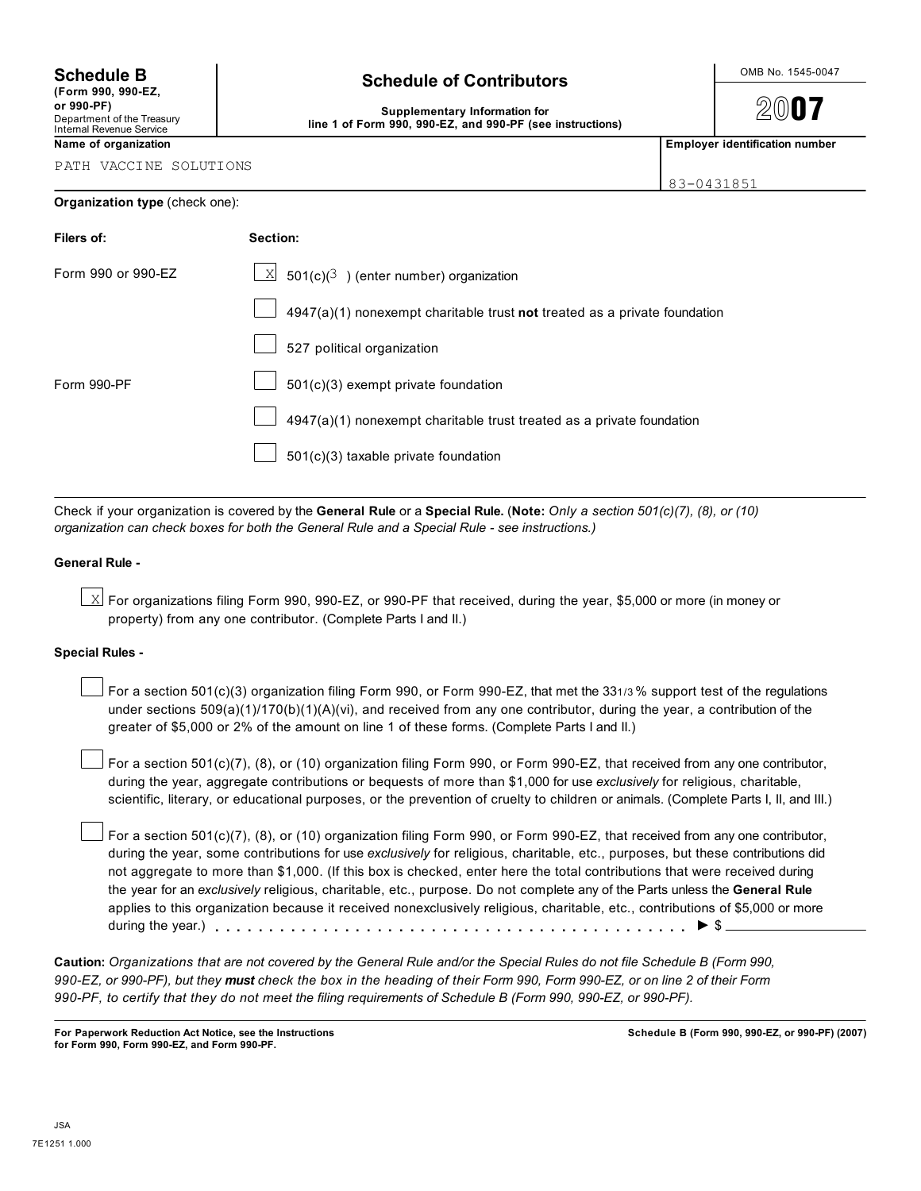**(Form 990, 990-EZ,**

# Internal Revenue Service

# **Schedule B**  $\left\vert \right\vert$  **Schedule of Contributors**  $\left\vert \right\vert$   $\right\vert$   $\left\vert \right\vert$   $\right\vert$   $\left\vert \right\vert$   $\left\vert \right\vert$   $\left\vert \right\vert$   $\left\vert \right\vert$   $\left\vert \right\vert$   $\left\vert \right\vert$   $\left\vert \right\vert$   $\left\vert \right\vert$   $\left\vert \right\vert$   $\left\vert \right\vert$   $\left\vert \right\vert$   $\left\vert \right\vert$   $\left$

2007

## **or 990-PF)**<br>Department of the Treasury **Contained Act Supplementary Information for** line 1 of Form 990, 990-EZ, and 990-PF (see instructions)

**Name of organization Employer identification number**

PATH VACCINE SOLUTIONS

| 83-0431851 |  |
|------------|--|
|            |  |

| Organization type (check one): |  |  |
|--------------------------------|--|--|
|                                |  |  |

| Filers of:         | Section:                                                                    |
|--------------------|-----------------------------------------------------------------------------|
| Form 990 or 990-EZ | $\underline{\times}$ 501(c)( <sup>3</sup> ) (enter number) organization     |
|                    | $4947(a)(1)$ nonexempt charitable trust not treated as a private foundation |
|                    | 527 political organization                                                  |
| Form 990-PF        | 501(c)(3) exempt private foundation                                         |
|                    | 4947(a)(1) nonexempt charitable trust treated as a private foundation       |
|                    | 501(c)(3) taxable private foundation                                        |

Check if your organization is covered by the **General Rule** or a **Special Rule.** (**Note:** *Only a section 501(c)(7), (8), or (10) organization can check boxes for both the General Rule and a Special Rule - see instructions.)*

## **General Rule -**

 $\boxtimes$  For organizations filing Form 990, 990-EZ, or 990-PF that received, during the year, \$5,000 or more (in money or property) from any one contributor. (Complete Parts I and II.)

## **Special Rules -**

For a section 501(c)(3) organization filing Form 990, or Form 990-EZ, that met the 331/3% support test of the regulations under sections 509(a)(1)/170(b)(1)(A)(vi), and received from any one contributor, during the year, a contribution of the greater of \$5,000 or 2% of the amount on line 1 of these forms. (Complete Parts I and II.)

For a section 501(c)(7), (8), or (10) organization filing Form 990, or Form 990-EZ, that received from any one contributor, during the year, aggregate contributions or bequests of more than \$1,000 for use *exclusively* for religious, charitable, scientific, literary, or educational purposes, or the prevention of cruelty to children or animals. (Complete Parts I, II, and III.)

For a section 501(c)(7), (8), or (10) organization filing Form 990, or Form 990-EZ, that received from any one contributor, during the year, some contributions for use *exclusively* for religious, charitable, etc., purposes, but these contributions did not aggregate to more than \$1,000. (If this box is checked, enter here the total contributions that were received during the year for an *exclusively* religious, charitable, etc., purpose. Do not complete any of the Parts unless the **General Rule** applies to this organization because it received nonexclusively religious, charitable, etc., contributions of \$5,000 or more during the year.)  $\ldots$   $\ldots$   $\ldots$   $\ldots$   $\ldots$   $\ldots$   $\ldots$   $\ldots$   $\ldots$   $\ldots$   $\ldots$   $\ldots$   $\ldots$   $\ldots$   $\blacktriangleright$   $\mathcal{S}_{-}$ 

**Caution:** *Organizations that are not covered by the General Rule and/or the Special Rules do not file Schedule B (Form 990, 990-EZ, or 990-PF), but they must check the box in the heading of their Form 990, Form 990-EZ, or on line 2 of their Form 990-PF, to certify that they do not meet the filing requirements of Schedule B (Form 990, 990-EZ, or 990-PF).*

**For Paperwork Reduction Act Notice, see the Instructions for Form 990, Form 990-EZ, and Form 990-PF.**

**Schedule B (Form 990, 990-EZ, or 990-PF) (2007)**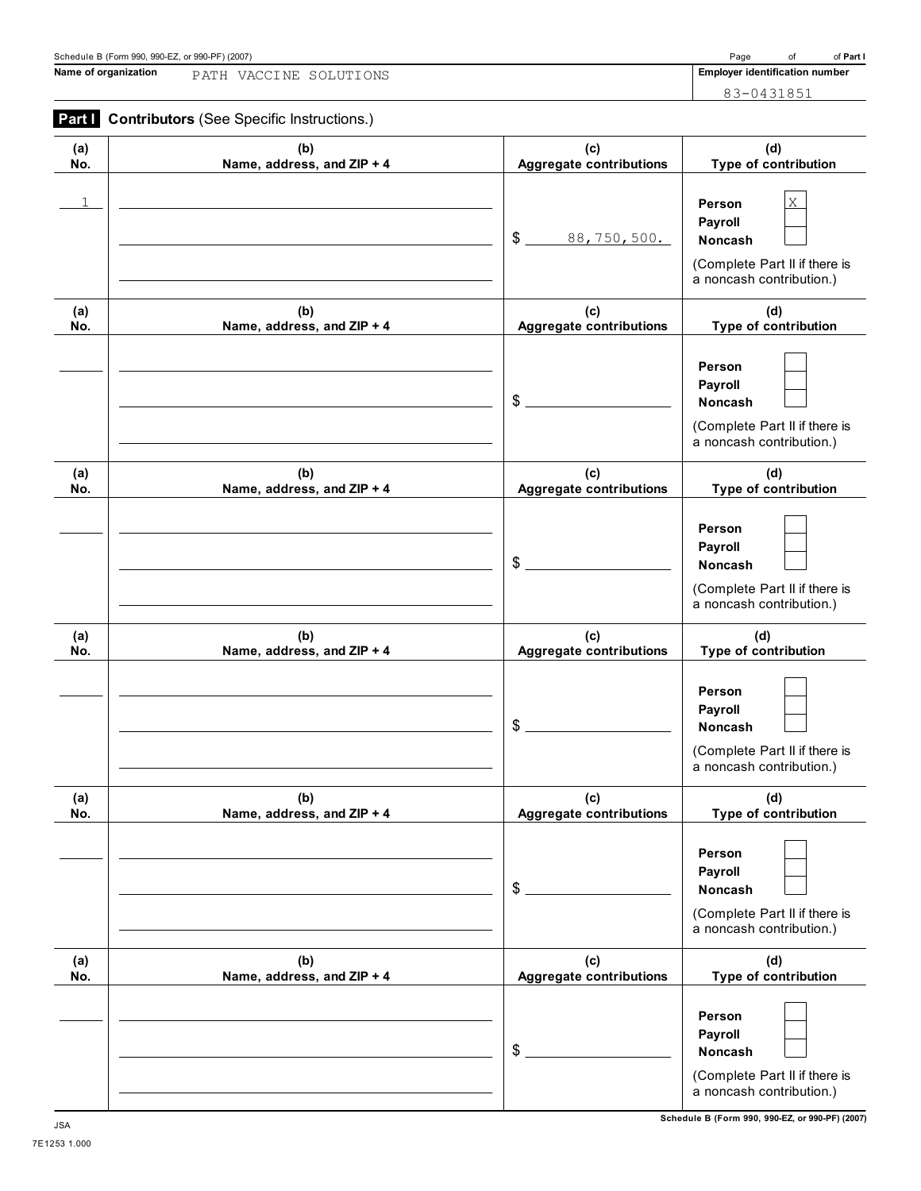## **Name of organization Employer identification number** PATH VACCINE SOLUTIONS

83-0431851

# **Part I** Contributors (See Specific Instructions.)

| (a) | (b)                        | (c)                            | (d)                                                                                            |
|-----|----------------------------|--------------------------------|------------------------------------------------------------------------------------------------|
| No. | Name, address, and ZIP + 4 | <b>Aggregate contributions</b> | Type of contribution                                                                           |
|     |                            | \$<br>88,750,500.              | Χ<br>Person<br>Payroll<br>Noncash<br>(Complete Part II if there is<br>a noncash contribution.) |
| (a) | (b)                        | (c)                            | (d)                                                                                            |
| No. | Name, address, and ZIP + 4 | <b>Aggregate contributions</b> | Type of contribution                                                                           |
|     |                            | \$                             | Person<br>Payroll<br>Noncash<br>(Complete Part II if there is<br>a noncash contribution.)      |
| (a) | (b)                        | (c)                            | (d)                                                                                            |
| No. | Name, address, and ZIP + 4 | <b>Aggregate contributions</b> | Type of contribution                                                                           |
|     |                            | \$                             | Person<br>Payroll<br>Noncash<br>(Complete Part II if there is<br>a noncash contribution.)      |
| (a) | (b)                        | (c)                            | (d)                                                                                            |
| No. | Name, address, and ZIP + 4 | <b>Aggregate contributions</b> | Type of contribution                                                                           |
|     |                            | \$                             | Person<br>Payroll<br>Noncash<br>(Complete Part II if there is<br>a noncash contribution.)      |
| (a) | (b)                        | (c)                            | (d)                                                                                            |
| No. | Name, address, and ZIP + 4 | <b>Aggregate contributions</b> | Type of contribution                                                                           |
|     |                            | \$                             | Person<br>Payroll<br>Noncash<br>(Complete Part II if there is<br>a noncash contribution.)      |
| (a) | (b)                        | (c)                            | (d)                                                                                            |
| No. | Name, address, and ZIP + 4 | <b>Aggregate contributions</b> | Type of contribution                                                                           |
|     |                            | \$                             | Person<br>Payroll<br>Noncash<br>(Complete Part II if there is<br>a noncash contribution.)      |

**Schedule B (Form 990, 990-EZ, or 990-PF) (2007)** JSA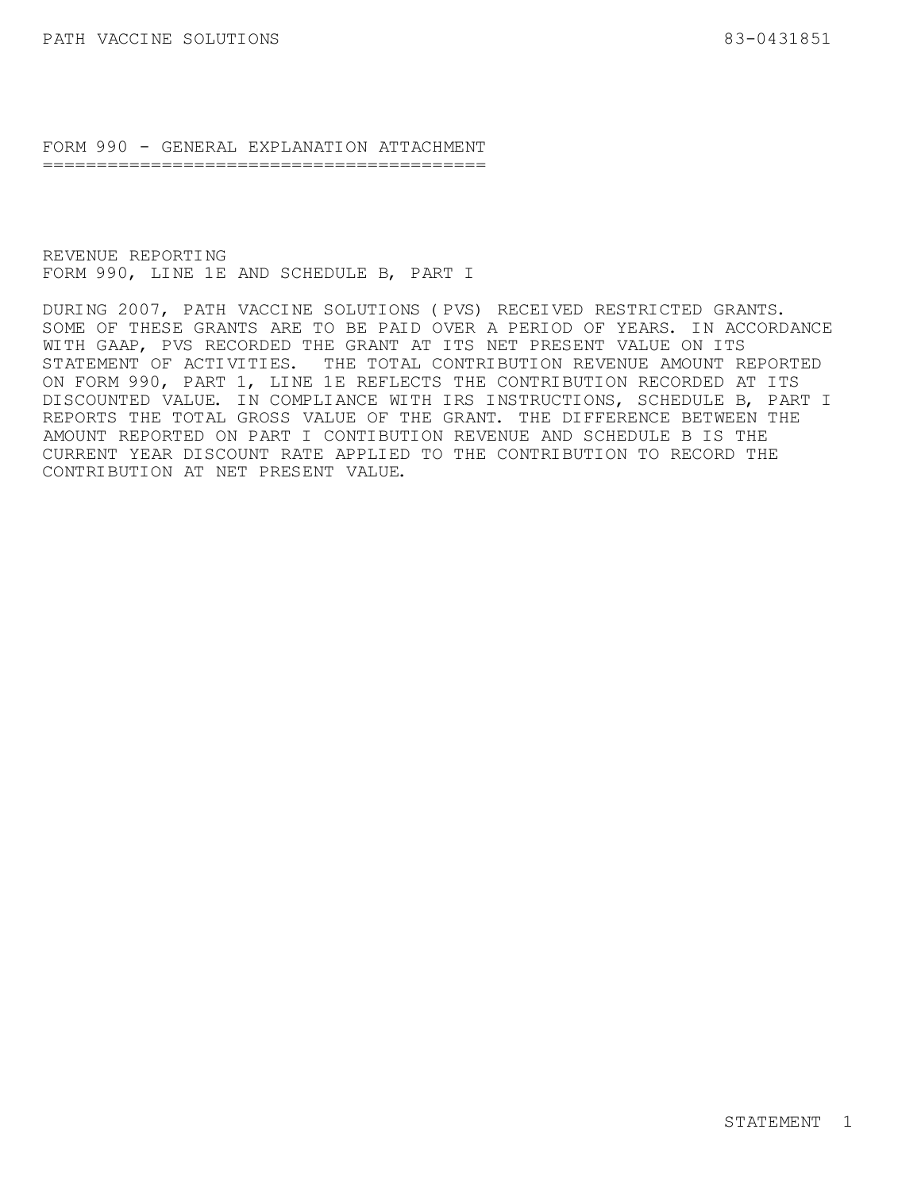FORM 990 - GENERAL EXPLANATION ATTACHMENT =========================================

REVENUE REPORTING FORM 990, LINE 1E AND SCHEDULE B, PART I

DURING 2007, PATH VACCINE SOLUTIONS (PVS) RECEIVED RESTRICTED GRANTS. SOME OF THESE GRANTS ARE TO BE PAID OVER A PERIOD OF YEARS. IN ACCORDANCE WITH GAAP, PVS RECORDED THE GRANT AT ITS NET PRESENT VALUE ON ITS STATEMENT OF ACTIVITIES. THE TOTAL CONTRIBUTION REVENUE AMOUNT REPORTED ON FORM 990, PART 1, LINE 1E REFLECTS THE CONTRIBUTION RECORDED AT ITS DISCOUNTED VALUE. IN COMPLIANCE WITH IRS INSTRUCTIONS, SCHEDULE B, PART I REPORTS THE TOTAL GROSS VALUE OF THE GRANT. THE DIFFERENCE BETWEEN THE AMOUNT REPORTED ON PART I CONTIBUTION REVENUE AND SCHEDULE B IS THE CURRENT YEAR DISCOUNT RATE APPLIED TO THE CONTRIBUTION TO RECORD THE CONTRIBUTION AT NET PRESENT VALUE.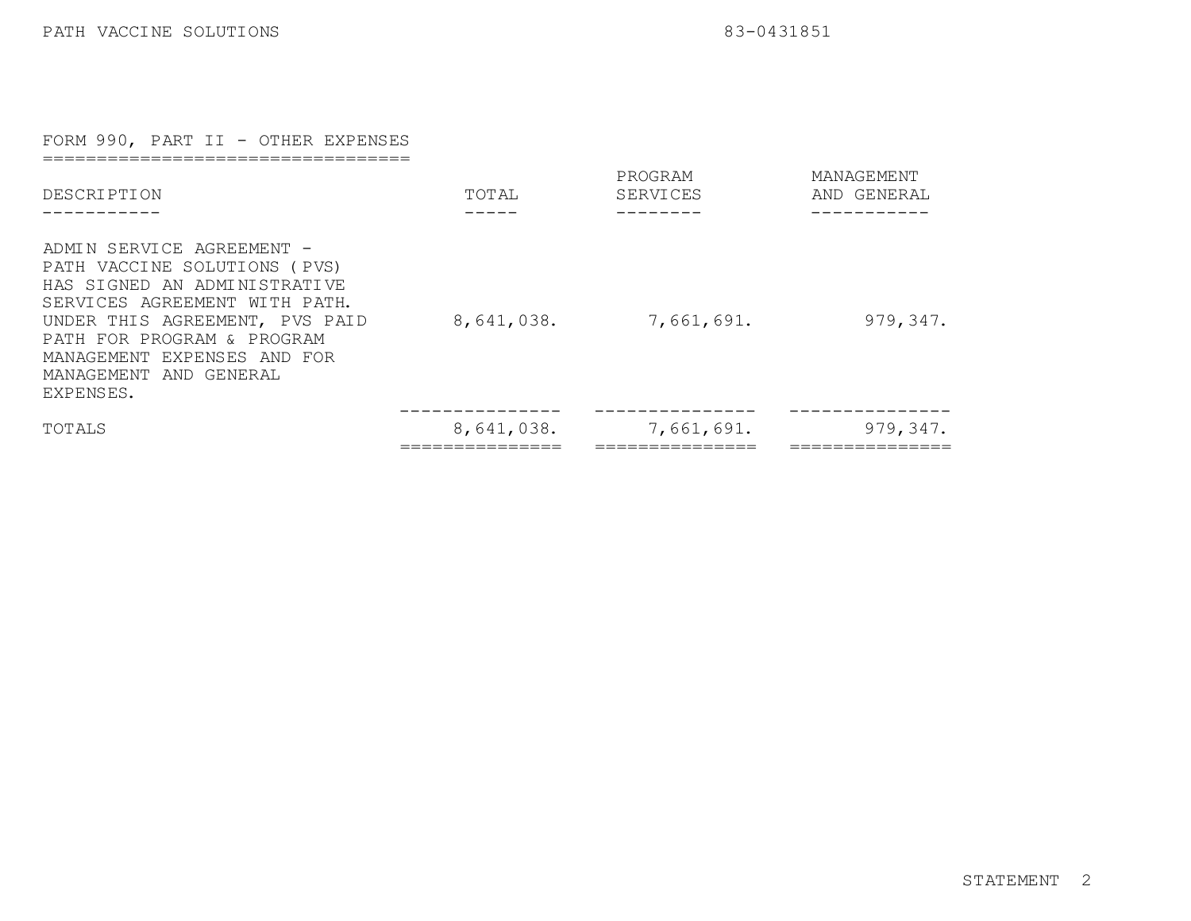## FORM 990, PART II - OTHER EXPENSES

==================================

| <b>DESCRIPTION</b>                                                                                                                                                                                                                                                  | TOTAL      | PROGRAM<br>SERVICES | MANAGEMENT<br>AND GENERAL |
|---------------------------------------------------------------------------------------------------------------------------------------------------------------------------------------------------------------------------------------------------------------------|------------|---------------------|---------------------------|
| ADMIN SERVICE AGREEMENT -<br>PATH VACCINE SOLUTIONS<br>(PVS)<br>HAS SIGNED AN ADMINISTRATIVE<br>SERVICES AGREEMENT WITH PATH.<br>UNDER THIS AGREEMENT, PVS PAID<br>PATH FOR PROGRAM & PROGRAM<br>MANAGEMENT EXPENSES AND FOR<br>MANAGEMENT AND GENERAL<br>EXPENSES. | 8,641,038. | 7,661,691.          | 979, 347.                 |
| TOTALS                                                                                                                                                                                                                                                              | 8,641,038. | 7,661,691.          | 979, 347.                 |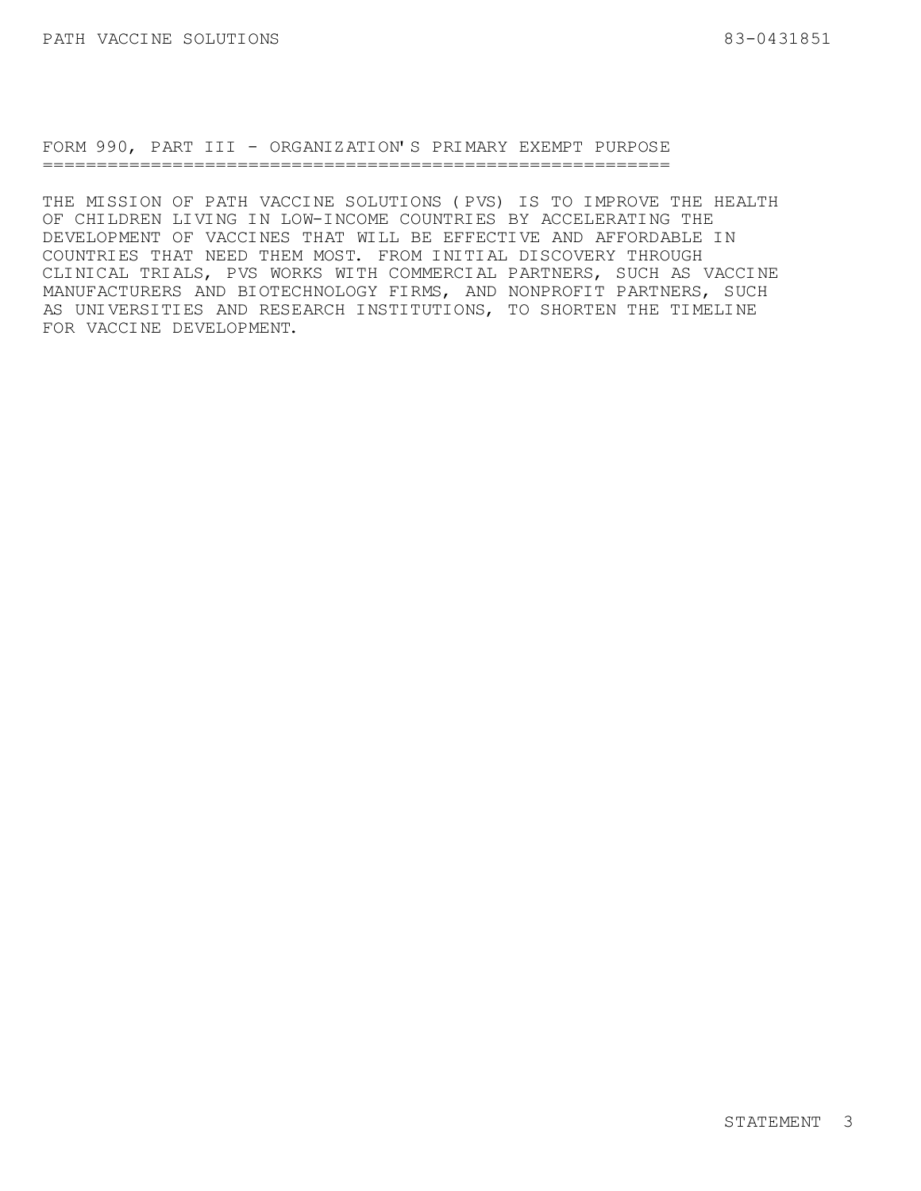FORM 990, PART III - ORGANIZATION'S PRIMARY EXEMPT PURPOSE ==========================================================

THE MISSION OF PATH VACCINE SOLUTIONS (PVS) IS TO IMPROVE THE HEALTH OF CHILDREN LIVING IN LOW-INCOME COUNTRIES BY ACCELERATING THE DEVELOPMENT OF VACCINES THAT WILL BE EFFECTIVE AND AFFORDABLE IN COUNTRIES THAT NEED THEM MOST. FROM INITIAL DISCOVERY THROUGH CLINICAL TRIALS, PVS WORKS WITH COMMERCIAL PARTNERS, SUCH AS VACCINE MANUFACTURERS AND BIOTECHNOLOGY FIRMS, AND NONPROFIT PARTNERS, SUCH AS UNIVERSITIES AND RESEARCH INSTITUTIONS, TO SHORTEN THE TIMELINE FOR VACCINE DEVELOPMENT.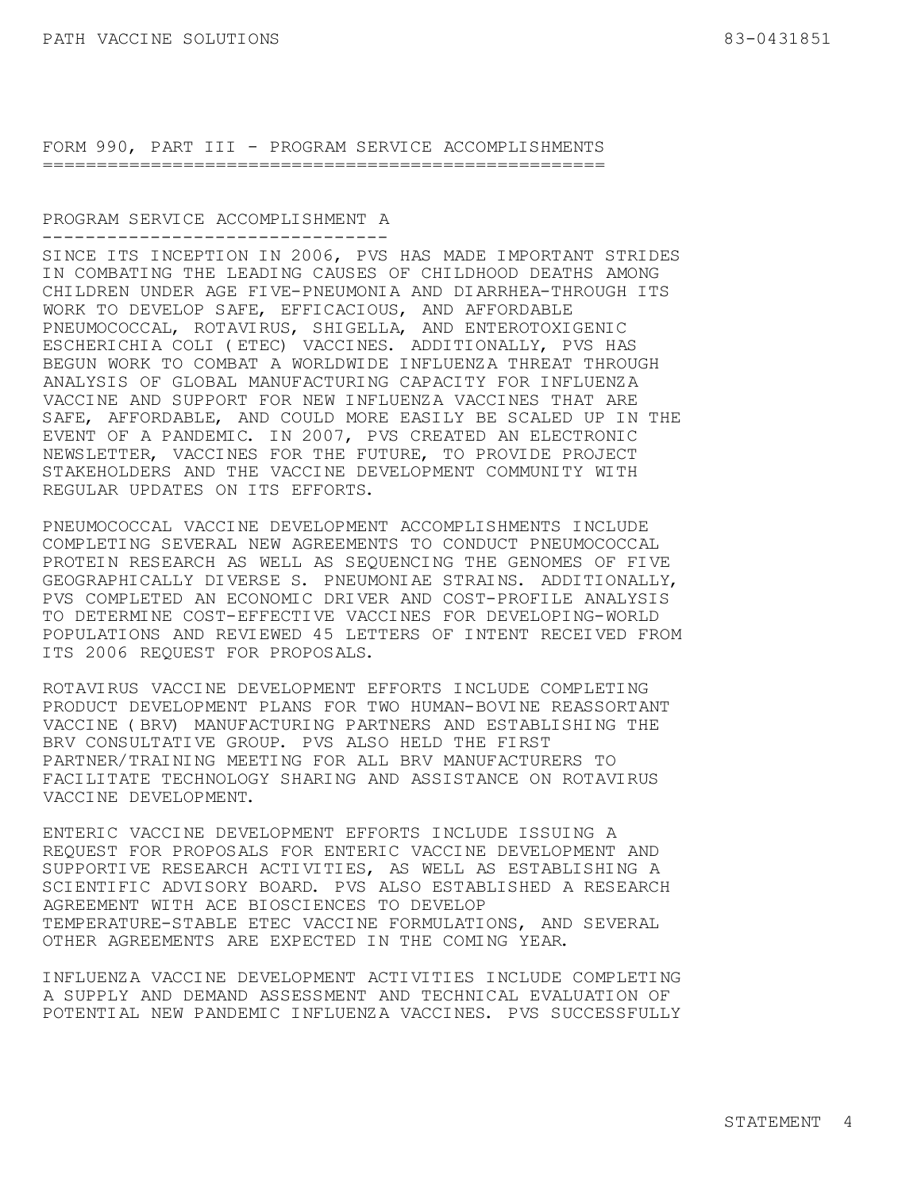FORM 990, PART III - PROGRAM SERVICE ACCOMPLISHMENTS ====================================================

#### PROGRAM SERVICE ACCOMPLISHMENT A --------------------------------

SINCE ITS INCEPTION IN 2006, PVS HAS MADE IMPORTANT STRIDES IN COMBATING THE LEADING CAUSES OF CHILDHOOD DEATHS AMONG CHILDREN UNDER AGE FIVE-PNEUMONIA AND DIARRHEA-THROUGH ITS WORK TO DEVELOP SAFE, EFFICACIOUS, AND AFFORDABLE PNEUMOCOCCAL, ROTAVIRUS, SHIGELLA, AND ENTEROTOXIGENIC ESCHERICHIA COLI (ETEC) VACCINES. ADDITIONALLY, PVS HAS BEGUN WORK TO COMBAT A WORLDWIDE INFLUENZA THREAT THROUGH ANALYSIS OF GLOBAL MANUFACTURING CAPACITY FOR INFLUENZA VACCINE AND SUPPORT FOR NEW INFLUENZA VACCINES THAT ARE SAFE, AFFORDABLE, AND COULD MORE EASILY BE SCALED UP IN THE EVENT OF A PANDEMIC. IN 2007, PVS CREATED AN ELECTRONIC NEWSLETTER, VACCINES FOR THE FUTURE, TO PROVIDE PROJECT STAKEHOLDERS AND THE VACCINE DEVELOPMENT COMMUNITY WITH REGULAR UPDATES ON ITS EFFORTS.

PNEUMOCOCCAL VACCINE DEVELOPMENT ACCOMPLISHMENTS INCLUDE COMPLETING SEVERAL NEW AGREEMENTS TO CONDUCT PNEUMOCOCCAL PROTEIN RESEARCH AS WELL AS SEQUENCING THE GENOMES OF FIVE GEOGRAPHICALLY DIVERSE S. PNEUMONIAE STRAINS. ADDITIONALLY, PVS COMPLETED AN ECONOMIC DRIVER AND COST-PROFILE ANALYSIS TO DETERMINE COST-EFFECTIVE VACCINES FOR DEVELOPING-WORLD POPULATIONS AND REVIEWED 45 LETTERS OF INTENT RECEIVED FROM ITS 2006 REQUEST FOR PROPOSALS.

ROTAVIRUS VACCINE DEVELOPMENT EFFORTS INCLUDE COMPLETING PRODUCT DEVELOPMENT PLANS FOR TWO HUMAN-BOVINE REASSORTANT VACCINE (BRV) MANUFACTURING PARTNERS AND ESTABLISHING THE BRV CONSULTATIVE GROUP. PVS ALSO HELD THE FIRST PARTNER/TRAINING MEETING FOR ALL BRV MANUFACTURERS TO FACILITATE TECHNOLOGY SHARING AND ASSISTANCE ON ROTAVIRUS VACCINE DEVELOPMENT.

ENTERIC VACCINE DEVELOPMENT EFFORTS INCLUDE ISSUING A REQUEST FOR PROPOSALS FOR ENTERIC VACCINE DEVELOPMENT AND SUPPORTIVE RESEARCH ACTIVITIES, AS WELL AS ESTABLISHING A SCIENTIFIC ADVISORY BOARD. PVS ALSO ESTABLISHED A RESEARCH AGREEMENT WITH ACE BIOSCIENCES TO DEVELOP TEMPERATURE-STABLE ETEC VACCINE FORMULATIONS, AND SEVERAL OTHER AGREEMENTS ARE EXPECTED IN THE COMING YEAR.

INFLUENZA VACCINE DEVELOPMENT ACTIVITIES INCLUDE COMPLETING A SUPPLY AND DEMAND ASSESSMENT AND TECHNICAL EVALUATION OF POTENTIAL NEW PANDEMIC INFLUENZA VACCINES. PVS SUCCESSFULLY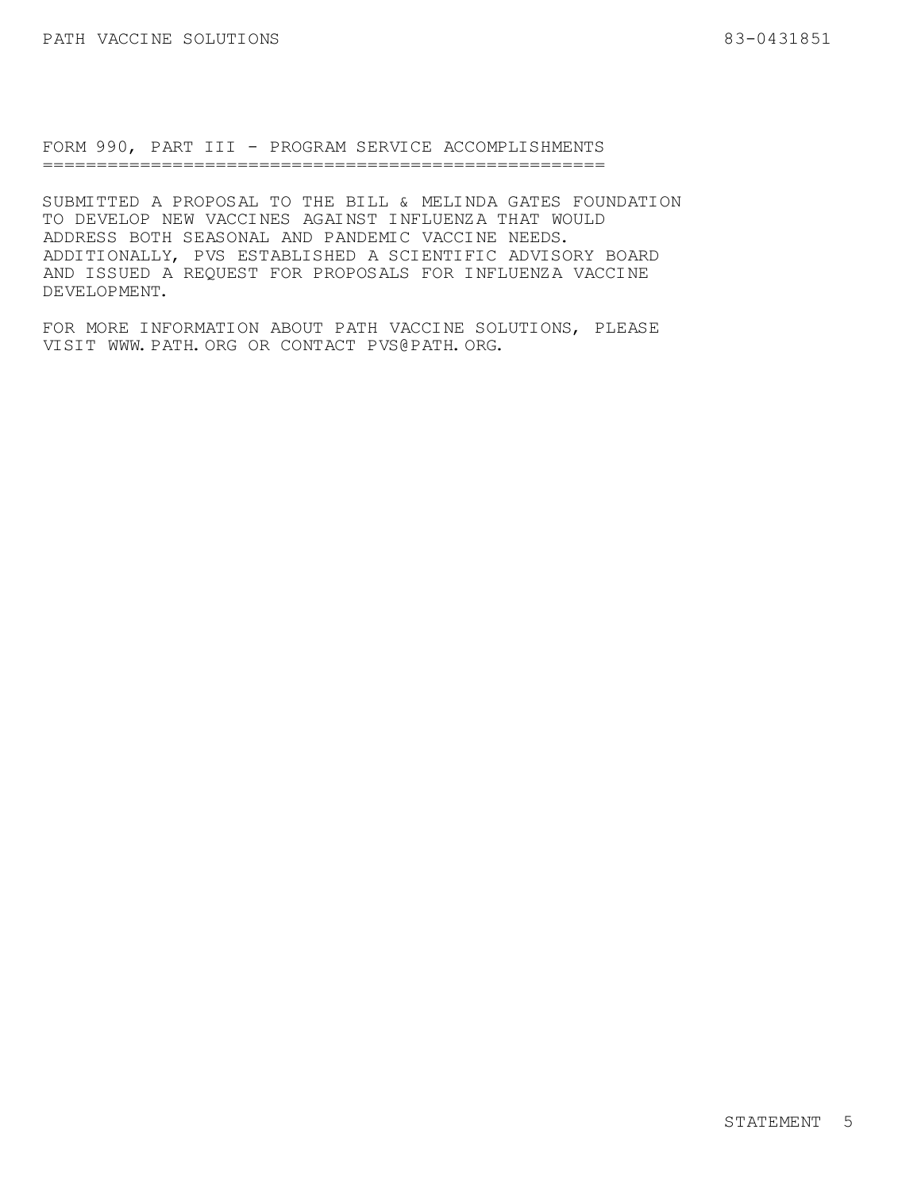FORM 990, PART III - PROGRAM SERVICE ACCOMPLISHMENTS ====================================================

SUBMITTED A PROPOSAL TO THE BILL & MELINDA GATES FOUNDATION TO DEVELOP NEW VACCINES AGAINST INFLUENZA THAT WOULD ADDRESS BOTH SEASONAL AND PANDEMIC VACCINE NEEDS. ADDITIONALLY, PVS ESTABLISHED A SCIENTIFIC ADVISORY BOARD AND ISSUED A REQUEST FOR PROPOSALS FOR INFLUENZA VACCINE DEVELOPMENT.

FOR MORE INFORMATION ABOUT PATH VACCINE SOLUTIONS, PLEASE VISIT WWW.PATH.ORG OR CONTACT PVS@PATH.ORG.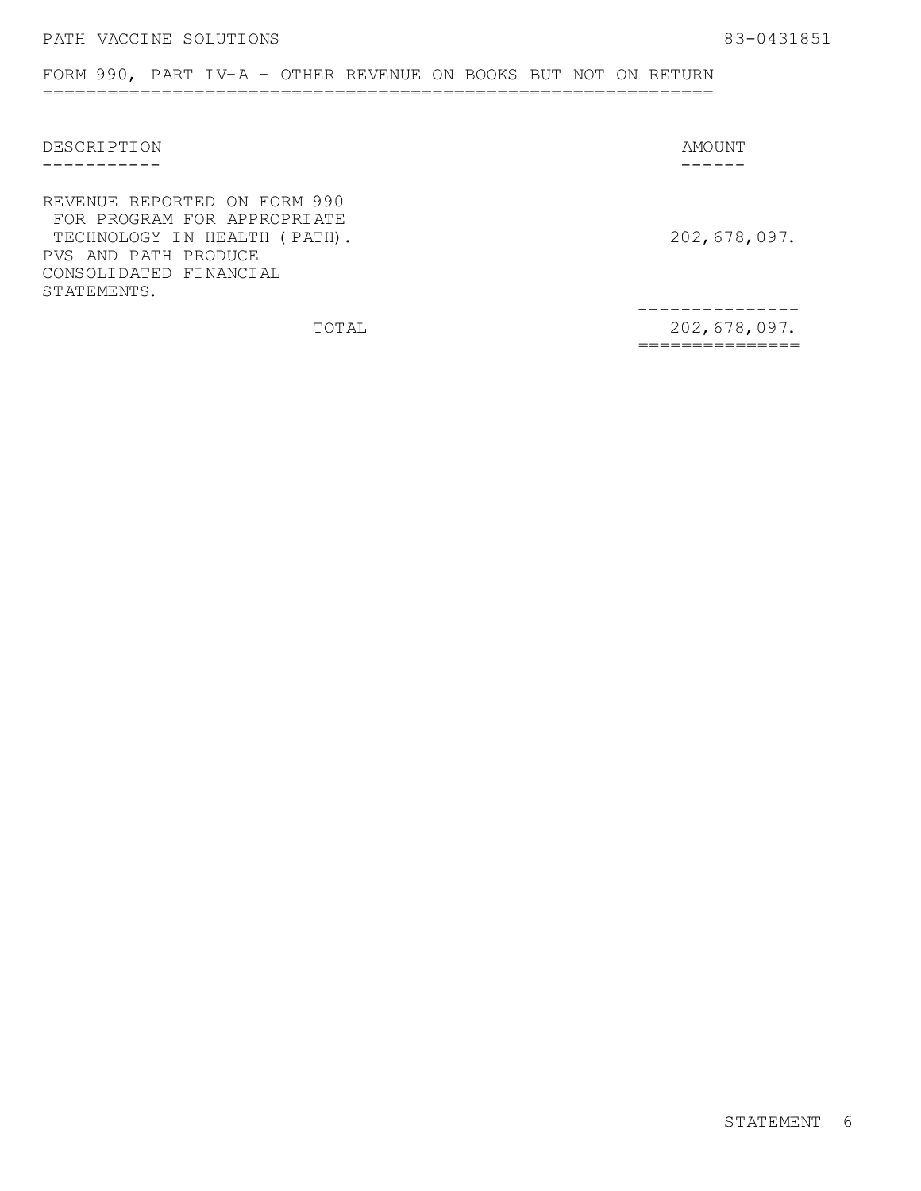FORM 990, PART IV-A - OTHER REVENUE ON BOOKS BUT NOT ON RETURN ==============================================================

| <b>DESCRIPTION</b>                                                                                                                                           | AMOUNT       |
|--------------------------------------------------------------------------------------------------------------------------------------------------------------|--------------|
|                                                                                                                                                              |              |
| REVENUE REPORTED ON FORM 990<br>FOR PROGRAM FOR APPROPRIATE<br>TECHNOLOGY IN HEALTH (PATH).<br>PVS AND PATH PRODUCE<br>CONSOLIDATED FINANCIAL<br>STATEMENTS. | 202,678,097. |
| TOTAL                                                                                                                                                        | 202,678,097. |
|                                                                                                                                                              |              |

STATEMENT 6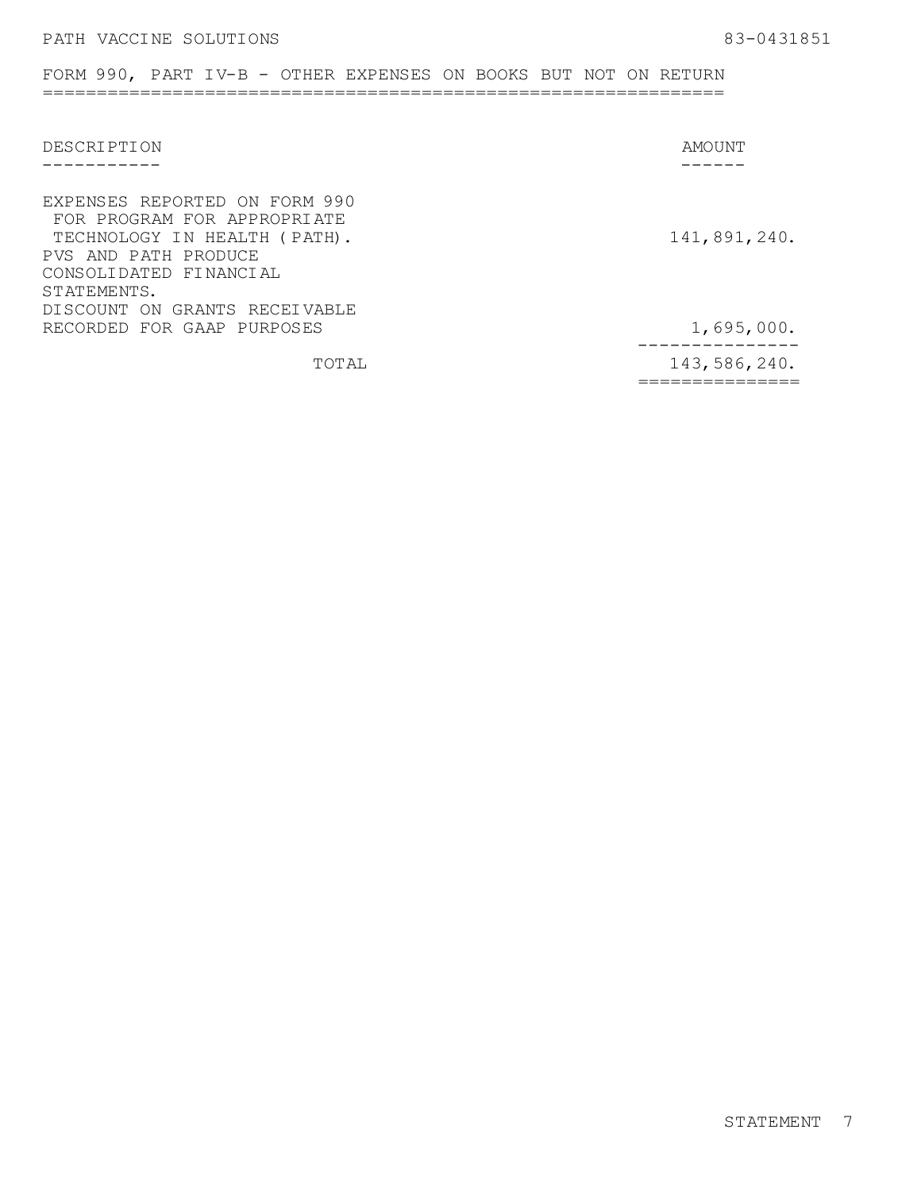### FORM 990, PART IV-B - OTHER EXPENSES ON BOOKS BUT NOT ON RETURN ===============================================================

| DESCRIPTION                                                                                                                                                   | AMOUNT                              |
|---------------------------------------------------------------------------------------------------------------------------------------------------------------|-------------------------------------|
|                                                                                                                                                               |                                     |
| EXPENSES REPORTED ON FORM 990<br>FOR PROGRAM FOR APPROPRIATE<br>TECHNOLOGY IN HEALTH (PATH).<br>PVS AND PATH PRODUCE<br>CONSOLIDATED FINANCIAL<br>STATEMENTS. | 141,891,240.                        |
| DISCOUNT ON GRANTS RECEIVABLE                                                                                                                                 |                                     |
| RECORDED FOR GAAP PURPOSES                                                                                                                                    | 1,695,000.                          |
| TOTAL                                                                                                                                                         | _ _ _ _ _ _ _ _ _ _<br>143,586,240. |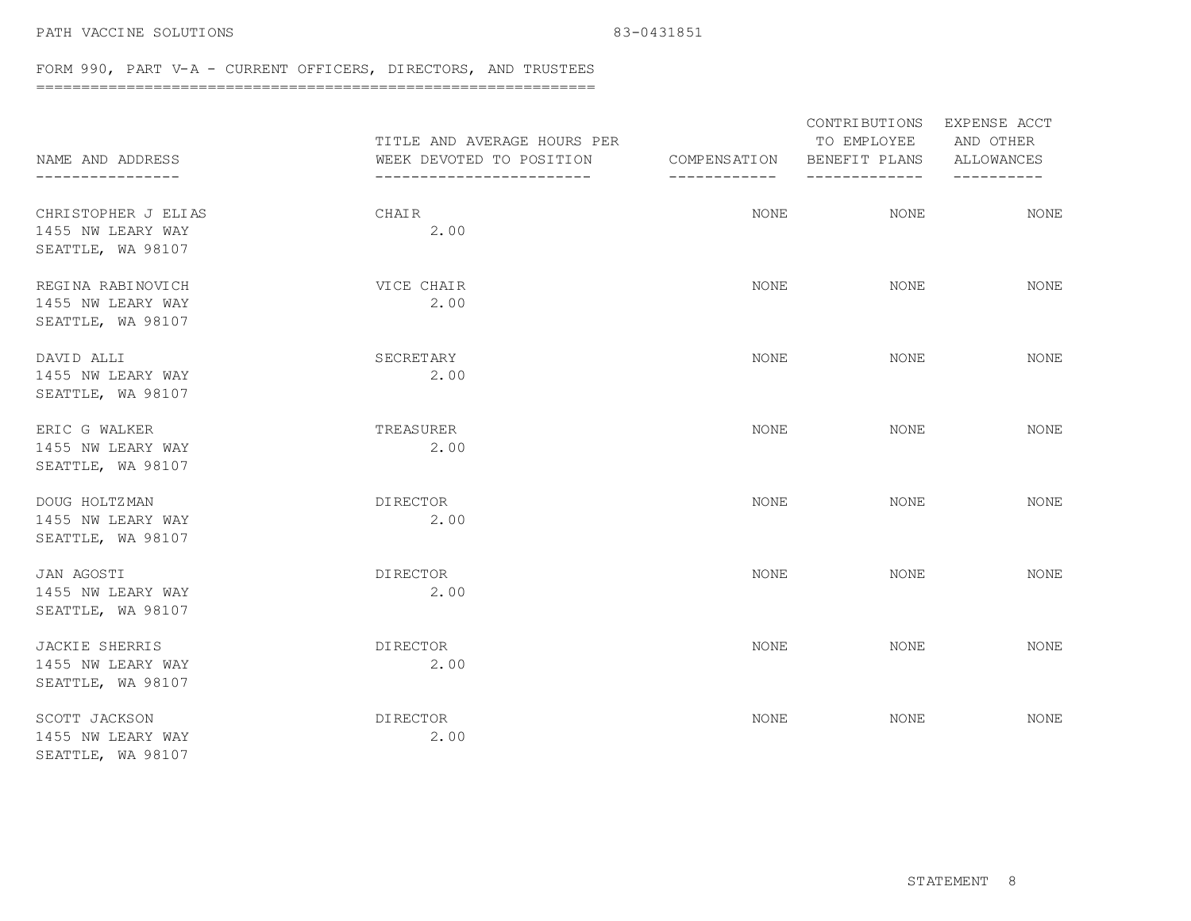### PATH VACCINE SOLUTIONS 83-0431851

### FORM 990, PART V-A - CURRENT OFFICERS, DIRECTORS, AND TRUSTEES

==============================================================

| NAME AND ADDRESS<br>--------------                              | TITLE AND AVERAGE HOURS PER<br>WEEK DEVOTED TO POSITION<br>------------------------ | COMPENSATION<br>------------ | CONTRIBUTIONS<br>TO EMPLOYEE<br>BENEFIT PLANS<br>---------- | EXPENSE ACCT<br>AND OTHER<br>ALLOWANCES<br>---------- |
|-----------------------------------------------------------------|-------------------------------------------------------------------------------------|------------------------------|-------------------------------------------------------------|-------------------------------------------------------|
| CHRISTOPHER J ELIAS<br>1455 NW LEARY WAY<br>SEATTLE, WA 98107   | CHAIR<br>2.00                                                                       | NONE                         | <b>NONE</b>                                                 | <b>NONE</b>                                           |
| REGINA RABINOVICH<br>1455 NW LEARY WAY<br>SEATTLE, WA 98107     | VICE CHAIR<br>2.00                                                                  | NONE                         | <b>NONE</b>                                                 | <b>NONE</b>                                           |
| DAVID ALLI<br>1455 NW LEARY WAY<br>SEATTLE, WA 98107            | SECRETARY<br>2.00                                                                   | NONE                         | NONE                                                        | NONE                                                  |
| ERIC G WALKER<br>1455 NW LEARY WAY<br>SEATTLE, WA 98107         | TREASURER<br>2.00                                                                   | NONE                         | NONE                                                        | <b>NONE</b>                                           |
| DOUG HOLTZMAN<br>1455 NW LEARY WAY<br>SEATTLE, WA 98107         | DI RECTOR<br>2.00                                                                   | NONE                         | NONE                                                        | NONE                                                  |
| JAN AGOSTI<br>1455 NW LEARY WAY<br>SEATTLE, WA 98107            | <b>DIRECTOR</b><br>2.00                                                             | <b>NONE</b>                  | <b>NONE</b>                                                 | <b>NONE</b>                                           |
| <b>JACKIE SHERRIS</b><br>1455 NW LEARY WAY<br>SEATTLE, WA 98107 | <b>DIRECTOR</b><br>2.00                                                             | <b>NONE</b>                  | <b>NONE</b>                                                 | <b>NONE</b>                                           |
| SCOTT JACKSON<br>1455 NW LEARY WAY<br>SEATTLE, WA 98107         | DI RECTOR<br>2.00                                                                   | NONE                         | NONE                                                        | <b>NONE</b>                                           |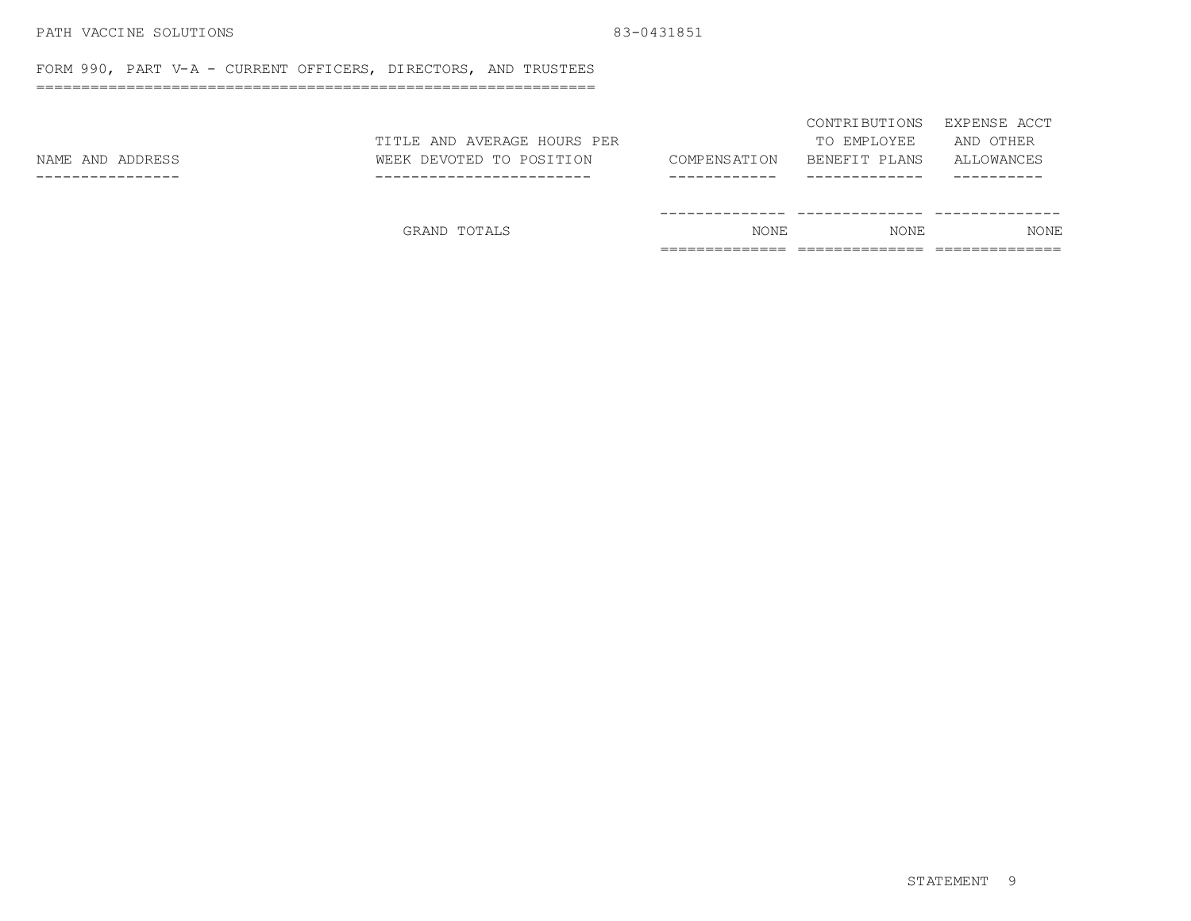### PATH VACCINE SOLUTIONS 83-0431851

FORM 990, PART V-A - CURRENT OFFICERS, DIRECTORS, AND TRUSTEES

==============================================================

|                  | GRAND TOTALS                | <b>NONE</b>   | <b>NONE</b>   | <b>NONE</b>  |
|------------------|-----------------------------|---------------|---------------|--------------|
|                  |                             |               |               |              |
|                  |                             |               |               |              |
| NAME AND ADDRESS | WEEK DEVOTED TO POSITION    | COMPENS ATION | BENEFIT PLANS | ALLOWANCES   |
|                  | TITLE AND AVERAGE HOURS PER |               | TO EMPLOYEE   | AND OTHER    |
|                  |                             |               | CONTRIBUTIONS | EXPENSE ACCT |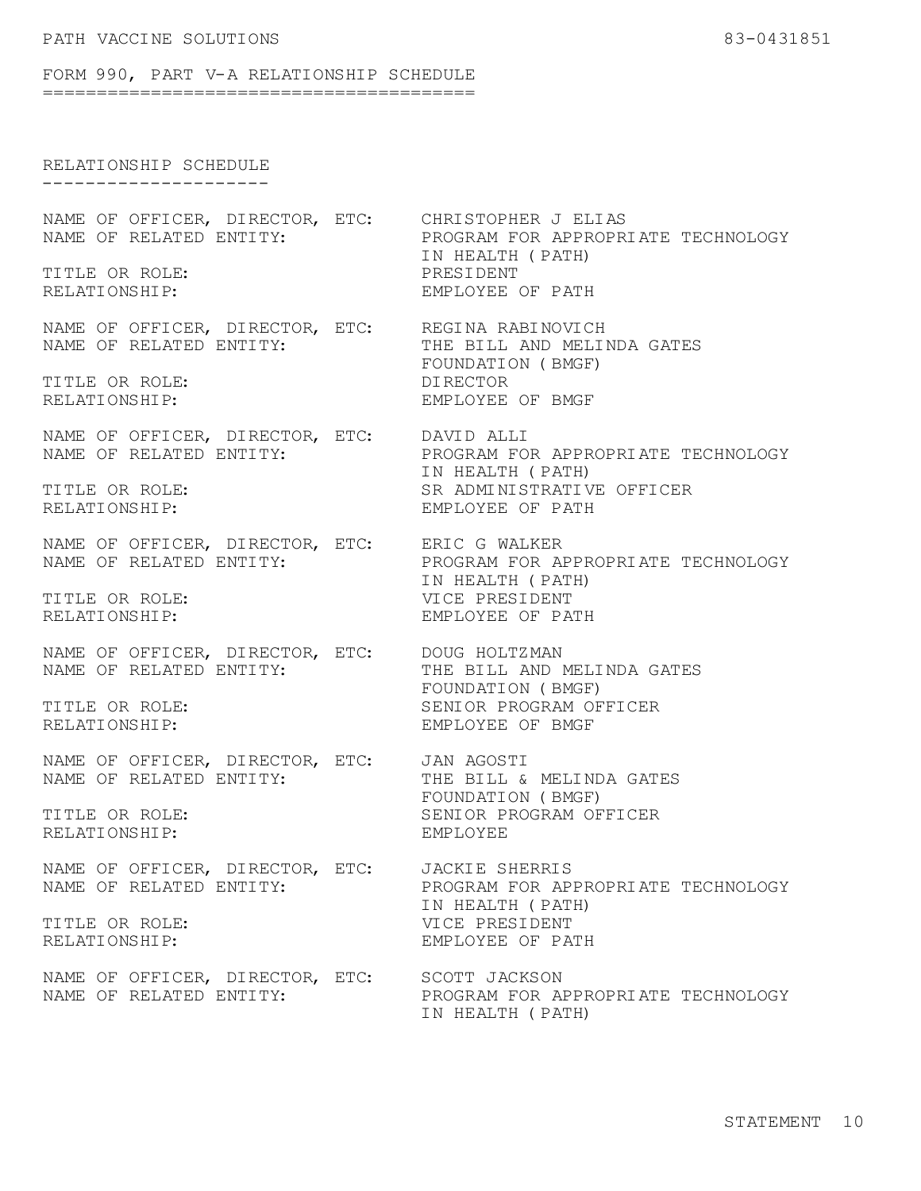#### FORM 990, PART V-A RELATIONSHIP SCHEDULE ========================================

## RELATIONSHIP SCHEDULE

---------------------

NAME OF RELATED ENTITY:

TITLE OR ROLE: PRESIDENT

NAME OF OFFICER, DIRECTOR, ETC: REGINA RABINOVICH<br>NAME OF RELATED ENTITY: THE BILL AND MELINDA GATES NAME OF RELATED ENTITY:

TITLE OR ROLE: DIRECTOR RELATIONSHIP: THE RELATIONSHIP:

NAME OF RELATED ENTITY:

NAME OF RELATED ENTITY:

NAME OF OFFICER, DIRECTOR, ETC: DOUG HOLTZMAN

NAME OF OFFICER, DIRECTOR, ETC: JAN AGOSTI<br>NAME OF RELATED ENTITY: THE BILL & MELINDA GATES NAME OF RELATED ENTITY:

RELATIONSHIP: EMPLOYEE

NAME OF RELATED ENTITY:

NAME OF OFFICER, DIRECTOR, ETC: SCOTT JACKSON

NAME OF OFFICER, DIRECTOR, ETC: CHRISTOPHER J ELIAS<br>NAME OF RELATED ENTITY: PROGRAM FOR APPROPRIATE TECHNOLOGY IN HEALTH (PATH) EMPLOYEE OF PATH

FOUNDATION (BMGF)

NAME OF OFFICER, DIRECTOR, ETC: DAVID ALLI<br>NAME OF RELATED ENTITY: PROGRAM FOR APPROPRIATE TECHNOLOGY IN HEALTH (PATH) TITLE OR ROLE: SR ADMINISTRATIVE OFFICER RELATIONSHIP: EMPLOYEE OF PATH

NAME OF OFFICER, DIRECTOR, ETC: ERIC G WALKER<br>NAME OF RELATED ENTITY: PROGRAM FOR APPROPRIATE TECHNOLOGY IN HEALTH (PATH) TITLE OR ROLE: VICE PRESIDENT RELATIONSHIP: EMPLOYEE OF PATH

NAME OF RELATED ENTITY: THE BILL AND MELINDA GATES FOUNDATION (BMGF) TITLE OR ROLE: SENIOR PROGRAM OFFICER RELATIONSHIP: EMPLOYEE OF BMGF

FOUNDATION (BMGF) TITLE OR ROLE: SENIOR PROGRAM OFFICER

NAME OF OFFICER, DIRECTOR, ETC: JACKIE SHERRIS<br>NAME OF RELATED ENTITY: PROGRAM FOR APPROPRIATE TECHNOLOGY IN HEALTH (PATH) TITLE OR ROLE: VICE PRESIDENT RELATIONSHIP: THE RELATIONSHIP: EMPLOYEE OF PATH

NAME OF RELATED ENTITY: PROGRAM FOR APPROPRIATE TECHNOLOGY IN HEALTH (PATH)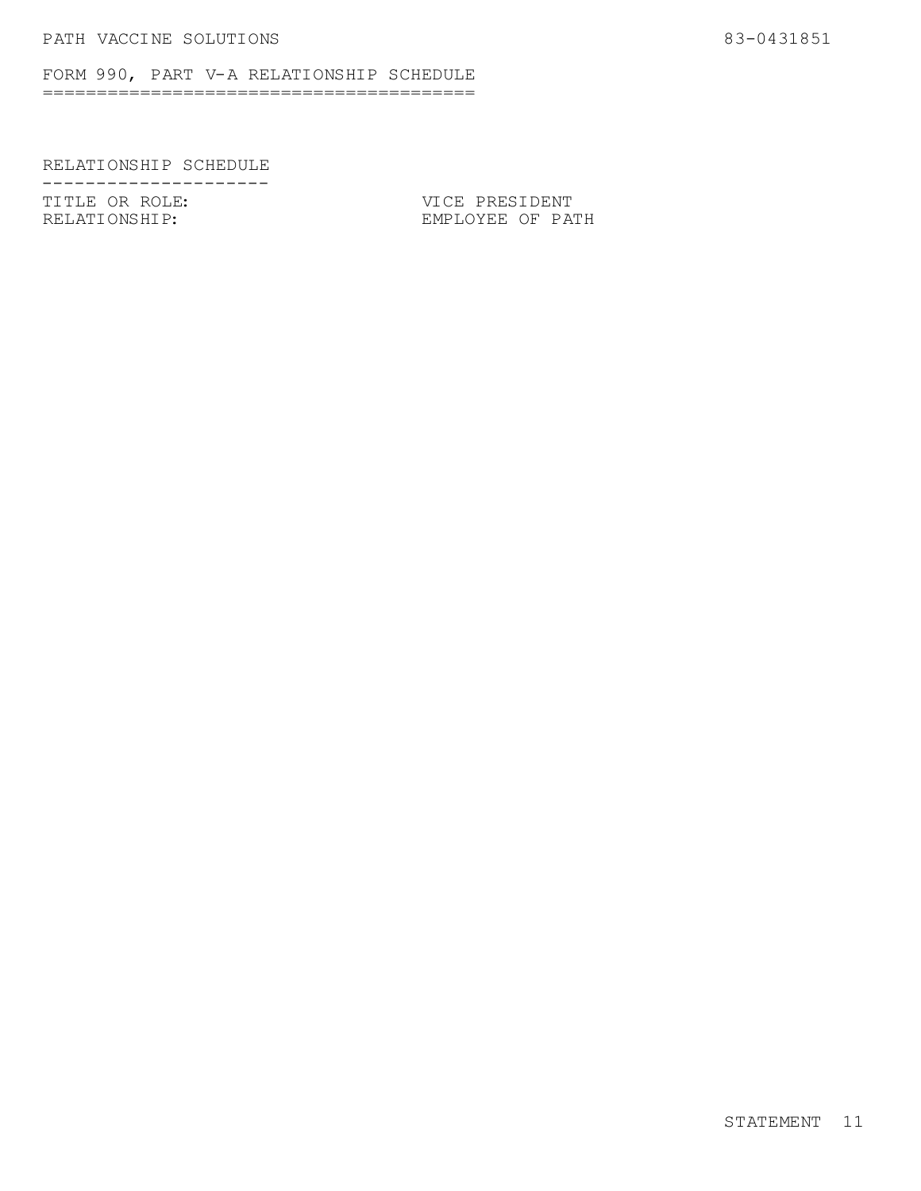FORM 990, PART V-A RELATIONSHIP SCHEDULE ========================================

## RELATIONSHIP SCHEDULE

--------------------<br>TITLE OR ROLE: TITLE OR ROLE:<br>
RELATIONSHIP: EMPLOYEE OF PAT

EMPLOYEE OF PATH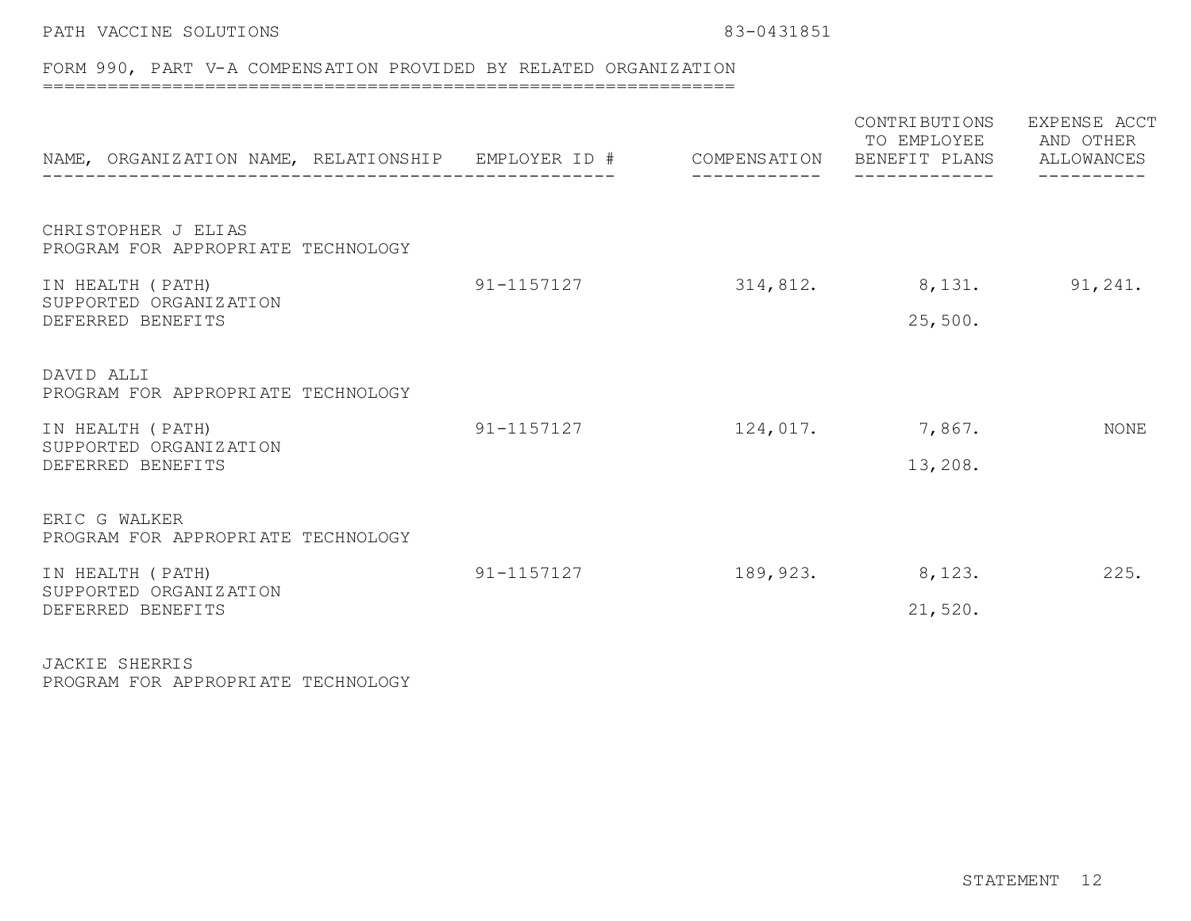## PATH VACCINE SOLUTIONS 83-0431851

# FORM 990, PART V-A COMPENSATION PROVIDED BY RELATED ORGANIZATION

================================================================

| NAME, ORGANIZATION NAME, RELATIONSHIP EMPLOYER ID #                                                                    |            |          | CONTRIBUTIONS<br>TO EMPLOYEE AND OTHER<br>COMPENSATION BENEFIT PLANS ALLOWANCES | EXPENSE ACCT |
|------------------------------------------------------------------------------------------------------------------------|------------|----------|---------------------------------------------------------------------------------|--------------|
| CHRISTOPHER J ELIAS<br>PROGRAM FOR APPROPRIATE TECHNOLOGY                                                              |            |          |                                                                                 |              |
| IN HEALTH (PATH)<br>SUPPORTED ORGANIZATION<br>DEFERRED BENEFITS                                                        | 91-1157127 | 314,812. | 8,131.<br>25,500.                                                               | 91,241.      |
| DAVID ALLI<br>PROGRAM FOR APPROPRIATE TECHNOLOGY<br>IN HEALTH (PATH)<br>SUPPORTED ORGANIZATION<br>DEFERRED BENEFITS    | 91-1157127 | 124,017. | 7,867.<br>13,208.                                                               | NONE         |
| ERIC G WALKER<br>PROGRAM FOR APPROPRIATE TECHNOLOGY<br>IN HEALTH (PATH)<br>SUPPORTED ORGANIZATION<br>DEFERRED BENEFITS | 91-1157127 | 189,923. | 8,123.<br>21,520.                                                               | 225.         |

JACKIE SHERRIS PROGRAM FOR APPROPRIATE TECHNOLOGY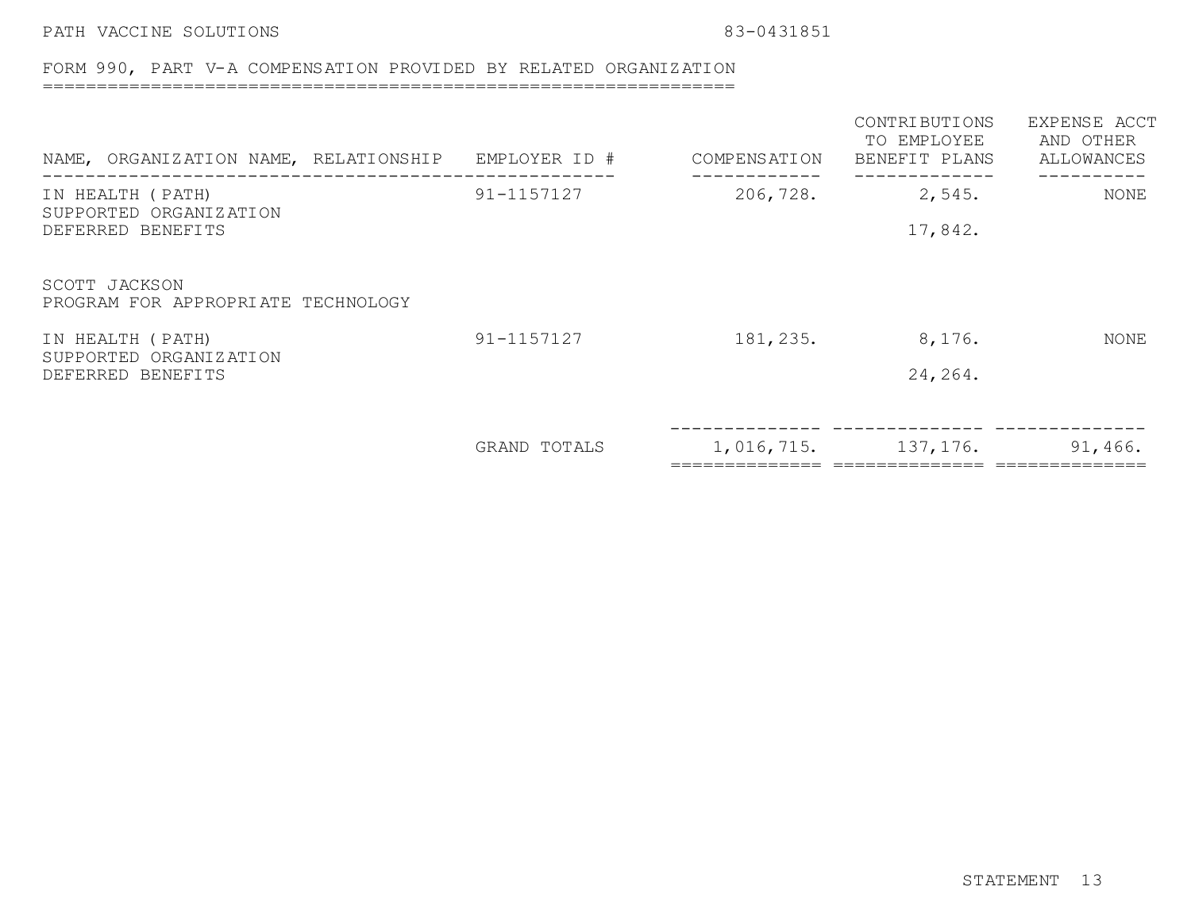PATH VACCINE SOLUTIONS 83-0431851

## FORM 990, PART V-A COMPENSATION PROVIDED BY RELATED ORGANIZATION

================================================================

| NAME, ORGANIZATION NAME, RELATIONSHIP               | EMPLOYER ID # | COMPENSATION | CONTRIBUTIONS<br>TO EMPLOYEE<br>BENEFIT PLANS | EXPENSE ACCT<br>AND OTHER<br>ALLOWANCES |
|-----------------------------------------------------|---------------|--------------|-----------------------------------------------|-----------------------------------------|
| IN HEALTH (PATH)<br>SUPPORTED ORGANIZATION          | 91-1157127    | 206,728.     | 2,545.                                        | NONE                                    |
| DEFERRED BENEFITS                                   |               |              | 17,842.                                       |                                         |
| SCOTT JACKSON<br>PROGRAM FOR APPROPRIATE TECHNOLOGY |               |              |                                               |                                         |
| IN HEALTH (PATH)                                    | 91-1157127    | 181, 235.    | 8,176.                                        | NONE                                    |
| SUPPORTED ORGANIZATION<br>DEFERRED BENEFITS         |               |              | 24, 264.                                      |                                         |
|                                                     |               |              |                                               |                                         |
|                                                     | GRAND TOTALS  |              | $1,016,715.$ 137, 176. 91, 466.               |                                         |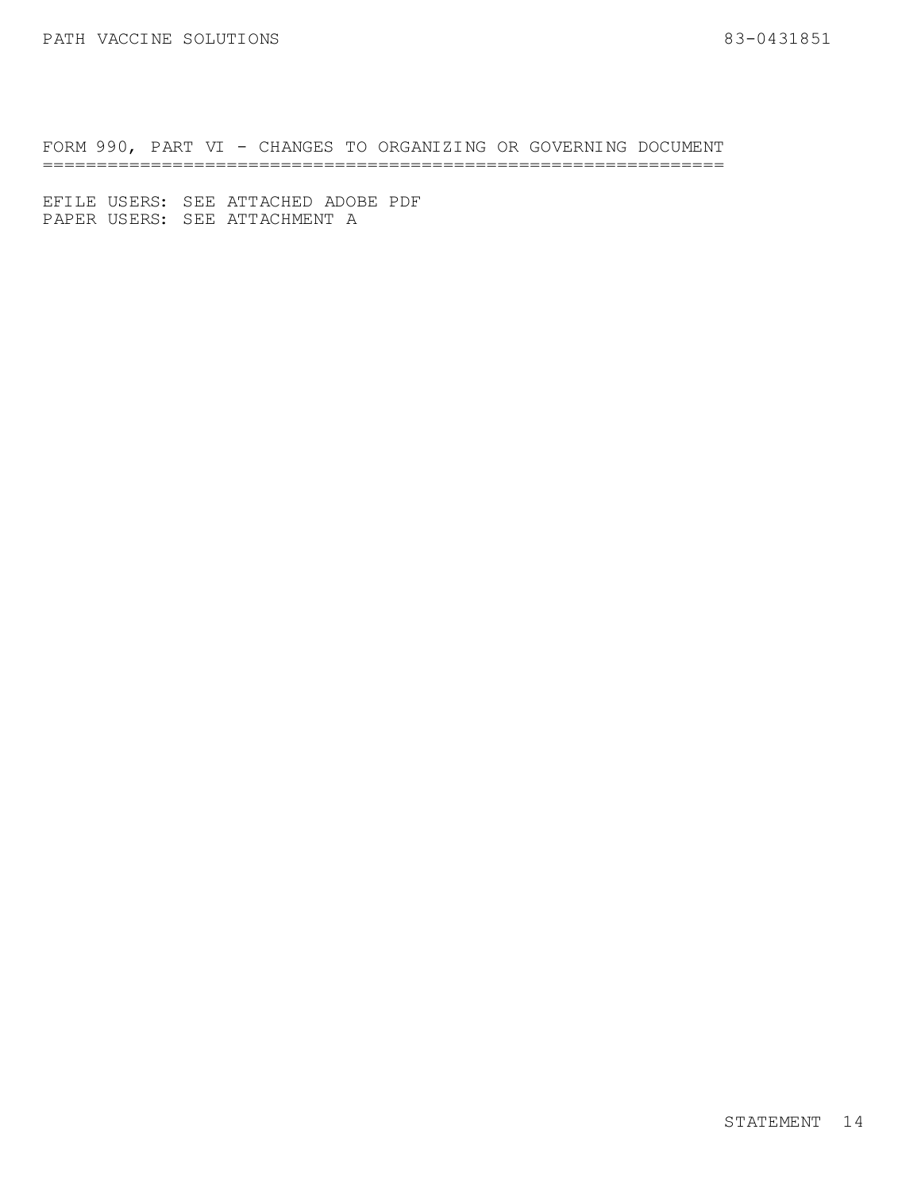FORM 990, PART VI - CHANGES TO ORGANIZING OR GOVERNING DOCUMENT ===============================================================

EFILE USERS: SEE ATTACHED ADOBE PDF PAPER USERS: SEE ATTACHMENT A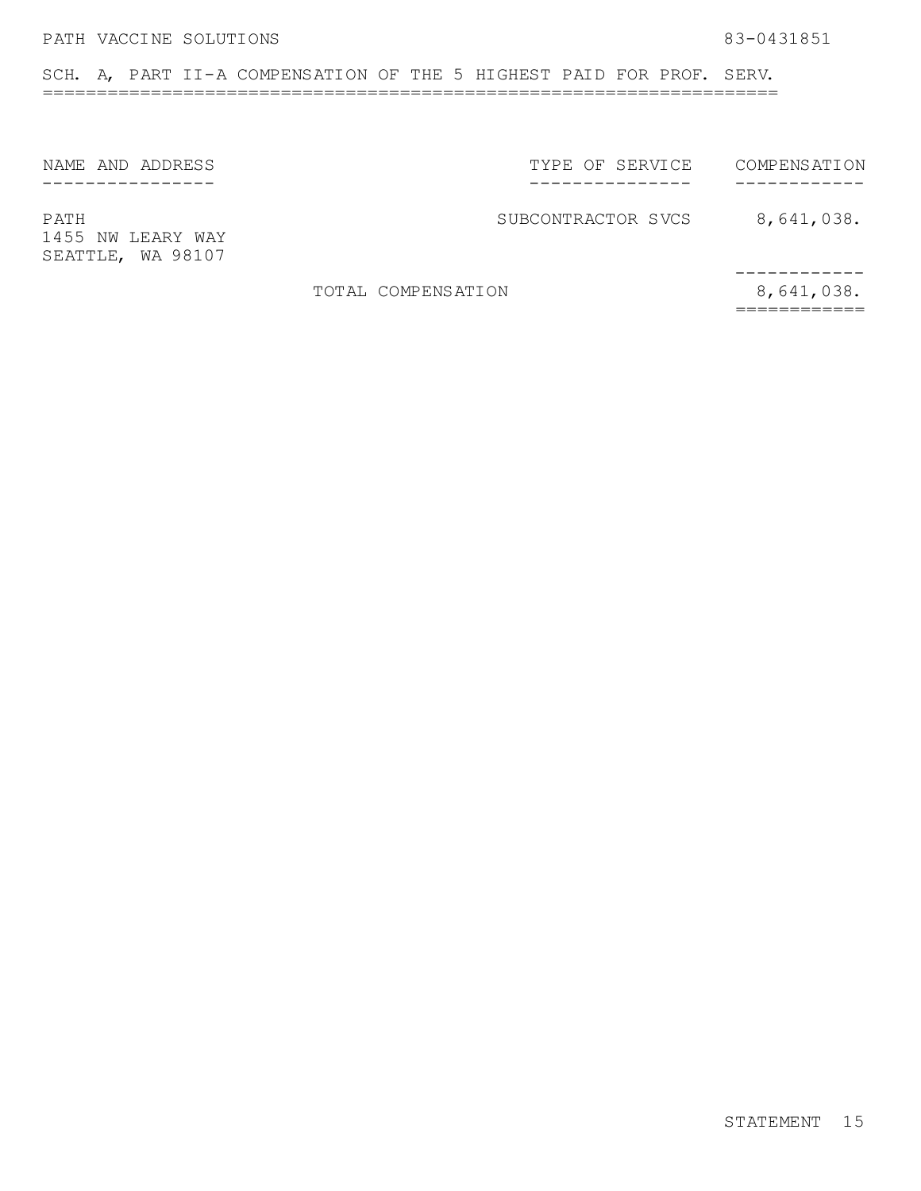SCH. A, PART II-A COMPENSATION OF THE 5 HIGHEST PAID FOR PROF. SERV. ====================================================================

NAME AND ADDRESS ----------------

TYPE OF SERVICE --------------- COMPENSATION ------------

1455 NW LEARY WAY SEATTLE, WA 98107

PATH BATH SUBCONTRACTOR SVCS 8,641,038.

TOTAL COMPENSATION 8,641,038.

------------ ============